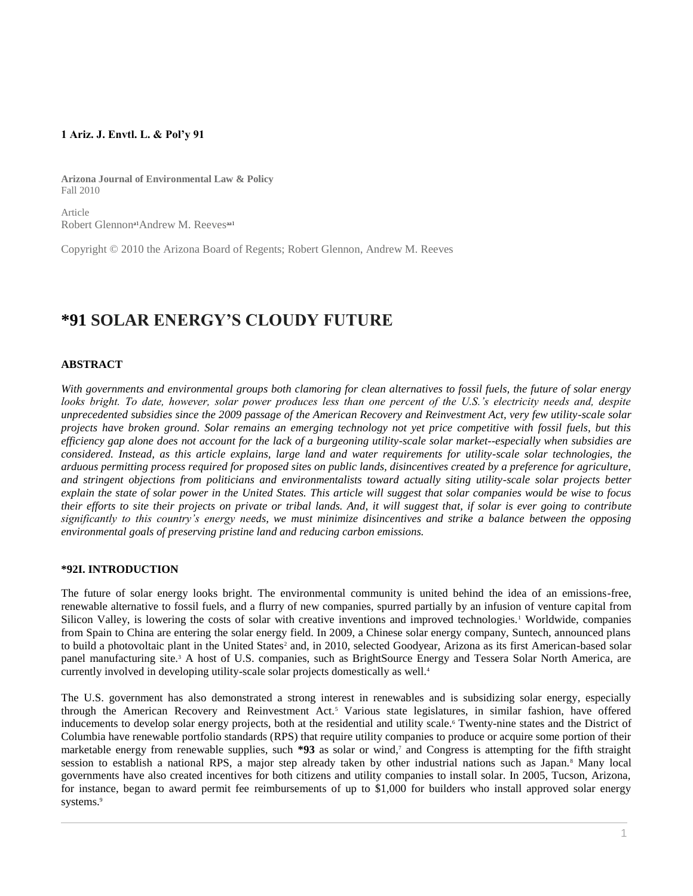# **1 Ariz. J. Envtl. L. & Pol'y 91**

**Arizona Journal of Environmental Law & Policy** Fall 2010

Article Robert Glennon<sup>a1</sup>Andrew M. Reeves<sup>aa1</sup>

Copyright © 2010 the Arizona Board of Regents; Robert Glennon, Andrew M. Reeves

# **\*91 SOLAR ENERGY'S CLOUDY FUTURE**

# **ABSTRACT**

*With governments and environmental groups both clamoring for clean alternatives to fossil fuels, the future of solar energy looks bright. To date, however, solar power produces less than one percent of the U.S.'s electricity needs and, despite unprecedented subsidies since the 2009 passage of the American Recovery and Reinvestment Act, very few utility-scale solar projects have broken ground. Solar remains an emerging technology not yet price competitive with fossil fuels, but this efficiency gap alone does not account for the lack of a burgeoning utility-scale solar market--especially when subsidies are considered. Instead, as this article explains, large land and water requirements for utility-scale solar technologies, the arduous permitting process required for proposed sites on public lands, disincentives created by a preference for agriculture, and stringent objections from politicians and environmentalists toward actually siting utility-scale solar projects better explain the state of solar power in the United States. This article will suggest that solar companies would be wise to focus their efforts to site their projects on private or tribal lands. And, it will suggest that, if solar is ever going to contribute significantly to this country's energy needs, we must minimize disincentives and strike a balance between the opposing environmental goals of preserving pristine land and reducing carbon emissions.*

#### **\*92I. INTRODUCTION**

The future of solar energy looks bright. The environmental community is united behind the idea of an emissions-free, renewable alternative to fossil fuels, and a flurry of new companies, spurred partially by an infusion of venture capital from Silicon Valley, is lowering the costs of solar with creative inventions and improved technologies.<sup>1</sup> Worldwide, companies from Spain to China are entering the solar energy field. In 2009, a Chinese solar energy company, Suntech, announced plans to build a photovoltaic plant in the United States<sup>2</sup> and, in 2010, selected Goodyear, Arizona as its first American-based solar panel manufacturing site.<sup>3</sup> A host of U.S. companies, such as BrightSource Energy and Tessera Solar North America, are currently involved in developing utility-scale solar projects domestically as well.<sup>4</sup>

The U.S. government has also demonstrated a strong interest in renewables and is subsidizing solar energy, especially through the American Recovery and Reinvestment Act.<sup>5</sup> Various state legislatures, in similar fashion, have offered inducements to develop solar energy projects, both at the residential and utility scale.<sup>6</sup> Twenty-nine states and the District of Columbia have renewable portfolio standards (RPS) that require utility companies to produce or acquire some portion of their marketable energy from renewable supplies, such **\*93** as solar or wind,<sup>7</sup> and Congress is attempting for the fifth straight session to establish a national RPS, a major step already taken by other industrial nations such as Japan.<sup>8</sup> Many local governments have also created incentives for both citizens and utility companies to install solar. In 2005, Tucson, Arizona, for instance, began to award permit fee reimbursements of up to \$1,000 for builders who install approved solar energy systems.9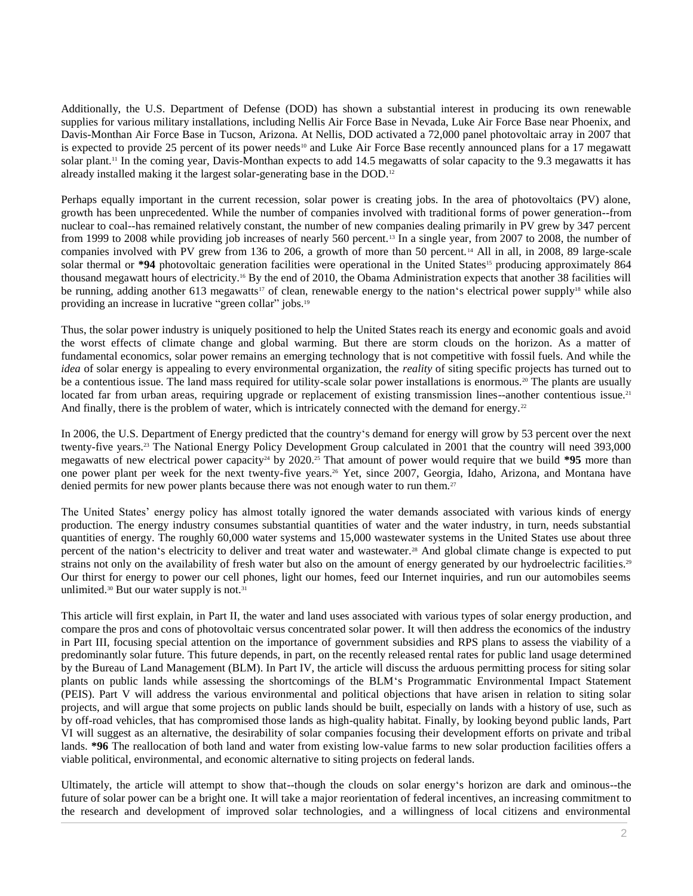Additionally, the U.S. Department of Defense (DOD) has shown a substantial interest in producing its own renewable supplies for various military installations, including Nellis Air Force Base in Nevada, Luke Air Force Base near Phoenix, and Davis-Monthan Air Force Base in Tucson, Arizona. At Nellis, DOD activated a 72,000 panel photovoltaic array in 2007 that is expected to provide 25 percent of its power needs<sup>10</sup> and Luke Air Force Base recently announced plans for a 17 megawatt solar plant.<sup>11</sup> In the coming year, Davis-Monthan expects to add 14.5 megawatts of solar capacity to the 9.3 megawatts it has already installed making it the largest solar-generating base in the DOD.<sup>12</sup>

Perhaps equally important in the current recession, solar power is creating jobs. In the area of photovoltaics (PV) alone, growth has been unprecedented. While the number of companies involved with traditional forms of power generation--from nuclear to coal--has remained relatively constant, the number of new companies dealing primarily in PV grew by 347 percent from 1999 to 2008 while providing job increases of nearly 560 percent.<sup>13</sup> In a single year, from 2007 to 2008, the number of companies involved with PV grew from 136 to 206, a growth of more than 50 percent.<sup>14</sup> All in all, in 2008, 89 large-scale solar thermal or **\*94** photovoltaic generation facilities were operational in the United States<sup>15</sup> producing approximately 864 thousand megawatt hours of electricity.<sup>16</sup> By the end of 2010, the Obama Administration expects that another 38 facilities will be running, adding another 613 megawatts<sup>17</sup> of clean, renewable energy to the nation's electrical power supply<sup>18</sup> while also providing an increase in lucrative "green collar" jobs.<sup>19</sup>

Thus, the solar power industry is uniquely positioned to help the United States reach its energy and economic goals and avoid the worst effects of climate change and global warming. But there are storm clouds on the horizon. As a matter of fundamental economics, solar power remains an emerging technology that is not competitive with fossil fuels. And while the *idea* of solar energy is appealing to every environmental organization, the *reality* of siting specific projects has turned out to be a contentious issue. The land mass required for utility-scale solar power installations is enormous.<sup>20</sup> The plants are usually located far from urban areas, requiring upgrade or replacement of existing transmission lines--another contentious issue.<sup>21</sup> And finally, there is the problem of water, which is intricately connected with the demand for energy.<sup>22</sup>

In 2006, the U.S. Department of Energy predicted that the country's demand for energy will grow by 53 percent over the next twenty-five years.<sup>23</sup> The National Energy Policy Development Group calculated in 2001 that the country will need 393,000 megawatts of new electrical power capacity<sup>24</sup> by 2020.<sup>25</sup> That amount of power would require that we build \*95 more than one power plant per week for the next twenty-five years.<sup>26</sup> Yet, since 2007, Georgia, Idaho, Arizona, and Montana have denied permits for new power plants because there was not enough water to run them.<sup>27</sup>

The United States' energy policy has almost totally ignored the water demands associated with various kinds of energy production. The energy industry consumes substantial quantities of water and the water industry, in turn, needs substantial quantities of energy. The roughly 60,000 water systems and 15,000 wastewater systems in the United States use about three percent of the nation's electricity to deliver and treat water and wastewater.<sup>28</sup> And global climate change is expected to put strains not only on the availability of fresh water but also on the amount of energy generated by our hydroelectric facilities.<sup>29</sup> Our thirst for energy to power our cell phones, light our homes, feed our Internet inquiries, and run our automobiles seems unlimited.<sup>30</sup> But our water supply is not.<sup>31</sup>

This article will first explain, in Part II, the water and land uses associated with various types of solar energy production, and compare the pros and cons of photovoltaic versus concentrated solar power. It will then address the economics of the industry in Part III, focusing special attention on the importance of government subsidies and RPS plans to assess the viability of a predominantly solar future. This future depends, in part, on the recently released rental rates for public land usage determined by the Bureau of Land Management (BLM). In Part IV, the article will discuss the arduous permitting process for siting solar plants on public lands while assessing the shortcomings of the BLM's Programmatic Environmental Impact Statement (PEIS). Part V will address the various environmental and political objections that have arisen in relation to siting solar projects, and will argue that some projects on public lands should be built, especially on lands with a history of use, such as by off-road vehicles, that has compromised those lands as high-quality habitat. Finally, by looking beyond public lands, Part VI will suggest as an alternative, the desirability of solar companies focusing their development efforts on private and tribal lands. **\*96** The reallocation of both land and water from existing low-value farms to new solar production facilities offers a viable political, environmental, and economic alternative to siting projects on federal lands.

Ultimately, the article will attempt to show that--though the clouds on solar energy's horizon are dark and ominous--the future of solar power can be a bright one. It will take a major reorientation of federal incentives, an increasing commitment to the research and development of improved solar technologies, and a willingness of local citizens and environmental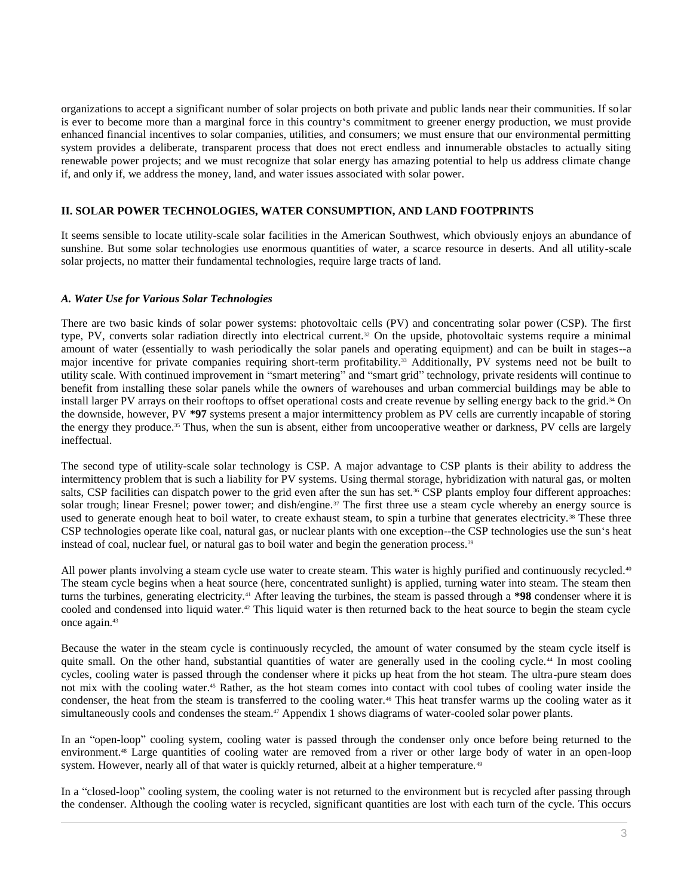organizations to accept a significant number of solar projects on both private and public lands near their communities. If solar is ever to become more than a marginal force in this country's commitment to greener energy production, we must provide enhanced financial incentives to solar companies, utilities, and consumers; we must ensure that our environmental permitting system provides a deliberate, transparent process that does not erect endless and innumerable obstacles to actually siting renewable power projects; and we must recognize that solar energy has amazing potential to help us address climate change if, and only if, we address the money, land, and water issues associated with solar power.

# **II. SOLAR POWER TECHNOLOGIES, WATER CONSUMPTION, AND LAND FOOTPRINTS**

It seems sensible to locate utility-scale solar facilities in the American Southwest, which obviously enjoys an abundance of sunshine. But some solar technologies use enormous quantities of water, a scarce resource in deserts. And all utility-scale solar projects, no matter their fundamental technologies, require large tracts of land.

# *A. Water Use for Various Solar Technologies*

There are two basic kinds of solar power systems: photovoltaic cells (PV) and concentrating solar power (CSP). The first type, PV, converts solar radiation directly into electrical current.<sup>32</sup> On the upside, photovoltaic systems require a minimal amount of water (essentially to wash periodically the solar panels and operating equipment) and can be built in stages--a major incentive for private companies requiring short-term profitability.<sup>33</sup> Additionally, PV systems need not be built to utility scale. With continued improvement in "smart metering" and "smart grid" technology, private residents will continue to benefit from installing these solar panels while the owners of warehouses and urban commercial buildings may be able to install larger PV arrays on their rooftops to offset operational costs and create revenue by selling energy back to the grid.<sup>34</sup> On the downside, however, PV **\*97** systems present a major intermittency problem as PV cells are currently incapable of storing the energy they produce.<sup>35</sup> Thus, when the sun is absent, either from uncooperative weather or darkness, PV cells are largely ineffectual.

The second type of utility-scale solar technology is CSP. A major advantage to CSP plants is their ability to address the intermittency problem that is such a liability for PV systems. Using thermal storage, hybridization with natural gas, or molten salts, CSP facilities can dispatch power to the grid even after the sun has set.<sup>36</sup> CSP plants employ four different approaches: solar trough; linear Fresnel; power tower; and dish/engine.<sup>37</sup> The first three use a steam cycle whereby an energy source is used to generate enough heat to boil water, to create exhaust steam, to spin a turbine that generates electricity.<sup>38</sup> These three CSP technologies operate like coal, natural gas, or nuclear plants with one exception--the CSP technologies use the sun's heat instead of coal, nuclear fuel, or natural gas to boil water and begin the generation process.<sup>39</sup>

All power plants involving a steam cycle use water to create steam. This water is highly purified and continuously recycled.<sup>40</sup> The steam cycle begins when a heat source (here, concentrated sunlight) is applied, turning water into steam. The steam then turns the turbines, generating electricity.<sup>41</sup> After leaving the turbines, the steam is passed through a **\*98** condenser where it is cooled and condensed into liquid water.<sup>42</sup> This liquid water is then returned back to the heat source to begin the steam cycle once again.<sup>43</sup>

Because the water in the steam cycle is continuously recycled, the amount of water consumed by the steam cycle itself is quite small. On the other hand, substantial quantities of water are generally used in the cooling cycle.<sup>44</sup> In most cooling cycles, cooling water is passed through the condenser where it picks up heat from the hot steam. The ultra-pure steam does not mix with the cooling water.<sup>45</sup> Rather, as the hot steam comes into contact with cool tubes of cooling water inside the condenser, the heat from the steam is transferred to the cooling water.<sup>46</sup> This heat transfer warms up the cooling water as it simultaneously cools and condenses the steam.<sup>47</sup> Appendix 1 shows diagrams of water-cooled solar power plants.

In an "open-loop" cooling system, cooling water is passed through the condenser only once before being returned to the environment.<sup>48</sup> Large quantities of cooling water are removed from a river or other large body of water in an open-loop system. However, nearly all of that water is quickly returned, albeit at a higher temperature.<sup>49</sup>

In a "closed-loop" cooling system, the cooling water is not returned to the environment but is recycled after passing through the condenser. Although the cooling water is recycled, significant quantities are lost with each turn of the cycle. This occurs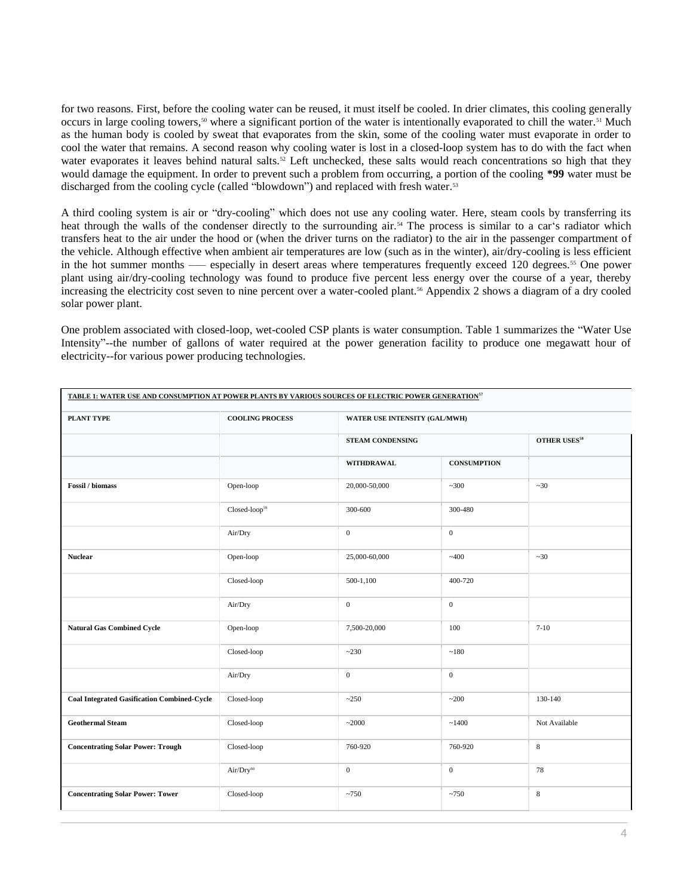for two reasons. First, before the cooling water can be reused, it must itself be cooled. In drier climates, this cooling generally occurs in large cooling towers,<sup>50</sup> where a significant portion of the water is intentionally evaporated to chill the water.<sup>51</sup> Much as the human body is cooled by sweat that evaporates from the skin, some of the cooling water must evaporate in order to cool the water that remains. A second reason why cooling water is lost in a closed-loop system has to do with the fact when water evaporates it leaves behind natural salts.<sup>52</sup> Left unchecked, these salts would reach concentrations so high that they would damage the equipment. In order to prevent such a problem from occurring, a portion of the cooling **\*99** water must be discharged from the cooling cycle (called "blowdown") and replaced with fresh water.<sup>53</sup>

A third cooling system is air or "dry-cooling" which does not use any cooling water. Here, steam cools by transferring its heat through the walls of the condenser directly to the surrounding air.<sup>54</sup> The process is similar to a car's radiator which transfers heat to the air under the hood or (when the driver turns on the radiator) to the air in the passenger compartment of the vehicle. Although effective when ambient air temperatures are low (such as in the winter), air/dry-cooling is less efficient in the hot summer months —– especially in desert areas where temperatures frequently exceed 120 degrees.<sup>55</sup> One power plant using air/dry-cooling technology was found to produce five percent less energy over the course of a year, thereby increasing the electricity cost seven to nine percent over a water-cooled plant.<sup>56</sup> Appendix 2 shows a diagram of a dry cooled solar power plant.

One problem associated with closed-loop, wet-cooled CSP plants is water consumption. Table 1 summarizes the "Water Use Intensity"--the number of gallons of water required at the power generation facility to produce one megawatt hour of electricity--for various power producing technologies.

| TABLE 1: WATER USE AND CONSUMPTION AT POWER PLANTS BY VARIOUS SOURCES OF ELECTRIC POWER GENERATION <sup>57</sup> |                           |                               |                    |                                |
|------------------------------------------------------------------------------------------------------------------|---------------------------|-------------------------------|--------------------|--------------------------------|
| PLANT TYPE                                                                                                       | <b>COOLING PROCESS</b>    | WATER USE INTENSITY (GAL/MWH) |                    |                                |
|                                                                                                                  |                           | <b>STEAM CONDENSING</b>       |                    | <b>OTHER USES<sup>58</sup></b> |
|                                                                                                                  |                           | <b>WITHDRAWAL</b>             | <b>CONSUMPTION</b> |                                |
| <b>Fossil</b> / biomass                                                                                          | Open-loop                 | 20,000-50,000                 | ~100               | $~1$ - 30                      |
|                                                                                                                  | Closed-loop <sup>59</sup> | 300-600                       | 300-480            |                                |
|                                                                                                                  | Air/Dry                   | $\mathbf{0}$                  | $\overline{0}$     |                                |
| <b>Nuclear</b>                                                                                                   | Open-loop                 | 25,000-60,000                 | ~100               | $~1$ - 30                      |
|                                                                                                                  | Closed-loop               | 500-1,100                     | 400-720            |                                |
|                                                                                                                  | Air/Dry                   | $\mathbf{0}$                  | $\mathbf{0}$       |                                |
| <b>Natural Gas Combined Cycle</b>                                                                                | Open-loop                 | 7,500-20,000                  | 100                | $7 - 10$                       |
|                                                                                                                  | Closed-loop               | ~230                          | ${\sim}180$        |                                |
|                                                                                                                  | Air/Dry                   | $\mathbf{0}$                  | $\mathbf{0}$       |                                |
| <b>Coal Integrated Gasification Combined-Cycle</b>                                                               | Closed-loop               | ~250                          | ~200               | 130-140                        |
| <b>Geothermal Steam</b>                                                                                          | Closed-loop               | ~2000                         | ~1400              | Not Available                  |
| <b>Concentrating Solar Power: Trough</b>                                                                         | Closed-loop               | 760-920                       | 760-920            | $\,8\,$                        |
|                                                                                                                  | Air/Dry <sup>60</sup>     | $\mathbf{0}$                  | $\overline{0}$     | 78                             |
| <b>Concentrating Solar Power: Tower</b>                                                                          | Closed-loop               | $~10-750$                     | ~100               | $\,$ 8 $\,$                    |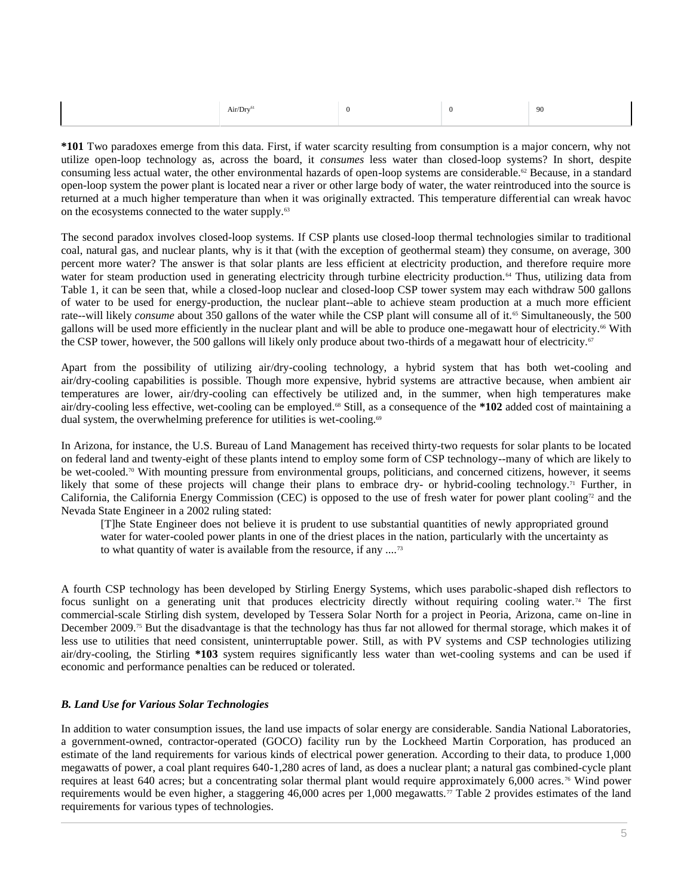| Air/Dry | 90 |
|---------|----|
|---------|----|

**\*101** Two paradoxes emerge from this data. First, if water scarcity resulting from consumption is a major concern, why not utilize open-loop technology as, across the board, it *consumes* less water than closed-loop systems? In short, despite consuming less actual water, the other environmental hazards of open-loop systems are considerable.<sup>62</sup> Because, in a standard open-loop system the power plant is located near a river or other large body of water, the water reintroduced into the source is returned at a much higher temperature than when it was originally extracted. This temperature differential can wreak havoc on the ecosystems connected to the water supply.<sup>63</sup>

The second paradox involves closed-loop systems. If CSP plants use closed-loop thermal technologies similar to traditional coal, natural gas, and nuclear plants, why is it that (with the exception of geothermal steam) they consume, on average, 300 percent more water? The answer is that solar plants are less efficient at electricity production, and therefore require more water for steam production used in generating electricity through turbine electricity production.<sup>64</sup> Thus, utilizing data from Table 1, it can be seen that, while a closed-loop nuclear and closed-loop CSP tower system may each withdraw 500 gallons of water to be used for energy-production, the nuclear plant--able to achieve steam production at a much more efficient rate--will likely *consume* about 350 gallons of the water while the CSP plant will consume all of it.<sup>65</sup> Simultaneously, the 500 gallons will be used more efficiently in the nuclear plant and will be able to produce one-megawatt hour of electricity.<sup>66</sup> With the CSP tower, however, the 500 gallons will likely only produce about two-thirds of a megawatt hour of electricity.<sup>67</sup>

Apart from the possibility of utilizing air/dry-cooling technology, a hybrid system that has both wet-cooling and air/dry-cooling capabilities is possible. Though more expensive, hybrid systems are attractive because, when ambient air temperatures are lower, air/dry-cooling can effectively be utilized and, in the summer, when high temperatures make air/dry-cooling less effective, wet-cooling can be employed.<sup>68</sup> Still, as a consequence of the **\*102** added cost of maintaining a dual system, the overwhelming preference for utilities is wet-cooling.<sup>69</sup>

In Arizona, for instance, the U.S. Bureau of Land Management has received thirty-two requests for solar plants to be located on federal land and twenty-eight of these plants intend to employ some form of CSP technology--many of which are likely to be wet-cooled.<sup>70</sup> With mounting pressure from environmental groups, politicians, and concerned citizens, however, it seems likely that some of these projects will change their plans to embrace dry- or hybrid-cooling technology.<sup>71</sup> Further, in California, the California Energy Commission (CEC) is opposed to the use of fresh water for power plant cooling<sup>72</sup> and the Nevada State Engineer in a 2002 ruling stated:

[T]he State Engineer does not believe it is prudent to use substantial quantities of newly appropriated ground water for water-cooled power plants in one of the driest places in the nation, particularly with the uncertainty as to what quantity of water is available from the resource, if any ....<sup>73</sup>

A fourth CSP technology has been developed by Stirling Energy Systems, which uses parabolic-shaped dish reflectors to focus sunlight on a generating unit that produces electricity directly without requiring cooling water.<sup>74</sup> The first commercial-scale Stirling dish system, developed by Tessera Solar North for a project in Peoria, Arizona, came on-line in December 2009.<sup>75</sup> But the disadvantage is that the technology has thus far not allowed for thermal storage, which makes it of less use to utilities that need consistent, uninterruptable power. Still, as with PV systems and CSP technologies utilizing air/dry-cooling, the Stirling **\*103** system requires significantly less water than wet-cooling systems and can be used if economic and performance penalties can be reduced or tolerated.

# *B. Land Use for Various Solar Technologies*

In addition to water consumption issues, the land use impacts of solar energy are considerable. Sandia National Laboratories, a government-owned, contractor-operated (GOCO) facility run by the Lockheed Martin Corporation, has produced an estimate of the land requirements for various kinds of electrical power generation. According to their data, to produce 1,000 megawatts of power, a coal plant requires 640-1,280 acres of land, as does a nuclear plant; a natural gas combined-cycle plant requires at least 640 acres; but a concentrating solar thermal plant would require approximately 6,000 acres. <sup>76</sup> Wind power requirements would be even higher, a staggering 46,000 acres per 1,000 megawatts.<sup>77</sup> Table 2 provides estimates of the land requirements for various types of technologies.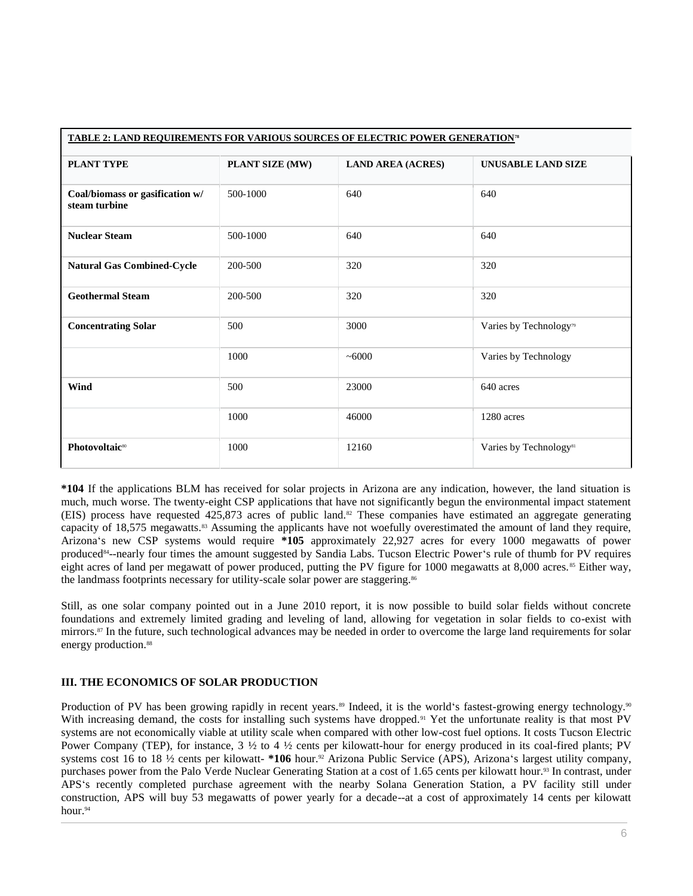| PLANT TYPE                                       | PLANT SIZE (MW) | <b>LAND AREA (ACRES)</b> | <b>UNUSABLE LAND SIZE</b>          |
|--------------------------------------------------|-----------------|--------------------------|------------------------------------|
| Coal/biomass or gasification w/<br>steam turbine | 500-1000        | 640                      | 640                                |
| <b>Nuclear Steam</b>                             | 500-1000        | 640                      | 640                                |
| <b>Natural Gas Combined-Cycle</b>                | 200-500         | 320                      | 320                                |
| <b>Geothermal Steam</b>                          | 200-500         | 320                      | 320                                |
| <b>Concentrating Solar</b>                       | 500             | 3000                     | Varies by Technology <sup>79</sup> |
|                                                  | 1000            | ~10000                   | Varies by Technology               |
| Wind                                             | 500             | 23000                    | 640 acres                          |
|                                                  | 1000            | 46000                    | 1280 acres                         |
| Photovoltaic <sup>80</sup>                       | 1000            | 12160                    | Varies by Technology <sup>81</sup> |

# **TABLE 2: LAND REQUIREMENTS FOR VARIOUS SOURCES OF ELECTRIC POWER GENERATION<sup>78</sup>**

**\*104** If the applications BLM has received for solar projects in Arizona are any indication, however, the land situation is much, much worse. The twenty-eight CSP applications that have not significantly begun the environmental impact statement (EIS) process have requested 425,873 acres of public land.<sup>82</sup> These companies have estimated an aggregate generating capacity of 18,575 megawatts.<sup>83</sup> Assuming the applicants have not woefully overestimated the amount of land they require, Arizona's new CSP systems would require **\*105** approximately 22,927 acres for every 1000 megawatts of power produced<sup>84</sup>--nearly four times the amount suggested by Sandia Labs. Tucson Electric Power's rule of thumb for PV requires eight acres of land per megawatt of power produced, putting the PV figure for 1000 megawatts at 8,000 acres.<sup>85</sup> Either way, the landmass footprints necessary for utility-scale solar power are staggering.<sup>86</sup>

Still, as one solar company pointed out in a June 2010 report, it is now possible to build solar fields without concrete foundations and extremely limited grading and leveling of land, allowing for vegetation in solar fields to co-exist with mirrors.<sup>87</sup> In the future, such technological advances may be needed in order to overcome the large land requirements for solar energy production.<sup>88</sup>

# **III. THE ECONOMICS OF SOLAR PRODUCTION**

Production of PV has been growing rapidly in recent years.<sup>89</sup> Indeed, it is the world's fastest-growing energy technology.<sup>90</sup> With increasing demand, the costs for installing such systems have dropped.<sup>91</sup> Yet the unfortunate reality is that most PV systems are not economically viable at utility scale when compared with other low-cost fuel options. It costs Tucson Electric Power Company (TEP), for instance, 3  $\frac{1}{2}$  to 4  $\frac{1}{2}$  cents per kilowatt-hour for energy produced in its coal-fired plants; PV systems cost 16 to 18 <sup>1</sup>/<sub>2</sub> cents per kilowatt- \*106 hour.<sup>92</sup> Arizona Public Service (APS), Arizona's largest utility company, purchases power from the Palo Verde Nuclear Generating Station at a cost of 1.65 cents per kilowatt hour.<sup>93</sup> In contrast, under APS's recently completed purchase agreement with the nearby Solana Generation Station, a PV facility still under construction, APS will buy 53 megawatts of power yearly for a decade--at a cost of approximately 14 cents per kilowatt hour.<sup>94</sup>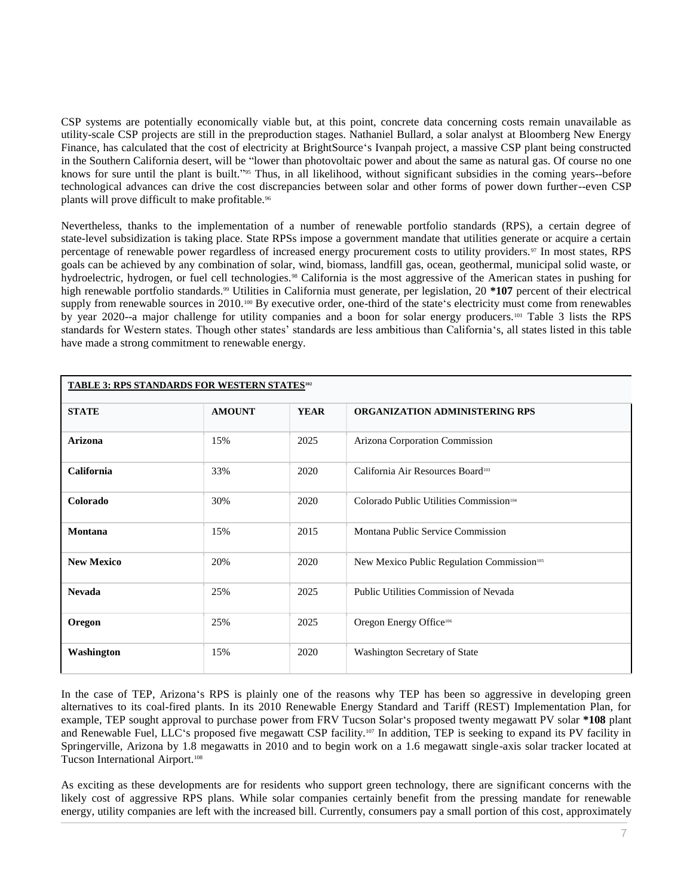CSP systems are potentially economically viable but, at this point, concrete data concerning costs remain unavailable as utility-scale CSP projects are still in the preproduction stages. Nathaniel Bullard, a solar analyst at Bloomberg New Energy Finance, has calculated that the cost of electricity at BrightSource's Ivanpah project, a massive CSP plant being constructed in the Southern California desert, will be "lower than photovoltaic power and about the same as natural gas. Of course no one knows for sure until the plant is built."<sup>95</sup> Thus, in all likelihood, without significant subsidies in the coming years--before technological advances can drive the cost discrepancies between solar and other forms of power down further--even CSP plants will prove difficult to make profitable.<sup>96</sup>

Nevertheless, thanks to the implementation of a number of renewable portfolio standards (RPS), a certain degree of state-level subsidization is taking place. State RPSs impose a government mandate that utilities generate or acquire a certain percentage of renewable power regardless of increased energy procurement costs to utility providers.<sup>97</sup> In most states, RPS goals can be achieved by any combination of solar, wind, biomass, landfill gas, ocean, geothermal, municipal solid waste, or hydroelectric, hydrogen, or fuel cell technologies.<sup>98</sup> California is the most aggressive of the American states in pushing for high renewable portfolio standards.<sup>99</sup> Utilities in California must generate, per legislation, 20 \*107 percent of their electrical supply from renewable sources in  $2010.^{100}$  By executive order, one-third of the state's electricity must come from renewables by year 2020--a major challenge for utility companies and a boon for solar energy producers.<sup>101</sup> Table 3 lists the RPS standards for Western states. Though other states' standards are less ambitious than California's, all states listed in this table have made a strong commitment to renewable energy.

| TABLE 3: RPS STANDARDS FOR WESTERN STATES <sup>102</sup> |               |             |                                                        |
|----------------------------------------------------------|---------------|-------------|--------------------------------------------------------|
| <b>STATE</b>                                             | <b>AMOUNT</b> | <b>YEAR</b> | <b>ORGANIZATION ADMINISTERING RPS</b>                  |
| <b>Arizona</b>                                           | 15%           | 2025        | Arizona Corporation Commission                         |
| California                                               | 33%           | 2020        | California Air Resources Board <sup>103</sup>          |
| Colorado                                                 | 30%           | 2020        | Colorado Public Utilities Commission <sup>104</sup>    |
| Montana                                                  | 15%           | 2015        | Montana Public Service Commission                      |
| <b>New Mexico</b>                                        | 20%           | 2020        | New Mexico Public Regulation Commission <sup>105</sup> |
| <b>Nevada</b>                                            | 25%           | 2025        | Public Utilities Commission of Nevada                  |
| Oregon                                                   | 25%           | 2025        | Oregon Energy Office <sup>106</sup>                    |
| Washington                                               | 15%           | 2020        | Washington Secretary of State                          |

In the case of TEP, Arizona's RPS is plainly one of the reasons why TEP has been so aggressive in developing green alternatives to its coal-fired plants. In its 2010 Renewable Energy Standard and Tariff (REST) Implementation Plan, for example, TEP sought approval to purchase power from FRV Tucson Solar's proposed twenty megawatt PV solar **\*108** plant and Renewable Fuel, LLC's proposed five megawatt CSP facility.<sup>107</sup> In addition, TEP is seeking to expand its PV facility in Springerville, Arizona by 1.8 megawatts in 2010 and to begin work on a 1.6 megawatt single-axis solar tracker located at Tucson International Airport.<sup>108</sup>

As exciting as these developments are for residents who support green technology, there are significant concerns with the likely cost of aggressive RPS plans. While solar companies certainly benefit from the pressing mandate for renewable energy, utility companies are left with the increased bill. Currently, consumers pay a small portion of this cost, approximately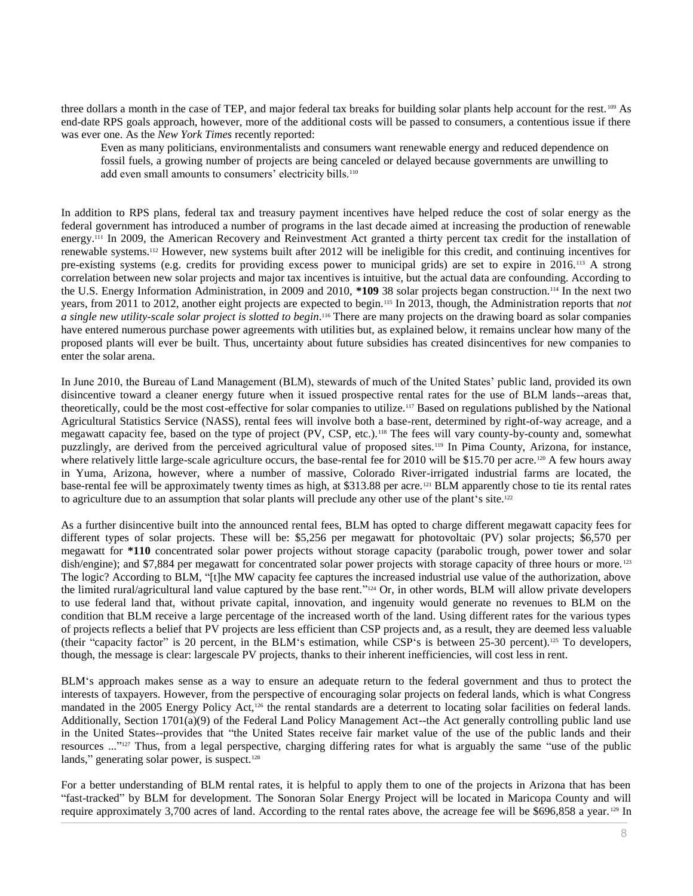three dollars a month in the case of TEP, and major federal tax breaks for building solar plants help account for the rest. <sup>109</sup> As end-date RPS goals approach, however, more of the additional costs will be passed to consumers, a contentious issue if there was ever one. As the *New York Times* recently reported:

Even as many politicians, environmentalists and consumers want renewable energy and reduced dependence on fossil fuels, a growing number of projects are being canceled or delayed because governments are unwilling to add even small amounts to consumers' electricity bills.<sup>110</sup>

In addition to RPS plans, federal tax and treasury payment incentives have helped reduce the cost of solar energy as the federal government has introduced a number of programs in the last decade aimed at increasing the production of renewable energy.<sup>111</sup> In 2009, the American Recovery and Reinvestment Act granted a thirty percent tax credit for the installation of renewable systems.<sup>112</sup> However, new systems built after 2012 will be ineligible for this credit, and continuing incentives for pre-existing systems (e.g. credits for providing excess power to municipal grids) are set to expire in 2016.<sup>113</sup> A strong correlation between new solar projects and major tax incentives is intuitive, but the actual data are confounding. According to the U.S. Energy Information Administration, in 2009 and 2010, **\*109** 38 solar projects began construction.<sup>114</sup> In the next two years, from 2011 to 2012, another eight projects are expected to begin.<sup>115</sup> In 2013, though, the Administration reports that *not a single new utility-scale solar project is slotted to begin*.<sup>116</sup> There are many projects on the drawing board as solar companies have entered numerous purchase power agreements with utilities but, as explained below, it remains unclear how many of the proposed plants will ever be built. Thus, uncertainty about future subsidies has created disincentives for new companies to enter the solar arena.

In June 2010, the Bureau of Land Management (BLM), stewards of much of the United States' public land, provided its own disincentive toward a cleaner energy future when it issued prospective rental rates for the use of BLM lands--areas that, theoretically, could be the most cost-effective for solar companies to utilize.<sup>117</sup> Based on regulations published by the National Agricultural Statistics Service (NASS), rental fees will involve both a base-rent, determined by right-of-way acreage, and a megawatt capacity fee, based on the type of project (PV, CSP, etc.).<sup>118</sup> The fees will vary county-by-county and, somewhat puzzlingly, are derived from the perceived agricultural value of proposed sites.<sup>119</sup> In Pima County, Arizona, for instance, where relatively little large-scale agriculture occurs, the base-rental fee for 2010 will be \$15.70 per acre.<sup>120</sup> A few hours away in Yuma, Arizona, however, where a number of massive, Colorado River-irrigated industrial farms are located, the base-rental fee will be approximately twenty times as high, at \$313.88 per acre.<sup>121</sup> BLM apparently chose to tie its rental rates to agriculture due to an assumption that solar plants will preclude any other use of the plant's site.<sup>122</sup>

As a further disincentive built into the announced rental fees, BLM has opted to charge different megawatt capacity fees for different types of solar projects. These will be: \$5,256 per megawatt for photovoltaic (PV) solar projects; \$6,570 per megawatt for **\*110** concentrated solar power projects without storage capacity (parabolic trough, power tower and solar dish/engine); and \$7,884 per megawatt for concentrated solar power projects with storage capacity of three hours or more. <sup>123</sup> The logic? According to BLM, "[t]he MW capacity fee captures the increased industrial use value of the authorization, above the limited rural/agricultural land value captured by the base rent." <sup>124</sup> Or, in other words, BLM will allow private developers to use federal land that, without private capital, innovation, and ingenuity would generate no revenues to BLM on the condition that BLM receive a large percentage of the increased worth of the land. Using different rates for the various types of projects reflects a belief that PV projects are less efficient than CSP projects and, as a result, they are deemed less valuable (their "capacity factor" is 20 percent, in the BLM's estimation, while CSP's is between 25-30 percent).<sup>125</sup> To developers, though, the message is clear: largescale PV projects, thanks to their inherent inefficiencies, will cost less in rent.

BLM's approach makes sense as a way to ensure an adequate return to the federal government and thus to protect the interests of taxpayers. However, from the perspective of encouraging solar projects on federal lands, which is what Congress mandated in the 2005 Energy Policy Act,<sup>126</sup> the rental standards are a deterrent to locating solar facilities on federal lands. Additionally, Section 1701(a)(9) of the Federal Land Policy Management Act--the Act generally controlling public land use in the United States--provides that "the United States receive fair market value of the use of the public lands and their resources ..." <sup>127</sup> Thus, from a legal perspective, charging differing rates for what is arguably the same "use of the public lands," generating solar power, is suspect.<sup>128</sup>

For a better understanding of BLM rental rates, it is helpful to apply them to one of the projects in Arizona that has been "fast-tracked" by BLM for development. The Sonoran Solar Energy Project will be located in Maricopa County and will require approximately 3,700 acres of land. According to the rental rates above, the acreage fee will be \$696,858 a year. <sup>129</sup> In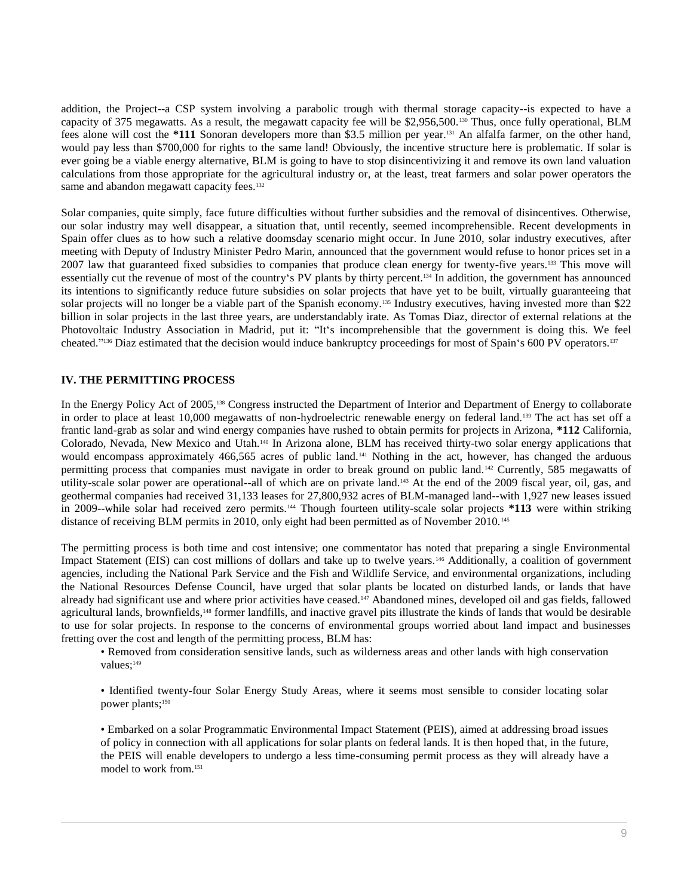addition, the Project--a CSP system involving a parabolic trough with thermal storage capacity--is expected to have a capacity of 375 megawatts. As a result, the megawatt capacity fee will be \$2,956,500.<sup>130</sup> Thus, once fully operational, BLM fees alone will cost the **\*111** Sonoran developers more than \$3.5 million per year.<sup>131</sup> An alfalfa farmer, on the other hand, would pay less than \$700,000 for rights to the same land! Obviously, the incentive structure here is problematic. If solar is ever going be a viable energy alternative, BLM is going to have to stop disincentivizing it and remove its own land valuation calculations from those appropriate for the agricultural industry or, at the least, treat farmers and solar power operators the same and abandon megawatt capacity fees.<sup>132</sup>

Solar companies, quite simply, face future difficulties without further subsidies and the removal of disincentives. Otherwise, our solar industry may well disappear, a situation that, until recently, seemed incomprehensible. Recent developments in Spain offer clues as to how such a relative doomsday scenario might occur. In June 2010, solar industry executives, after meeting with Deputy of Industry Minister Pedro Marin, announced that the government would refuse to honor prices set in a 2007 law that guaranteed fixed subsidies to companies that produce clean energy for twenty-five years.<sup>133</sup> This move will essentially cut the revenue of most of the country's PV plants by thirty percent.<sup>134</sup> In addition, the government has announced its intentions to significantly reduce future subsidies on solar projects that have yet to be built, virtually guaranteeing that solar projects will no longer be a viable part of the Spanish economy.<sup>135</sup> Industry executives, having invested more than \$22 billion in solar projects in the last three years, are understandably irate. As Tomas Diaz, director of external relations at the Photovoltaic Industry Association in Madrid, put it: "It's incomprehensible that the government is doing this. We feel cheated."<sup>136</sup> Diaz estimated that the decision would induce bankruptcy proceedings for most of Spain's 600 PV operators.<sup>137</sup>

# **IV. THE PERMITTING PROCESS**

In the Energy Policy Act of 2005,<sup>138</sup> Congress instructed the Department of Interior and Department of Energy to collaborate in order to place at least 10,000 megawatts of non-hydroelectric renewable energy on federal land.<sup>139</sup> The act has set off a frantic land-grab as solar and wind energy companies have rushed to obtain permits for projects in Arizona, **\*112** California, Colorado, Nevada, New Mexico and Utah.<sup>140</sup> In Arizona alone, BLM has received thirty-two solar energy applications that would encompass approximately 466,565 acres of public land.<sup>141</sup> Nothing in the act, however, has changed the arduous permitting process that companies must navigate in order to break ground on public land.<sup>142</sup> Currently, 585 megawatts of utility-scale solar power are operational--all of which are on private land.<sup>143</sup> At the end of the 2009 fiscal year, oil, gas, and geothermal companies had received 31,133 leases for 27,800,932 acres of BLM-managed land--with 1,927 new leases issued in 2009--while solar had received zero permits.<sup>144</sup> Though fourteen utility-scale solar projects **\*113** were within striking distance of receiving BLM permits in 2010, only eight had been permitted as of November 2010.<sup>145</sup>

The permitting process is both time and cost intensive; one commentator has noted that preparing a single Environmental Impact Statement (EIS) can cost millions of dollars and take up to twelve years.<sup>146</sup> Additionally, a coalition of government agencies, including the National Park Service and the Fish and Wildlife Service, and environmental organizations, including the National Resources Defense Council, have urged that solar plants be located on disturbed lands, or lands that have already had significant use and where prior activities have ceased.<sup>147</sup> Abandoned mines, developed oil and gas fields, fallowed agricultural lands, brownfields,<sup>148</sup> former landfills, and inactive gravel pits illustrate the kinds of lands that would be desirable to use for solar projects. In response to the concerns of environmental groups worried about land impact and businesses fretting over the cost and length of the permitting process, BLM has:

• Removed from consideration sensitive lands, such as wilderness areas and other lands with high conservation values;<sup>149</sup>

• Identified twenty-four Solar Energy Study Areas, where it seems most sensible to consider locating solar power plants;<sup>150</sup>

• Embarked on a solar Programmatic Environmental Impact Statement (PEIS), aimed at addressing broad issues of policy in connection with all applications for solar plants on federal lands. It is then hoped that, in the future, the PEIS will enable developers to undergo a less time-consuming permit process as they will already have a model to work from.151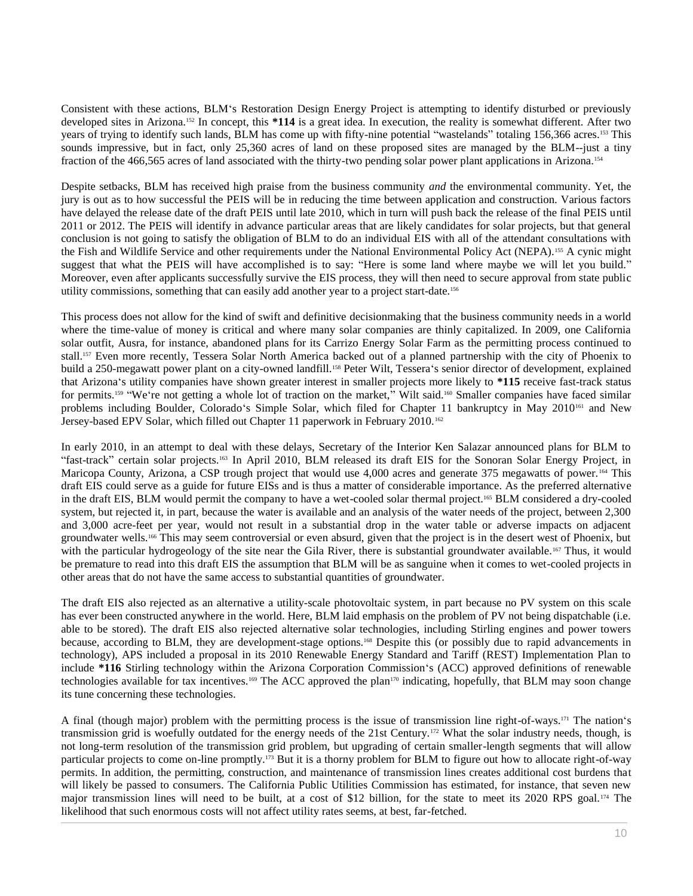Consistent with these actions, BLM's Restoration Design Energy Project is attempting to identify disturbed or previously developed sites in Arizona.<sup>152</sup> In concept, this **\*114** is a great idea. In execution, the reality is somewhat different. After two years of trying to identify such lands, BLM has come up with fifty-nine potential "wastelands" totaling 156,366 acres.<sup>153</sup> This sounds impressive, but in fact, only 25,360 acres of land on these proposed sites are managed by the BLM--just a tiny fraction of the 466,565 acres of land associated with the thirty-two pending solar power plant applications in Arizona.<sup>154</sup>

Despite setbacks, BLM has received high praise from the business community *and* the environmental community. Yet, the jury is out as to how successful the PEIS will be in reducing the time between application and construction. Various factors have delayed the release date of the draft PEIS until late 2010, which in turn will push back the release of the final PEIS until 2011 or 2012. The PEIS will identify in advance particular areas that are likely candidates for solar projects, but that general conclusion is not going to satisfy the obligation of BLM to do an individual EIS with all of the attendant consultations with the Fish and Wildlife Service and other requirements under the National Environmental Policy Act (NEPA).<sup>155</sup> A cynic might suggest that what the PEIS will have accomplished is to say: "Here is some land where maybe we will let you build." Moreover, even after applicants successfully survive the EIS process, they will then need to secure approval from state public utility commissions, something that can easily add another year to a project start-date.<sup>156</sup>

This process does not allow for the kind of swift and definitive decisionmaking that the business community needs in a world where the time-value of money is critical and where many solar companies are thinly capitalized. In 2009, one California solar outfit, Ausra, for instance, abandoned plans for its Carrizo Energy Solar Farm as the permitting process continued to stall.<sup>157</sup> Even more recently, Tessera Solar North America backed out of a planned partnership with the city of Phoenix to build a 250-megawatt power plant on a city-owned landfill.<sup>158</sup> Peter Wilt, Tessera's senior director of development, explained that Arizona's utility companies have shown greater interest in smaller projects more likely to **\*115** receive fast-track status for permits.<sup>159</sup> "We're not getting a whole lot of traction on the market," Wilt said.<sup>160</sup> Smaller companies have faced similar problems including Boulder, Colorado's Simple Solar, which filed for Chapter 11 bankruptcy in May 2010<sup>161</sup> and New Jersey-based EPV Solar, which filled out Chapter 11 paperwork in February 2010.<sup>162</sup>

In early 2010, in an attempt to deal with these delays, Secretary of the Interior Ken Salazar announced plans for BLM to "fast-track" certain solar projects.<sup>163</sup> In April 2010, BLM released its draft EIS for the Sonoran Solar Energy Project, in Maricopa County, Arizona, a CSP trough project that would use 4,000 acres and generate 375 megawatts of power.<sup>164</sup> This draft EIS could serve as a guide for future EISs and is thus a matter of considerable importance. As the preferred alternative in the draft EIS, BLM would permit the company to have a wet-cooled solar thermal project.<sup>165</sup> BLM considered a dry-cooled system, but rejected it, in part, because the water is available and an analysis of the water needs of the project, between 2,300 and 3,000 acre-feet per year, would not result in a substantial drop in the water table or adverse impacts on adjacent groundwater wells.<sup>166</sup> This may seem controversial or even absurd, given that the project is in the desert west of Phoenix, but with the particular hydrogeology of the site near the Gila River, there is substantial groundwater available.<sup>167</sup> Thus, it would be premature to read into this draft EIS the assumption that BLM will be as sanguine when it comes to wet-cooled projects in other areas that do not have the same access to substantial quantities of groundwater.

The draft EIS also rejected as an alternative a utility-scale photovoltaic system, in part because no PV system on this scale has ever been constructed anywhere in the world. Here, BLM laid emphasis on the problem of PV not being dispatchable (i.e. able to be stored). The draft EIS also rejected alternative solar technologies, including Stirling engines and power towers because, according to BLM, they are development-stage options.<sup>168</sup> Despite this (or possibly due to rapid advancements in technology), APS included a proposal in its 2010 Renewable Energy Standard and Tariff (REST) Implementation Plan to include **\*116** Stirling technology within the Arizona Corporation Commission's (ACC) approved definitions of renewable technologies available for tax incentives.<sup>169</sup> The ACC approved the plan<sup>170</sup> indicating, hopefully, that BLM may soon change its tune concerning these technologies.

A final (though major) problem with the permitting process is the issue of transmission line right-of-ways.<sup>171</sup> The nation's transmission grid is woefully outdated for the energy needs of the 21st Century.<sup>172</sup> What the solar industry needs, though, is not long-term resolution of the transmission grid problem, but upgrading of certain smaller-length segments that will allow particular projects to come on-line promptly.<sup>173</sup> But it is a thorny problem for BLM to figure out how to allocate right-of-way permits. In addition, the permitting, construction, and maintenance of transmission lines creates additional cost burdens that will likely be passed to consumers. The California Public Utilities Commission has estimated, for instance, that seven new major transmission lines will need to be built, at a cost of \$12 billion, for the state to meet its 2020 RPS goal. <sup>174</sup> The likelihood that such enormous costs will not affect utility rates seems, at best, far-fetched.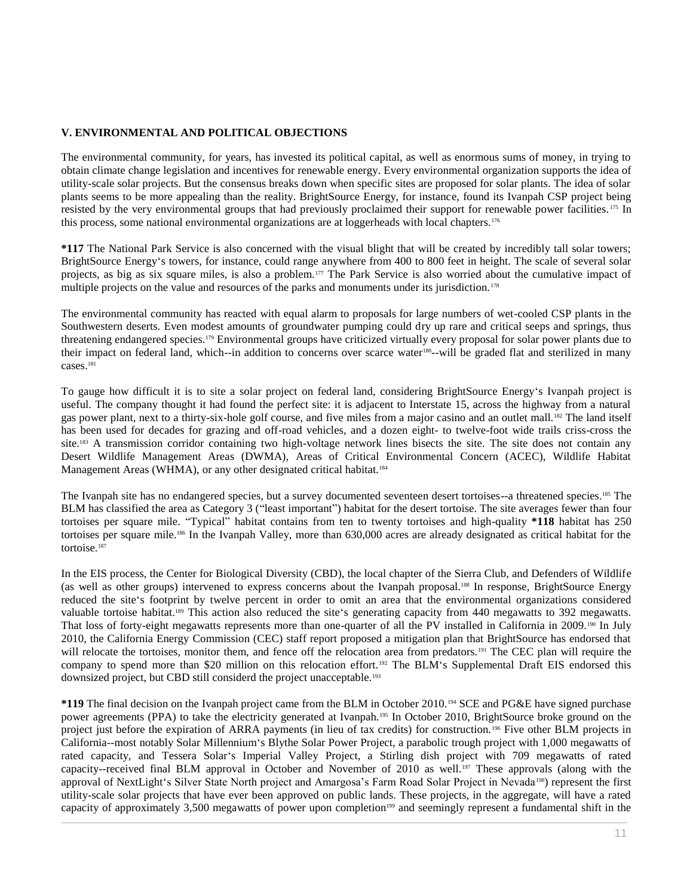# **V. ENVIRONMENTAL AND POLITICAL OBJECTIONS**

The environmental community, for years, has invested its political capital, as well as enormous sums of money, in trying to obtain climate change legislation and incentives for renewable energy. Every environmental organization supports the idea of utility-scale solar projects. But the consensus breaks down when specific sites are proposed for solar plants. The idea of solar plants seems to be more appealing than the reality. BrightSource Energy, for instance, found its Ivanpah CSP project being resisted by the very environmental groups that had previously proclaimed their support for renewable power facilities. <sup>175</sup> In this process, some national environmental organizations are at loggerheads with local chapters.<sup>176</sup>

**\*117** The National Park Service is also concerned with the visual blight that will be created by incredibly tall solar towers; BrightSource Energy's towers, for instance, could range anywhere from 400 to 800 feet in height. The scale of several solar projects, as big as six square miles, is also a problem.<sup>177</sup> The Park Service is also worried about the cumulative impact of multiple projects on the value and resources of the parks and monuments under its jurisdiction.<sup>178</sup>

The environmental community has reacted with equal alarm to proposals for large numbers of wet-cooled CSP plants in the Southwestern deserts. Even modest amounts of groundwater pumping could dry up rare and critical seeps and springs, thus threatening endangered species.<sup>179</sup> Environmental groups have criticized virtually every proposal for solar power plants due to their impact on federal land, which--in addition to concerns over scarce water<sup>180</sup>-will be graded flat and sterilized in many cases.<sup>181</sup>

To gauge how difficult it is to site a solar project on federal land, considering BrightSource Energy's Ivanpah project is useful. The company thought it had found the perfect site: it is adjacent to Interstate 15, across the highway from a natural gas power plant, next to a thirty-six-hole golf course, and five miles from a major casino and an outlet mall.<sup>182</sup> The land itself has been used for decades for grazing and off-road vehicles, and a dozen eight- to twelve-foot wide trails criss-cross the site.<sup>183</sup> A transmission corridor containing two high-voltage network lines bisects the site. The site does not contain any Desert Wildlife Management Areas (DWMA), Areas of Critical Environmental Concern (ACEC), Wildlife Habitat Management Areas (WHMA), or any other designated critical habitat.<sup>184</sup>

The Ivanpah site has no endangered species, but a survey documented seventeen desert tortoises--a threatened species.<sup>185</sup> The BLM has classified the area as Category 3 ("least important") habitat for the desert tortoise. The site averages fewer than four tortoises per square mile. "Typical" habitat contains from ten to twenty tortoises and high-quality **\*118** habitat has 250 tortoises per square mile.<sup>186</sup> In the Ivanpah Valley, more than 630,000 acres are already designated as critical habitat for the tortoise.<sup>187</sup>

In the EIS process, the Center for Biological Diversity (CBD), the local chapter of the Sierra Club, and Defenders of Wildlife (as well as other groups) intervened to express concerns about the Ivanpah proposal.<sup>188</sup> In response, BrightSource Energy reduced the site's footprint by twelve percent in order to omit an area that the environmental organizations considered valuable tortoise habitat.<sup>189</sup> This action also reduced the site's generating capacity from 440 megawatts to 392 megawatts. That loss of forty-eight megawatts represents more than one-quarter of all the PV installed in California in 2009.<sup>190</sup> In July 2010, the California Energy Commission (CEC) staff report proposed a mitigation plan that BrightSource has endorsed that will relocate the tortoises, monitor them, and fence off the relocation area from predators.<sup>191</sup> The CEC plan will require the company to spend more than \$20 million on this relocation effort.<sup>192</sup> The BLM's Supplemental Draft EIS endorsed this downsized project, but CBD still considerd the project unacceptable.<sup>193</sup>

**\*119** The final decision on the Ivanpah project came from the BLM in October 2010.<sup>194</sup> SCE and PG&E have signed purchase power agreements (PPA) to take the electricity generated at Ivanpah.<sup>195</sup> In October 2010, BrightSource broke ground on the project just before the expiration of ARRA payments (in lieu of tax credits) for construction.<sup>196</sup> Five other BLM projects in California--most notably Solar Millennium's Blythe Solar Power Project, a parabolic trough project with 1,000 megawatts of rated capacity, and Tessera Solar's Imperial Valley Project, a Stirling dish project with 709 megawatts of rated capacity--received final BLM approval in October and November of 2010 as well.<sup>197</sup> These approvals (along with the approval of NextLight's Silver State North project and Amargosa's Farm Road Solar Project in Nevada<sup>198</sup>) represent the first utility-scale solar projects that have ever been approved on public lands. These projects, in the aggregate, will have a rated capacity of approximately 3,500 megawatts of power upon completion<sup>199</sup> and seemingly represent a fundamental shift in the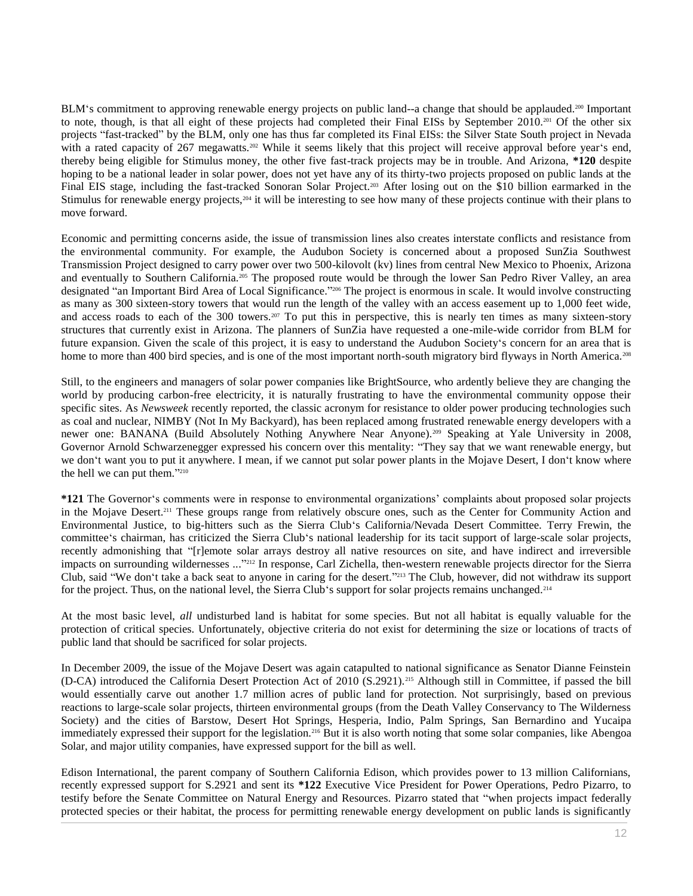BLM's commitment to approving renewable energy projects on public land--a change that should be applauded.<sup>200</sup> Important to note, though, is that all eight of these projects had completed their Final EISs by September 2010.<sup>201</sup> Of the other six projects "fast-tracked" by the BLM, only one has thus far completed its Final EISs: the Silver State South project in Nevada with a rated capacity of 267 megawatts.<sup>202</sup> While it seems likely that this project will receive approval before year's end, thereby being eligible for Stimulus money, the other five fast-track projects may be in trouble. And Arizona, **\*120** despite hoping to be a national leader in solar power, does not yet have any of its thirty-two projects proposed on public lands at the Final EIS stage, including the fast-tracked Sonoran Solar Project.<sup>203</sup> After losing out on the \$10 billion earmarked in the Stimulus for renewable energy projects, $204$  it will be interesting to see how many of these projects continue with their plans to move forward.

Economic and permitting concerns aside, the issue of transmission lines also creates interstate conflicts and resistance from the environmental community. For example, the Audubon Society is concerned about a proposed SunZia Southwest Transmission Project designed to carry power over two 500-kilovolt (kv) lines from central New Mexico to Phoenix, Arizona and eventually to Southern California.<sup>205</sup> The proposed route would be through the lower San Pedro River Valley, an area designated "an Important Bird Area of Local Significance." <sup>206</sup> The project is enormous in scale. It would involve constructing as many as 300 sixteen-story towers that would run the length of the valley with an access easement up to 1,000 feet wide, and access roads to each of the 300 towers.<sup>207</sup> To put this in perspective, this is nearly ten times as many sixteen-story structures that currently exist in Arizona. The planners of SunZia have requested a one-mile-wide corridor from BLM for future expansion. Given the scale of this project, it is easy to understand the Audubon Society's concern for an area that is home to more than 400 bird species, and is one of the most important north-south migratory bird flyways in North America.<sup>208</sup>

Still, to the engineers and managers of solar power companies like BrightSource, who ardently believe they are changing the world by producing carbon-free electricity, it is naturally frustrating to have the environmental community oppose their specific sites. As *Newsweek* recently reported, the classic acronym for resistance to older power producing technologies such as coal and nuclear, NIMBY (Not In My Backyard), has been replaced among frustrated renewable energy developers with a newer one: BANANA (Build Absolutely Nothing Anywhere Near Anyone).<sup>209</sup> Speaking at Yale University in 2008, Governor Arnold Schwarzenegger expressed his concern over this mentality: "They say that we want renewable energy, but we don't want you to put it anywhere. I mean, if we cannot put solar power plants in the Mojave Desert, I don't know where the hell we can put them." 210

**\*121** The Governor's comments were in response to environmental organizations' complaints about proposed solar projects in the Mojave Desert.<sup>211</sup> These groups range from relatively obscure ones, such as the Center for Community Action and Environmental Justice, to big-hitters such as the Sierra Club's California/Nevada Desert Committee. Terry Frewin, the committee's chairman, has criticized the Sierra Club's national leadership for its tacit support of large-scale solar projects, recently admonishing that "[r]emote solar arrays destroy all native resources on site, and have indirect and irreversible impacts on surrounding wildernesses ..." <sup>212</sup> In response, Carl Zichella, then-western renewable projects director for the Sierra Club, said "We don't take a back seat to anyone in caring for the desert." <sup>213</sup> The Club, however, did not withdraw its support for the project. Thus, on the national level, the Sierra Club's support for solar projects remains unchanged.<sup>214</sup>

At the most basic level, *all* undisturbed land is habitat for some species. But not all habitat is equally valuable for the protection of critical species. Unfortunately, objective criteria do not exist for determining the size or locations of tracts of public land that should be sacrificed for solar projects.

In December 2009, the issue of the Mojave Desert was again catapulted to national significance as Senator Dianne Feinstein (D-CA) introduced the California Desert Protection Act of 2010 (S.2921).<sup>215</sup> Although still in Committee, if passed the bill would essentially carve out another 1.7 million acres of public land for protection. Not surprisingly, based on previous reactions to large-scale solar projects, thirteen environmental groups (from the Death Valley Conservancy to The Wilderness Society) and the cities of Barstow, Desert Hot Springs, Hesperia, Indio, Palm Springs, San Bernardino and Yucaipa immediately expressed their support for the legislation.<sup>216</sup> But it is also worth noting that some solar companies, like Abengoa Solar, and major utility companies, have expressed support for the bill as well.

Edison International, the parent company of Southern California Edison, which provides power to 13 million Californians, recently expressed support for S.2921 and sent its **\*122** Executive Vice President for Power Operations, Pedro Pizarro, to testify before the Senate Committee on Natural Energy and Resources. Pizarro stated that "when projects impact federally protected species or their habitat, the process for permitting renewable energy development on public lands is significantly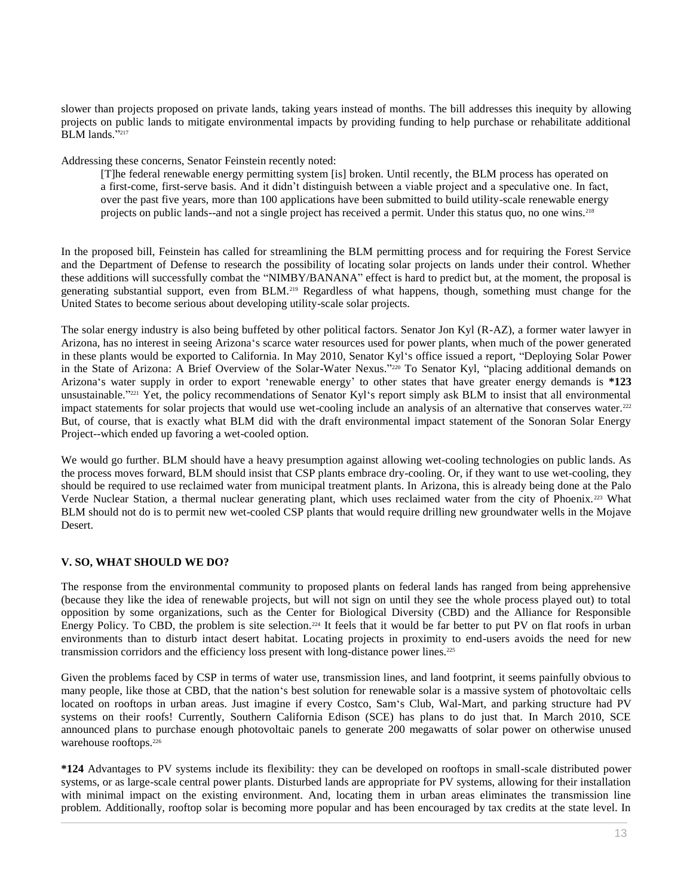slower than projects proposed on private lands, taking years instead of months. The bill addresses this inequity by allowing projects on public lands to mitigate environmental impacts by providing funding to help purchase or rehabilitate additional BLM lands."217

Addressing these concerns, Senator Feinstein recently noted:

[T]he federal renewable energy permitting system [is] broken. Until recently, the BLM process has operated on a first-come, first-serve basis. And it didn't distinguish between a viable project and a speculative one. In fact, over the past five years, more than 100 applications have been submitted to build utility-scale renewable energy projects on public lands--and not a single project has received a permit. Under this status quo, no one wins.<sup>218</sup>

In the proposed bill, Feinstein has called for streamlining the BLM permitting process and for requiring the Forest Service and the Department of Defense to research the possibility of locating solar projects on lands under their control. Whether these additions will successfully combat the "NIMBY/BANANA" effect is hard to predict but, at the moment, the proposal is generating substantial support, even from BLM.<sup>219</sup> Regardless of what happens, though, something must change for the United States to become serious about developing utility-scale solar projects.

The solar energy industry is also being buffeted by other political factors. Senator Jon Kyl (R-AZ), a former water lawyer in Arizona, has no interest in seeing Arizona's scarce water resources used for power plants, when much of the power generated in these plants would be exported to California. In May 2010, Senator Kyl's office issued a report, "Deploying Solar Power in the State of Arizona: A Brief Overview of the Solar-Water Nexus." <sup>220</sup> To Senator Kyl, "placing additional demands on Arizona's water supply in order to export 'renewable energy' to other states that have greater energy demands is \*123 unsustainable." <sup>221</sup> Yet, the policy recommendations of Senator Kyl's report simply ask BLM to insist that all environmental impact statements for solar projects that would use wet-cooling include an analysis of an alternative that conserves water.<sup>222</sup> But, of course, that is exactly what BLM did with the draft environmental impact statement of the Sonoran Solar Energy Project--which ended up favoring a wet-cooled option.

We would go further. BLM should have a heavy presumption against allowing wet-cooling technologies on public lands. As the process moves forward, BLM should insist that CSP plants embrace dry-cooling. Or, if they want to use wet-cooling, they should be required to use reclaimed water from municipal treatment plants. In Arizona, this is already being done at the Palo Verde Nuclear Station, a thermal nuclear generating plant, which uses reclaimed water from the city of Phoenix.<sup>223</sup> What BLM should not do is to permit new wet-cooled CSP plants that would require drilling new groundwater wells in the Mojave Desert.

# **V. SO, WHAT SHOULD WE DO?**

The response from the environmental community to proposed plants on federal lands has ranged from being apprehensive (because they like the idea of renewable projects, but will not sign on until they see the whole process played out) to total opposition by some organizations, such as the Center for Biological Diversity (CBD) and the Alliance for Responsible Energy Policy. To CBD, the problem is site selection.<sup>224</sup> It feels that it would be far better to put PV on flat roofs in urban environments than to disturb intact desert habitat. Locating projects in proximity to end-users avoids the need for new transmission corridors and the efficiency loss present with long-distance power lines.<sup>225</sup>

Given the problems faced by CSP in terms of water use, transmission lines, and land footprint, it seems painfully obvious to many people, like those at CBD, that the nation's best solution for renewable solar is a massive system of photovoltaic cells located on rooftops in urban areas. Just imagine if every Costco, Sam's Club, Wal-Mart, and parking structure had PV systems on their roofs! Currently, Southern California Edison (SCE) has plans to do just that. In March 2010, SCE announced plans to purchase enough photovoltaic panels to generate 200 megawatts of solar power on otherwise unused warehouse rooftops.<sup>226</sup>

**\*124** Advantages to PV systems include its flexibility: they can be developed on rooftops in small-scale distributed power systems, or as large-scale central power plants. Disturbed lands are appropriate for PV systems, allowing for their installation with minimal impact on the existing environment. And, locating them in urban areas eliminates the transmission line problem. Additionally, rooftop solar is becoming more popular and has been encouraged by tax credits at the state level. In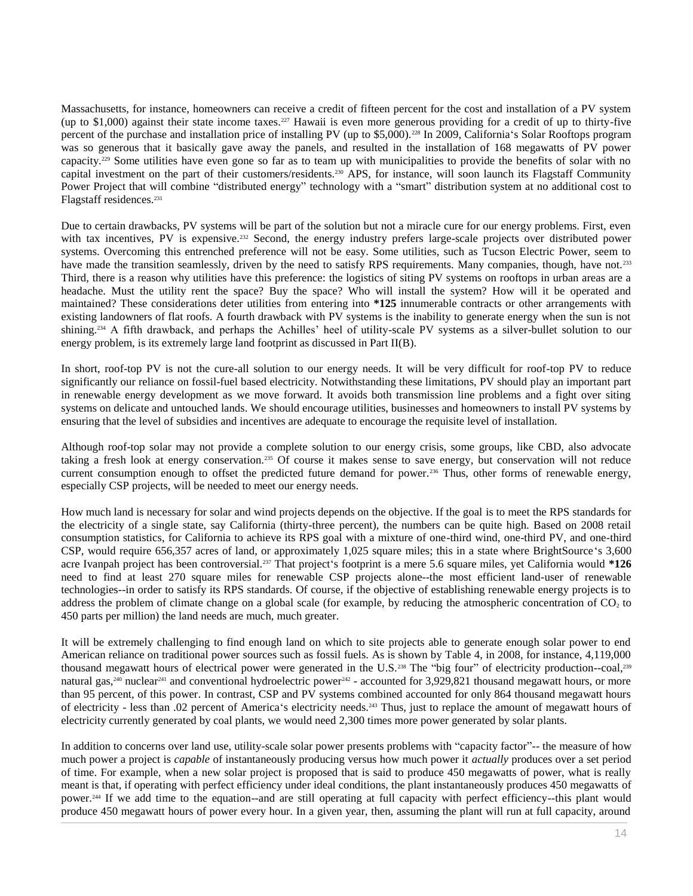Massachusetts, for instance, homeowners can receive a credit of fifteen percent for the cost and installation of a PV system (up to  $$1,000$ ) against their state income taxes.<sup>227</sup> Hawaii is even more generous providing for a credit of up to thirty-five percent of the purchase and installation price of installing PV (up to \$5,000).<sup>228</sup> In 2009, California's Solar Rooftops program was so generous that it basically gave away the panels, and resulted in the installation of 168 megawatts of PV power capacity.<sup>229</sup> Some utilities have even gone so far as to team up with municipalities to provide the benefits of solar with no capital investment on the part of their customers/residents.<sup>230</sup> APS, for instance, will soon launch its Flagstaff Community Power Project that will combine "distributed energy" technology with a "smart" distribution system at no additional cost to Flagstaff residences.<sup>231</sup>

Due to certain drawbacks, PV systems will be part of the solution but not a miracle cure for our energy problems. First, even with tax incentives, PV is expensive.<sup>232</sup> Second, the energy industry prefers large-scale projects over distributed power systems. Overcoming this entrenched preference will not be easy. Some utilities, such as Tucson Electric Power, seem to have made the transition seamlessly, driven by the need to satisfy RPS requirements. Many companies, though, have not.<sup>233</sup> Third, there is a reason why utilities have this preference: the logistics of siting PV systems on rooftops in urban areas are a headache. Must the utility rent the space? Buy the space? Who will install the system? How will it be operated and maintained? These considerations deter utilities from entering into **\*125** innumerable contracts or other arrangements with existing landowners of flat roofs. A fourth drawback with PV systems is the inability to generate energy when the sun is not shining.<sup>234</sup> A fifth drawback, and perhaps the Achilles' heel of utility-scale PV systems as a silver-bullet solution to our energy problem, is its extremely large land footprint as discussed in Part II(B).

In short, roof-top PV is not the cure-all solution to our energy needs. It will be very difficult for roof-top PV to reduce significantly our reliance on fossil-fuel based electricity. Notwithstanding these limitations, PV should play an important part in renewable energy development as we move forward. It avoids both transmission line problems and a fight over siting systems on delicate and untouched lands. We should encourage utilities, businesses and homeowners to install PV systems by ensuring that the level of subsidies and incentives are adequate to encourage the requisite level of installation.

Although roof-top solar may not provide a complete solution to our energy crisis, some groups, like CBD, also advocate taking a fresh look at energy conservation.<sup>235</sup> Of course it makes sense to save energy, but conservation will not reduce current consumption enough to offset the predicted future demand for power.<sup>236</sup> Thus, other forms of renewable energy, especially CSP projects, will be needed to meet our energy needs.

How much land is necessary for solar and wind projects depends on the objective. If the goal is to meet the RPS standards for the electricity of a single state, say California (thirty-three percent), the numbers can be quite high. Based on 2008 retail consumption statistics, for California to achieve its RPS goal with a mixture of one-third wind, one-third PV, and one-third CSP, would require 656,357 acres of land, or approximately 1,025 square miles; this in a state where BrightSource's 3,600 acre Ivanpah project has been controversial.<sup>237</sup> That project's footprint is a mere 5.6 square miles, yet California would **\*126** need to find at least 270 square miles for renewable CSP projects alone--the most efficient land-user of renewable technologies--in order to satisfy its RPS standards. Of course, if the objective of establishing renewable energy projects is to address the problem of climate change on a global scale (for example, by reducing the atmospheric concentration of  $CO<sub>2</sub>$  to 450 parts per million) the land needs are much, much greater.

It will be extremely challenging to find enough land on which to site projects able to generate enough solar power to end American reliance on traditional power sources such as fossil fuels. As is shown by Table 4, in 2008, for instance, 4,119,000 thousand megawatt hours of electrical power were generated in the U.S.<sup>238</sup> The "big four" of electricity production--coal,<sup>239</sup> natural gas,<sup>240</sup> nuclear<sup>241</sup> and conventional hydroelectric power<sup>242</sup> - accounted for 3,929,821 thousand megawatt hours, or more than 95 percent, of this power. In contrast, CSP and PV systems combined accounted for only 864 thousand megawatt hours of electricity - less than .02 percent of America's electricity needs.<sup>243</sup> Thus, just to replace the amount of megawatt hours of electricity currently generated by coal plants, we would need 2,300 times more power generated by solar plants.

In addition to concerns over land use, utility-scale solar power presents problems with "capacity factor"-- the measure of how much power a project is *capable* of instantaneously producing versus how much power it *actually* produces over a set period of time. For example, when a new solar project is proposed that is said to produce 450 megawatts of power, what is really meant is that, if operating with perfect efficiency under ideal conditions, the plant instantaneously produces 450 megawatts of power.<sup>244</sup> If we add time to the equation--and are still operating at full capacity with perfect efficiency--this plant would produce 450 megawatt hours of power every hour. In a given year, then, assuming the plant will run at full capacity, around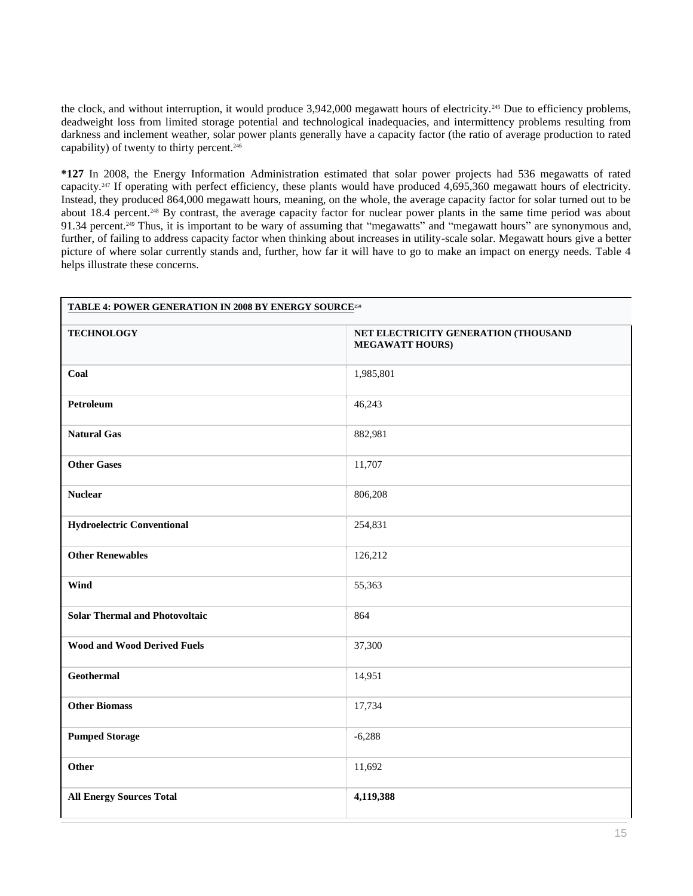the clock, and without interruption, it would produce 3,942,000 megawatt hours of electricity.<sup>245</sup> Due to efficiency problems, deadweight loss from limited storage potential and technological inadequacies, and intermittency problems resulting from darkness and inclement weather, solar power plants generally have a capacity factor (the ratio of average production to rated capability) of twenty to thirty percent.<sup>246</sup>

**\*127** In 2008, the Energy Information Administration estimated that solar power projects had 536 megawatts of rated capacity.<sup>247</sup> If operating with perfect efficiency, these plants would have produced 4,695,360 megawatt hours of electricity. Instead, they produced 864,000 megawatt hours, meaning, on the whole, the average capacity factor for solar turned out to be about 18.4 percent.<sup>248</sup> By contrast, the average capacity factor for nuclear power plants in the same time period was about 91.34 percent.<sup>249</sup> Thus, it is important to be wary of assuming that "megawatts" and "megawatt hours" are synonymous and, further, of failing to address capacity factor when thinking about increases in utility-scale solar. Megawatt hours give a better picture of where solar currently stands and, further, how far it will have to go to make an impact on energy needs. Table 4 helps illustrate these concerns.

г

| <b>TABLE 4: POWER GENERATION IN 2008 BY ENERGY SOURCE<sup>250</sup></b> |                                                                |  |  |  |
|-------------------------------------------------------------------------|----------------------------------------------------------------|--|--|--|
| <b>TECHNOLOGY</b>                                                       | NET ELECTRICITY GENERATION (THOUSAND<br><b>MEGAWATT HOURS)</b> |  |  |  |
| Coal                                                                    | 1,985,801                                                      |  |  |  |
| Petroleum                                                               | 46,243                                                         |  |  |  |
| <b>Natural Gas</b>                                                      | 882,981                                                        |  |  |  |
| <b>Other Gases</b>                                                      | 11,707                                                         |  |  |  |
| <b>Nuclear</b>                                                          | 806,208                                                        |  |  |  |
| <b>Hydroelectric Conventional</b>                                       | 254,831                                                        |  |  |  |
| <b>Other Renewables</b>                                                 | 126,212                                                        |  |  |  |
| Wind                                                                    | 55,363                                                         |  |  |  |
| <b>Solar Thermal and Photovoltaic</b>                                   | 864                                                            |  |  |  |
| <b>Wood and Wood Derived Fuels</b>                                      | 37,300                                                         |  |  |  |
| Geothermal                                                              | 14,951                                                         |  |  |  |
| <b>Other Biomass</b>                                                    | 17,734                                                         |  |  |  |
| <b>Pumped Storage</b>                                                   | $-6,288$                                                       |  |  |  |
| Other                                                                   | 11,692                                                         |  |  |  |
| <b>All Energy Sources Total</b>                                         | 4,119,388                                                      |  |  |  |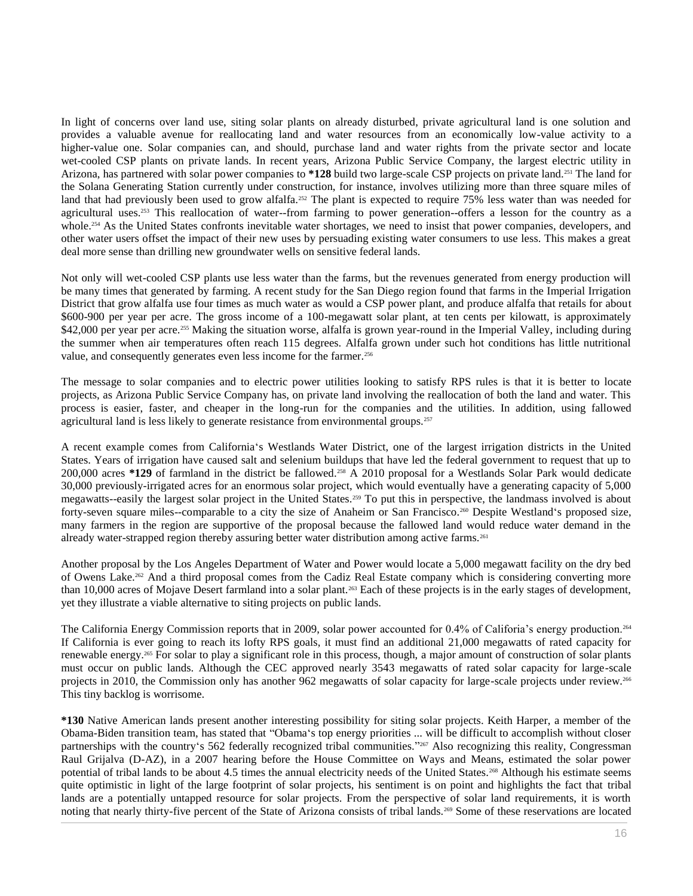In light of concerns over land use, siting solar plants on already disturbed, private agricultural land is one solution and provides a valuable avenue for reallocating land and water resources from an economically low-value activity to a higher-value one. Solar companies can, and should, purchase land and water rights from the private sector and locate wet-cooled CSP plants on private lands. In recent years, Arizona Public Service Company, the largest electric utility in Arizona, has partnered with solar power companies to **\*128** build two large-scale CSP projects on private land.<sup>251</sup> The land for the Solana Generating Station currently under construction, for instance, involves utilizing more than three square miles of land that had previously been used to grow alfalfa.<sup>252</sup> The plant is expected to require 75% less water than was needed for agricultural uses.<sup>253</sup> This reallocation of water--from farming to power generation--offers a lesson for the country as a whole.<sup>254</sup> As the United States confronts inevitable water shortages, we need to insist that power companies, developers, and other water users offset the impact of their new uses by persuading existing water consumers to use less. This makes a great deal more sense than drilling new groundwater wells on sensitive federal lands.

Not only will wet-cooled CSP plants use less water than the farms, but the revenues generated from energy production will be many times that generated by farming. A recent study for the San Diego region found that farms in the Imperial Irrigation District that grow alfalfa use four times as much water as would a CSP power plant, and produce alfalfa that retails for about \$600-900 per year per acre. The gross income of a 100-megawatt solar plant, at ten cents per kilowatt, is approximately \$42,000 per year per acre.<sup>255</sup> Making the situation worse, alfalfa is grown year-round in the Imperial Valley, including during the summer when air temperatures often reach 115 degrees. Alfalfa grown under such hot conditions has little nutritional value, and consequently generates even less income for the farmer.<sup>256</sup>

The message to solar companies and to electric power utilities looking to satisfy RPS rules is that it is better to locate projects, as Arizona Public Service Company has, on private land involving the reallocation of both the land and water. This process is easier, faster, and cheaper in the long-run for the companies and the utilities. In addition, using fallowed agricultural land is less likely to generate resistance from environmental groups.<sup>257</sup>

A recent example comes from California's Westlands Water District, one of the largest irrigation districts in the United States. Years of irrigation have caused salt and selenium buildups that have led the federal government to request that up to 200,000 acres **\*129** of farmland in the district be fallowed.<sup>258</sup> A 2010 proposal for a Westlands Solar Park would dedicate 30,000 previously-irrigated acres for an enormous solar project, which would eventually have a generating capacity of 5,000 megawatts--easily the largest solar project in the United States.<sup>259</sup> To put this in perspective, the landmass involved is about forty-seven square miles--comparable to a city the size of Anaheim or San Francisco.<sup>260</sup> Despite Westland's proposed size, many farmers in the region are supportive of the proposal because the fallowed land would reduce water demand in the already water-strapped region thereby assuring better water distribution among active farms.<sup>261</sup>

Another proposal by the Los Angeles Department of Water and Power would locate a 5,000 megawatt facility on the dry bed of Owens Lake.<sup>262</sup> And a third proposal comes from the Cadiz Real Estate company which is considering converting more than 10,000 acres of Mojave Desert farmland into a solar plant.<sup>263</sup> Each of these projects is in the early stages of development, yet they illustrate a viable alternative to siting projects on public lands.

The California Energy Commission reports that in 2009, solar power accounted for 0.4% of Califoria's energy production.<sup>264</sup> If California is ever going to reach its lofty RPS goals, it must find an additional 21,000 megawatts of rated capacity for renewable energy.<sup>265</sup> For solar to play a significant role in this process, though, a major amount of construction of solar plants must occur on public lands. Although the CEC approved nearly 3543 megawatts of rated solar capacity for large-scale projects in 2010, the Commission only has another 962 megawatts of solar capacity for large-scale projects under review.<sup>266</sup> This tiny backlog is worrisome.

**\*130** Native American lands present another interesting possibility for siting solar projects. Keith Harper, a member of the Obama-Biden transition team, has stated that "Obama's top energy priorities ... will be difficult to accomplish without closer partnerships with the country's 562 federally recognized tribal communities."<sup>267</sup> Also recognizing this reality, Congressman Raul Grijalva (D-AZ), in a 2007 hearing before the House Committee on Ways and Means, estimated the solar power potential of tribal lands to be about 4.5 times the annual electricity needs of the United States.<sup>268</sup> Although his estimate seems quite optimistic in light of the large footprint of solar projects, his sentiment is on point and highlights the fact that tribal lands are a potentially untapped resource for solar projects. From the perspective of solar land requirements, it is worth noting that nearly thirty-five percent of the State of Arizona consists of tribal lands.<sup>269</sup> Some of these reservations are located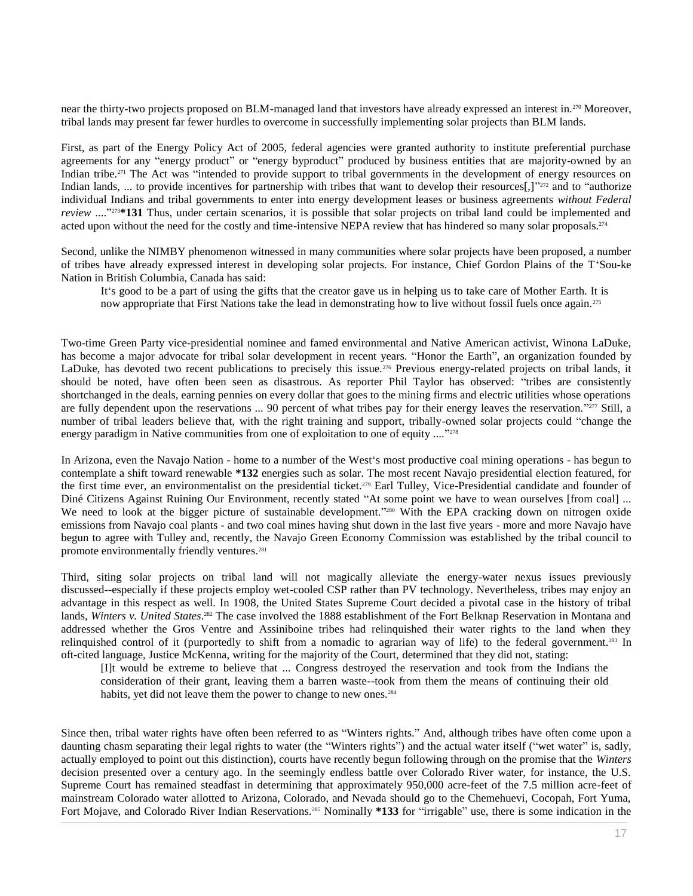near the thirty-two projects proposed on BLM-managed land that investors have already expressed an interest in.<sup>270</sup> Moreover, tribal lands may present far fewer hurdles to overcome in successfully implementing solar projects than BLM lands.

First, as part of the Energy Policy Act of 2005, federal agencies were granted authority to institute preferential purchase agreements for any "energy product" or "energy byproduct" produced by business entities that are majority-owned by an Indian tribe.<sup>271</sup> The Act was "intended to provide support to tribal governments in the development of energy resources on Indian lands, ... to provide incentives for partnership with tribes that want to develop their resources[,]"<sup>272</sup> and to "authorize individual Indians and tribal governments to enter into energy development leases or business agreements *without Federal review* ...." <sup>273</sup>**\*131** Thus, under certain scenarios, it is possible that solar projects on tribal land could be implemented and acted upon without the need for the costly and time-intensive NEPA review that has hindered so many solar proposals.<sup>274</sup>

Second, unlike the NIMBY phenomenon witnessed in many communities where solar projects have been proposed, a number of tribes have already expressed interest in developing solar projects. For instance, Chief Gordon Plains of the T'Sou-ke Nation in British Columbia, Canada has said:

It's good to be a part of using the gifts that the creator gave us in helping us to take care of Mother Earth. It is now appropriate that First Nations take the lead in demonstrating how to live without fossil fuels once again.<sup>275</sup>

Two-time Green Party vice-presidential nominee and famed environmental and Native American activist, Winona LaDuke, has become a major advocate for tribal solar development in recent years. "Honor the Earth", an organization founded by LaDuke, has devoted two recent publications to precisely this issue.<sup>276</sup> Previous energy-related projects on tribal lands, it should be noted, have often been seen as disastrous. As reporter Phil Taylor has observed: "tribes are consistently shortchanged in the deals, earning pennies on every dollar that goes to the mining firms and electric utilities whose operations are fully dependent upon the reservations ... 90 percent of what tribes pay for their energy leaves the reservation."<sup>277</sup> Still, a number of tribal leaders believe that, with the right training and support, tribally-owned solar projects could "change the energy paradigm in Native communities from one of exploitation to one of equity ...."<sup>278</sup>

In Arizona, even the Navajo Nation - home to a number of the West's most productive coal mining operations - has begun to contemplate a shift toward renewable **\*132** energies such as solar. The most recent Navajo presidential election featured, for the first time ever, an environmentalist on the presidential ticket.<sup>279</sup> Earl Tulley, Vice-Presidential candidate and founder of Diné Citizens Against Ruining Our Environment, recently stated "At some point we have to wean ourselves [from coal] ... We need to look at the bigger picture of sustainable development."<sup>280</sup> With the EPA cracking down on nitrogen oxide emissions from Navajo coal plants - and two coal mines having shut down in the last five years - more and more Navajo have begun to agree with Tulley and, recently, the Navajo Green Economy Commission was established by the tribal council to promote environmentally friendly ventures.<sup>281</sup>

Third, siting solar projects on tribal land will not magically alleviate the energy-water nexus issues previously discussed--especially if these projects employ wet-cooled CSP rather than PV technology. Nevertheless, tribes may enjoy an advantage in this respect as well. In 1908, the United States Supreme Court decided a pivotal case in the history of tribal lands, Winters v. United States.<sup>282</sup> The case involved the 1888 establishment of the Fort Belknap Reservation in Montana and addressed whether the Gros Ventre and Assiniboine tribes had relinquished their water rights to the land when they relinquished control of it (purportedly to shift from a nomadic to agrarian way of life) to the federal government.<sup>283</sup> In oft-cited language, Justice McKenna, writing for the majority of the Court, determined that they did not, stating:

[I]t would be extreme to believe that ... Congress destroyed the reservation and took from the Indians the consideration of their grant, leaving them a barren waste--took from them the means of continuing their old habits, yet did not leave them the power to change to new ones.<sup>284</sup>

Since then, tribal water rights have often been referred to as "Winters rights." And, although tribes have often come upon a daunting chasm separating their legal rights to water (the "Winters rights") and the actual water itself ("wet water" is, sadly, actually employed to point out this distinction), courts have recently begun following through on the promise that the *Winters* decision presented over a century ago. In the seemingly endless battle over Colorado River water, for instance, the U.S. Supreme Court has remained steadfast in determining that approximately 950,000 acre-feet of the 7.5 million acre-feet of mainstream Colorado water allotted to Arizona, Colorado, and Nevada should go to the Chemehuevi, Cocopah, Fort Yuma, Fort Mojave, and Colorado River Indian Reservations.<sup>285</sup> Nominally \*133 for "irrigable" use, there is some indication in the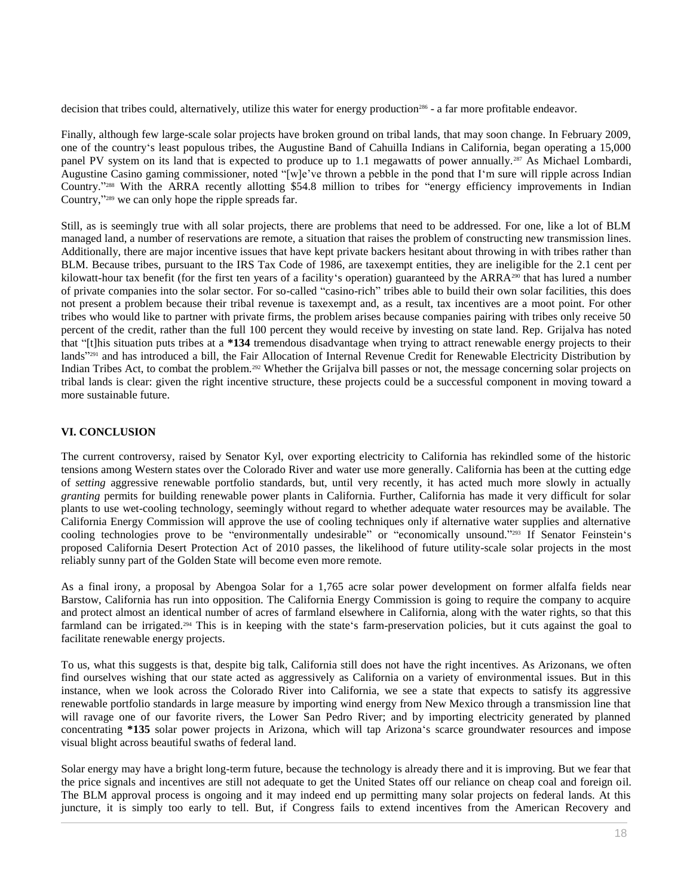decision that tribes could, alternatively, utilize this water for energy production<sup>286</sup> - a far more profitable endeavor.

Finally, although few large-scale solar projects have broken ground on tribal lands, that may soon change. In February 2009, one of the country's least populous tribes, the Augustine Band of Cahuilla Indians in California, began operating a 15,000 panel PV system on its land that is expected to produce up to 1.1 megawatts of power annually.<sup>287</sup> As Michael Lombardi, Augustine Casino gaming commissioner, noted "[w]e've thrown a pebble in the pond that I'm sure will ripple across Indian Country."<sup>288</sup> With the ARRA recently allotting \$54.8 million to tribes for "energy efficiency improvements in Indian Country," <sup>289</sup> we can only hope the ripple spreads far.

Still, as is seemingly true with all solar projects, there are problems that need to be addressed. For one, like a lot of BLM managed land, a number of reservations are remote, a situation that raises the problem of constructing new transmission lines. Additionally, there are major incentive issues that have kept private backers hesitant about throwing in with tribes rather than BLM. Because tribes, pursuant to the IRS Tax Code of 1986, are taxexempt entities, they are ineligible for the 2.1 cent per kilowatt-hour tax benefit (for the first ten years of a facility's operation) guaranteed by the  $ARRA<sup>290</sup>$  that has lured a number of private companies into the solar sector. For so-called "casino-rich" tribes able to build their own solar facilities, this does not present a problem because their tribal revenue is taxexempt and, as a result, tax incentives are a moot point. For other tribes who would like to partner with private firms, the problem arises because companies pairing with tribes only receive 50 percent of the credit, rather than the full 100 percent they would receive by investing on state land. Rep. Grijalva has noted that "[t]his situation puts tribes at a **\*134** tremendous disadvantage when trying to attract renewable energy projects to their lands"<sup>291</sup> and has introduced a bill, the Fair Allocation of Internal Revenue Credit for Renewable Electricity Distribution by Indian Tribes Act, to combat the problem.<sup>292</sup> Whether the Grijalva bill passes or not, the message concerning solar projects on tribal lands is clear: given the right incentive structure, these projects could be a successful component in moving toward a more sustainable future.

# **VI. CONCLUSION**

The current controversy, raised by Senator Kyl, over exporting electricity to California has rekindled some of the historic tensions among Western states over the Colorado River and water use more generally. California has been at the cutting edge of *setting* aggressive renewable portfolio standards, but, until very recently, it has acted much more slowly in actually *granting* permits for building renewable power plants in California. Further, California has made it very difficult for solar plants to use wet-cooling technology, seemingly without regard to whether adequate water resources may be available. The California Energy Commission will approve the use of cooling techniques only if alternative water supplies and alternative cooling technologies prove to be "environmentally undesirable" or "economically unsound."<sup>293</sup> If Senator Feinstein's proposed California Desert Protection Act of 2010 passes, the likelihood of future utility-scale solar projects in the most reliably sunny part of the Golden State will become even more remote.

As a final irony, a proposal by Abengoa Solar for a 1,765 acre solar power development on former alfalfa fields near Barstow, California has run into opposition. The California Energy Commission is going to require the company to acquire and protect almost an identical number of acres of farmland elsewhere in California, along with the water rights, so that this farmland can be irrigated.<sup>294</sup> This is in keeping with the state's farm-preservation policies, but it cuts against the goal to facilitate renewable energy projects.

To us, what this suggests is that, despite big talk, California still does not have the right incentives. As Arizonans, we often find ourselves wishing that our state acted as aggressively as California on a variety of environmental issues. But in this instance, when we look across the Colorado River into California, we see a state that expects to satisfy its aggressive renewable portfolio standards in large measure by importing wind energy from New Mexico through a transmission line that will ravage one of our favorite rivers, the Lower San Pedro River; and by importing electricity generated by planned concentrating **\*135** solar power projects in Arizona, which will tap Arizona's scarce groundwater resources and impose visual blight across beautiful swaths of federal land.

Solar energy may have a bright long-term future, because the technology is already there and it is improving. But we fear that the price signals and incentives are still not adequate to get the United States off our reliance on cheap coal and foreign oil. The BLM approval process is ongoing and it may indeed end up permitting many solar projects on federal lands. At this juncture, it is simply too early to tell. But, if Congress fails to extend incentives from the American Recovery and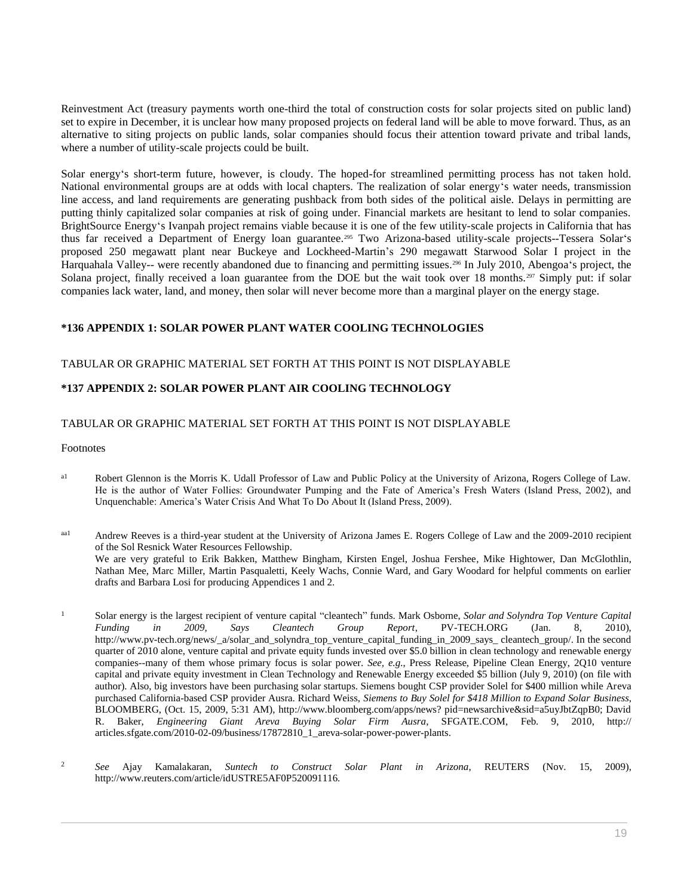Reinvestment Act (treasury payments worth one-third the total of construction costs for solar projects sited on public land) set to expire in December, it is unclear how many proposed projects on federal land will be able to move forward. Thus, as an alternative to siting projects on public lands, solar companies should focus their attention toward private and tribal lands, where a number of utility-scale projects could be built.

Solar energy's short-term future, however, is cloudy. The hoped-for streamlined permitting process has not taken hold. National environmental groups are at odds with local chapters. The realization of solar energy's water needs, transmission line access, and land requirements are generating pushback from both sides of the political aisle. Delays in permitting are putting thinly capitalized solar companies at risk of going under. Financial markets are hesitant to lend to solar companies. BrightSource Energy's Ivanpah project remains viable because it is one of the few utility-scale projects in California that has thus far received a Department of Energy loan guarantee.<sup>295</sup> Two Arizona-based utility-scale projects--Tessera Solar's proposed 250 megawatt plant near Buckeye and Lockheed-Martin's 290 megawatt Starwood Solar I project in the Harquahala Valley-- were recently abandoned due to financing and permitting issues.<sup>296</sup> In July 2010, Abengoa's project, the Solana project, finally received a loan guarantee from the DOE but the wait took over 18 months.<sup>297</sup> Simply put: if solar companies lack water, land, and money, then solar will never become more than a marginal player on the energy stage.

# **\*136 APPENDIX 1: SOLAR POWER PLANT WATER COOLING TECHNOLOGIES**

## TABULAR OR GRAPHIC MATERIAL SET FORTH AT THIS POINT IS NOT DISPLAYABLE

## **\*137 APPENDIX 2: SOLAR POWER PLANT AIR COOLING TECHNOLOGY**

#### TABULAR OR GRAPHIC MATERIAL SET FORTH AT THIS POINT IS NOT DISPLAYABLE

#### Footnotes

- <sup>a1</sup> Robert Glennon is the Morris K. Udall Professor of Law and Public Policy at the University of Arizona, Rogers College of Law. He is the author of Water Follies: Groundwater Pumping and the Fate of America's Fresh Waters (Island Press, 2002), and Unquenchable: America's Water Crisis And What To Do About It (Island Press, 2009).
- aa1 Andrew Reeves is a third-year student at the University of Arizona James E. Rogers College of Law and the 2009-2010 recipient of the Sol Resnick Water Resources Fellowship. We are very grateful to Erik Bakken, Matthew Bingham, Kirsten Engel, Joshua Fershee, Mike Hightower, Dan McGlothlin, Nathan Mee, Marc Miller, Martin Pasqualetti, Keely Wachs, Connie Ward, and Gary Woodard for helpful comments on earlier drafts and Barbara Losi for producing Appendices 1 and 2.
- <sup>1</sup> Solar energy is the largest recipient of venture capital "cleantech" funds. Mark Osborne, *Solar and Solyndra Top Venture Capital Funding in 2009, Says Cleantech Group Report*, PV-TECH.ORG (Jan. 8, 2010), http://www.pv-tech.org/news/\_a/solar\_and\_solyndra\_top\_venture\_capital\_funding\_in\_2009\_says\_ cleantech\_group/. In the second quarter of 2010 alone, venture capital and private equity funds invested over \$5.0 billion in clean technology and renewable energy companies--many of them whose primary focus is solar power. *See, e.g.*, Press Release, Pipeline Clean Energy, 2Q10 venture capital and private equity investment in Clean Technology and Renewable Energy exceeded \$5 billion (July 9, 2010) (on file with author). Also, big investors have been purchasing solar startups. Siemens bought CSP provider Solel for \$400 million while Areva purchased California-based CSP provider Ausra. Richard Weiss, *Siemens to Buy Solel for \$418 Million to Expand Solar Business*, BLOOMBERG, (Oct. 15, 2009, 5:31 AM), http://www.bloomberg.com/apps/news? pid=newsarchive&sid=a5uyJbtZqpB0; David R. Baker, *Engineering Giant Areva Buying Solar Firm Ausra*, SFGATE.COM, Feb. 9, 2010, http:// articles.sfgate.com/2010-02-09/business/17872810\_1\_areva-solar-power-power-plants.
- <sup>2</sup> *See* Ajay Kamalakaran, *Suntech to Construct Solar Plant in Arizona*, REUTERS (Nov. 15, 2009), http://www.reuters.com/article/idUSTRE5AF0P520091116.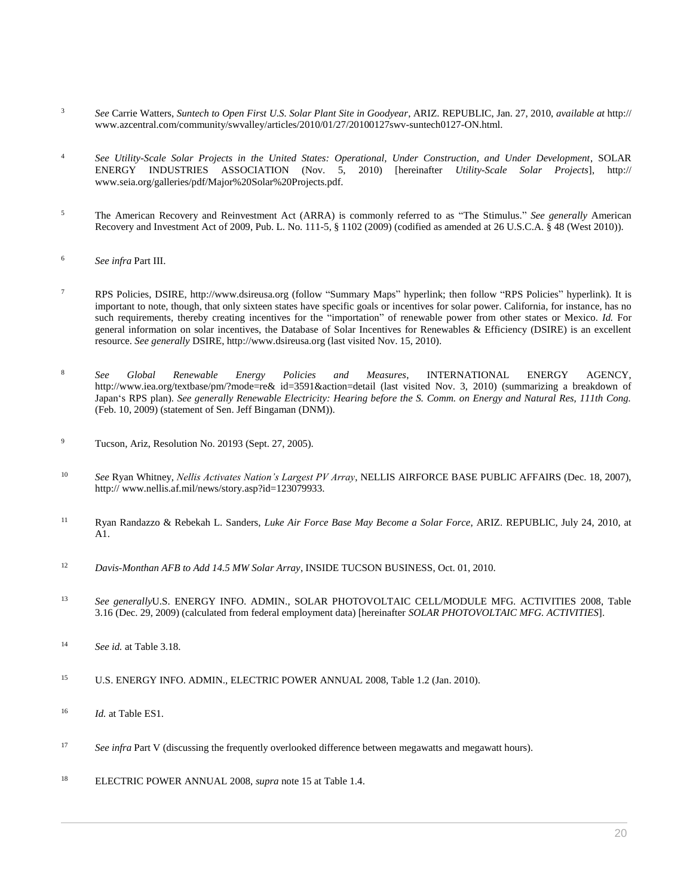- <sup>3</sup> *See* Carrie Watters, *Suntech to Open First U.S. Solar Plant Site in Goodyear*, ARIZ. REPUBLIC, Jan. 27, 2010, *available at* http:// www.azcentral.com/community/swvalley/articles/2010/01/27/20100127swv-suntech0127-ON.html.
- <sup>4</sup> *See Utility-Scale Solar Projects in the United States: Operational, Under Construction, and Under Development*, SOLAR ENERGY INDUSTRIES ASSOCIATION (Nov. 5, 2010) [hereinafter *Utility-Scale Solar Projects*], http:// www.seia.org/galleries/pdf/Major%20Solar%20Projects.pdf.
- <sup>5</sup> The American Recovery and Reinvestment Act (ARRA) is commonly referred to as "The Stimulus." *See generally* American Recovery and Investment Act of 2009[, Pub. L. No. 111-5,](http://www.westlaw.com/Link/Document/FullText?findType=l&pubNum=1077005&cite=UUID(I3A292700FE-C911DD9F1FD-B027D1AEBBC)&originatingDoc=I0ecc829c2df011e18b05fdf15589d8e8&refType=SL&originationContext=document&vr=3.0&rs=cblt1.0&transitionType=DocumentItem&contextData=(sc.Search)) § 1102 (2009) (codified as amended a[t 26 U.S.C.A. § 48 \(West 2010\)\)](http://www.westlaw.com/Link/Document/FullText?findType=L&pubNum=1000546&cite=26USCAS48&originatingDoc=I0ecc829c2df011e18b05fdf15589d8e8&refType=LQ&originationContext=document&vr=3.0&rs=cblt1.0&transitionType=DocumentItem&contextData=(sc.Search)).
- <sup>6</sup> *See infra* Part III.
- <sup>7</sup> RPS Policies, DSIRE, http://www.dsireusa.org (follow "Summary Maps" hyperlink; then follow "RPS Policies" hyperlink). It is important to note, though, that only sixteen states have specific goals or incentives for solar power. California, for instance, has no such requirements, thereby creating incentives for the "importation" of renewable power from other states or Mexico. *Id.* For general information on solar incentives, the Database of Solar Incentives for Renewables & Efficiency (DSIRE) is an excellent resource. *See generally* DSIRE, http://www.dsireusa.org (last visited Nov. 15, 2010).
- <sup>8</sup> *See Global Renewable Energy Policies and Measures*, INTERNATIONAL ENERGY AGENCY, http://www.iea.org/textbase/pm/?mode=re& id=3591&action=detail (last visited Nov. 3, 2010) (summarizing a breakdown of Japan's RPS plan). *See generally Renewable Electricity: Hearing before the S. Comm. on Energy and Natural Res, 111th Cong.* (Feb. 10, 2009) (statement of Sen. Jeff Bingaman (DNM)).
- <sup>9</sup> Tucson, Ariz, Resolution No. 20193 (Sept. 27, 2005).
- <sup>10</sup> *See* Ryan Whitney, *Nellis Activates Nation's Largest PV Array*, NELLIS AIRFORCE BASE PUBLIC AFFAIRS (Dec. 18, 2007), http:// www.nellis.af.mil/news/story.asp?id=123079933.
- <sup>11</sup> Ryan Randazzo & Rebekah L. Sanders, *Luke Air Force Base May Become a Solar Force*, ARIZ. REPUBLIC, July 24, 2010, at A1.
- <sup>12</sup> *Davis-Monthan AFB to Add 14.5 MW Solar Array*, INSIDE TUCSON BUSINESS, Oct. 01, 2010.
- <sup>13</sup> *See generally*U.S. ENERGY INFO. ADMIN., SOLAR PHOTOVOLTAIC CELL/MODULE MFG. ACTIVITIES 2008, Table 3.16 (Dec. 29, 2009) (calculated from federal employment data) [hereinafter *SOLAR PHOTOVOLTAIC MFG. ACTIVITIES*].
- <sup>14</sup> *See id.* at Table 3.18.
- <sup>15</sup> U.S. ENERGY INFO. ADMIN., ELECTRIC POWER ANNUAL 2008, Table 1.2 (Jan. 2010).
- <sup>16</sup> *Id.* at Table ES1.
- <sup>17</sup> *See infra* Part V (discussing the frequently overlooked difference between megawatts and megawatt hours).
- <sup>18</sup> ELECTRIC POWER ANNUAL 2008, *supra* note 15 at Table 1.4.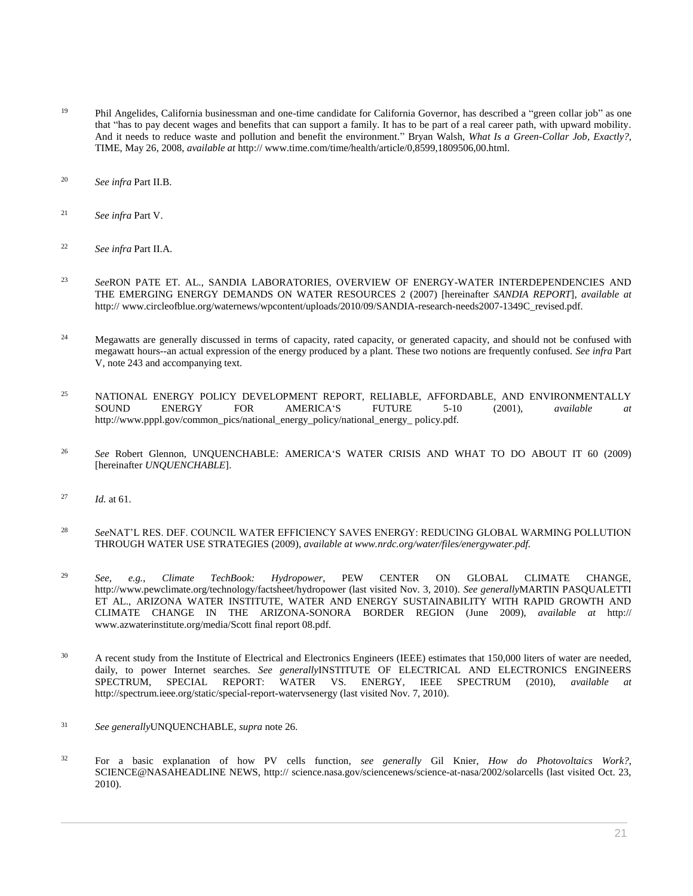- <sup>19</sup> Phil Angelides, California businessman and one-time candidate for California Governor, has described a "green collar job" as one that "has to pay decent wages and benefits that can support a family. It has to be part of a real career path, with upward mobility. And it needs to reduce waste and pollution and benefit the environment." Bryan Walsh, *What Is a Green-Collar Job, Exactly?*, TIME, May 26, 2008, *available at* http:// www.time.com/time/health/article/0,8599,1809506,00.html.
- <sup>20</sup> *See infra* Part II.B.
- <sup>21</sup> *See infra* Part V.
- <sup>22</sup> *See infra* Part II.A.
- <sup>23</sup> *See*RON PATE ET. AL., SANDIA LABORATORIES, OVERVIEW OF ENERGY-WATER INTERDEPENDENCIES AND THE EMERGING ENERGY DEMANDS ON WATER RESOURCES 2 (2007) [hereinafter *SANDIA REPORT*], *available at* http:// www.circleofblue.org/waternews/wpcontent/uploads/2010/09/SANDIA-research-needs2007-1349C\_revised.pdf.
- <sup>24</sup> Megawatts are generally discussed in terms of capacity, rated capacity, or generated capacity, and should not be confused with megawatt hours--an actual expression of the energy produced by a plant. These two notions are frequently confused. *See infra* Part V, note 243 and accompanying text.
- <sup>25</sup> NATIONAL ENERGY POLICY DEVELOPMENT REPORT, RELIABLE, AFFORDABLE, AND ENVIRONMENTALLY SOUND ENERGY FOR AMERICA'S FUTURE 5-10 (2001), *available at* http://www.pppl.gov/common\_pics/national\_energy\_policy/national\_energy\_ policy.pdf.
- <sup>26</sup> *See* Robert Glennon, UNQUENCHABLE: AMERICA'S WATER CRISIS AND WHAT TO DO ABOUT IT 60 (2009) [hereinafter *UNQUENCHABLE*].
- <sup>27</sup> *Id.* at 61.
- <sup>28</sup> *See*NAT'L RES. DEF. COUNCIL WATER EFFICIENCY SAVES ENERGY: REDUCING GLOBAL WARMING POLLUTION THROUGH WATER USE STRATEGIES (2009), *available at www.nrdc.org/water/files/energywater.pdf.*
- <sup>29</sup> *See, e.g.*, *Climate TechBook: Hydropower*, PEW CENTER ON GLOBAL CLIMATE CHANGE, http://www.pewclimate.org/technology/factsheet/hydropower (last visited Nov. 3, 2010). *See generally*MARTIN PASQUALETTI ET AL., ARIZONA WATER INSTITUTE, WATER AND ENERGY SUSTAINABILITY WITH RAPID GROWTH AND CLIMATE CHANGE IN THE ARIZONA-SONORA BORDER REGION (June 2009), *available at* http:// www.azwaterinstitute.org/media/Scott final report 08.pdf.
- <sup>30</sup> A recent study from the Institute of Electrical and Electronics Engineers (IEEE) estimates that 150,000 liters of water are needed, daily, to power Internet searches. *See generally*INSTITUTE OF ELECTRICAL AND ELECTRONICS ENGINEERS SPECTRUM, SPECIAL REPORT: WATER VS. ENERGY, IEEE SPECTRUM (2010), *available at* http://spectrum.ieee.org/static/special-report-watervsenergy (last visited Nov. 7, 2010).
- <sup>31</sup> *See generally*UNQUENCHABLE, *supra* note 26.
- <sup>32</sup> For a basic explanation of how PV cells function, *see generally* Gil Knier, *How do Photovoltaics Work?*, SCIENCE@NASAHEADLINE NEWS, http:// science.nasa.gov/sciencenews/science-at-nasa/2002/solarcells (last visited Oct. 23, 2010).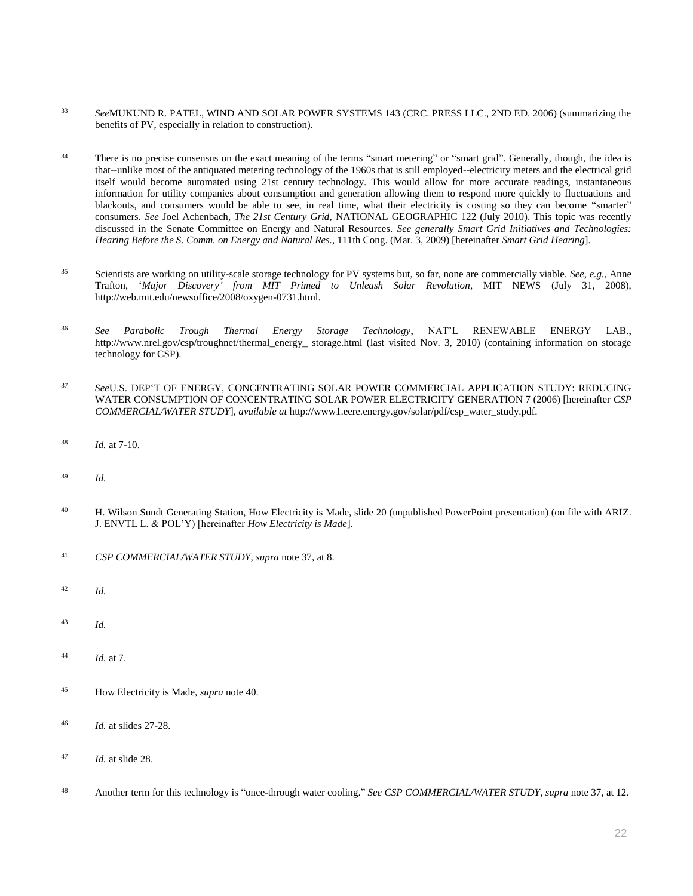- <sup>33</sup> *See*MUKUND R. PATEL, WIND AND SOLAR POWER SYSTEMS 143 (CRC. PRESS LLC., 2ND ED. 2006) (summarizing the benefits of PV, especially in relation to construction).
- <sup>34</sup> There is no precise consensus on the exact meaning of the terms "smart metering" or "smart grid". Generally, though, the idea is that--unlike most of the antiquated metering technology of the 1960s that is still employed--electricity meters and the electrical grid itself would become automated using 21st century technology. This would allow for more accurate readings, instantaneous information for utility companies about consumption and generation allowing them to respond more quickly to fluctuations and blackouts, and consumers would be able to see, in real time, what their electricity is costing so they can become "smarter" consumers. *See* Joel Achenbach, *The 21st Century Grid*, NATIONAL GEOGRAPHIC 122 (July 2010). This topic was recently discussed in the Senate Committee on Energy and Natural Resources. *See generally Smart Grid Initiatives and Technologies: Hearing Before the S. Comm. on Energy and Natural Res.*, 111th Cong. (Mar. 3, 2009) [hereinafter *Smart Grid Hearing*].
- <sup>35</sup> Scientists are working on utility-scale storage technology for PV systems but, so far, none are commercially viable. *See*, *e.g.*, Anne Trafton, '*Major Discovery' from MIT Primed to Unleash Solar Revolution*, MIT NEWS (July 31, 2008), http://web.mit.edu/newsoffice/2008/oxygen-0731.html.
- <sup>36</sup> *See Parabolic Trough Thermal Energy Storage Technology*, NAT'L RENEWABLE ENERGY LAB., http://www.nrel.gov/csp/troughnet/thermal\_energy\_ storage.html (last visited Nov. 3, 2010) (containing information on storage technology for CSP).
- <sup>37</sup> *See*U.S. DEP'T OF ENERGY, CONCENTRATING SOLAR POWER COMMERCIAL APPLICATION STUDY: REDUCING WATER CONSUMPTION OF CONCENTRATING SOLAR POWER ELECTRICITY GENERATION 7 (2006) [hereinafter *CSP COMMERCIAL/WATER STUDY*], *available at* http://www1.eere.energy.gov/solar/pdf/csp\_water\_study.pdf.
- <sup>38</sup> *Id.* at 7-10.
- <sup>39</sup> *Id.*
- 40 H. Wilson Sundt Generating Station, How Electricity is Made, slide 20 (unpublished PowerPoint presentation) (on file with ARIZ. J. ENVTL L. & POL'Y) [hereinafter *How Electricity is Made*].
- <sup>41</sup> *CSP COMMERCIAL/WATER STUDY*, *supra* note 37, at 8.
- <sup>42</sup> *Id.*
- <sup>43</sup> *Id.*
- <sup>44</sup> *Id.* at 7.
- <sup>45</sup> How Electricity is Made, *supra* note 40.
- <sup>46</sup> *Id.* at slides 27-28.
- <sup>47</sup> *Id.* at slide 28.
- <sup>48</sup> Another term for this technology is "once-through water cooling." *See CSP COMMERCIAL/WATER STUDY*, *supra* note 37, at 12.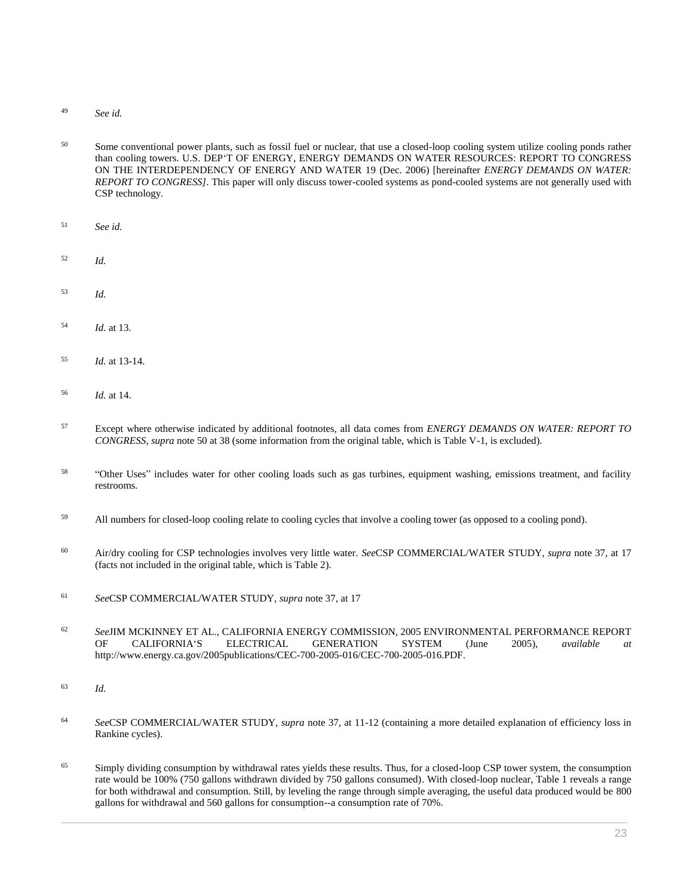- <sup>49</sup> *See id.*
- <sup>50</sup> Some conventional power plants, such as fossil fuel or nuclear, that use a closed-loop cooling system utilize cooling ponds rather than cooling towers. U.S. DEP'T OF ENERGY, ENERGY DEMANDS ON WATER RESOURCES: REPORT TO CONGRESS ON THE INTERDEPENDENCY OF ENERGY AND WATER 19 (Dec. 2006) [hereinafter *ENERGY DEMANDS ON WATER: REPORT TO CONGRESS]*. This paper will only discuss tower-cooled systems as pond-cooled systems are not generally used with CSP technology.
- <sup>51</sup> *See id.*
- <sup>52</sup> *Id.*
- <sup>53</sup> *Id.*
- <sup>54</sup> *Id.* at 13.
- <sup>55</sup> *Id.* at 13-14.
- <sup>56</sup> *Id.* at 14.
- <sup>57</sup> Except where otherwise indicated by additional footnotes, all data comes from *ENERGY DEMANDS ON WATER: REPORT TO CONGRESS*, *supra* note 50 at 38 (some information from the original table, which is Table V-1, is excluded).
- 58 "Other Uses" includes water for other cooling loads such as gas turbines, equipment washing, emissions treatment, and facility restrooms.
- <sup>59</sup> All numbers for closed-loop cooling relate to cooling cycles that involve a cooling tower (as opposed to a cooling pond).
- <sup>60</sup> Air/dry cooling for CSP technologies involves very little water. *See*CSP COMMERCIAL/WATER STUDY, *supra* note 37, at 17 (facts not included in the original table, which is Table 2).
- <sup>61</sup> *See*CSP COMMERCIAL/WATER STUDY, *supra* note 37, at 17
- <sup>62</sup> *SeeJIM MCKINNEY ET AL.*, CALIFORNIA ENERGY COMMISSION, 2005 ENVIRONMENTAL PERFORMANCE REPORT<br>OF CALIFORNIA'S ELECTRICAL GENERATION SYSTEM (June 2005). *available at* OF CALIFORNIA'S ELECTRICAL GENERATION SYSTEM (June 2005), *available at* http://www.energy.ca.gov/2005publications/CEC-700-2005-016/CEC-700-2005-016.PDF.
- <sup>63</sup> *Id.*
- <sup>64</sup> *See*CSP COMMERCIAL/WATER STUDY, *supra* note 37, at 11-12 (containing a more detailed explanation of efficiency loss in Rankine cycles).
- <sup>65</sup> Simply dividing consumption by withdrawal rates yields these results. Thus, for a closed-loop CSP tower system, the consumption rate would be 100% (750 gallons withdrawn divided by 750 gallons consumed). With closed-loop nuclear, Table 1 reveals a range for both withdrawal and consumption. Still, by leveling the range through simple averaging, the useful data produced would be 800 gallons for withdrawal and 560 gallons for consumption--a consumption rate of 70%.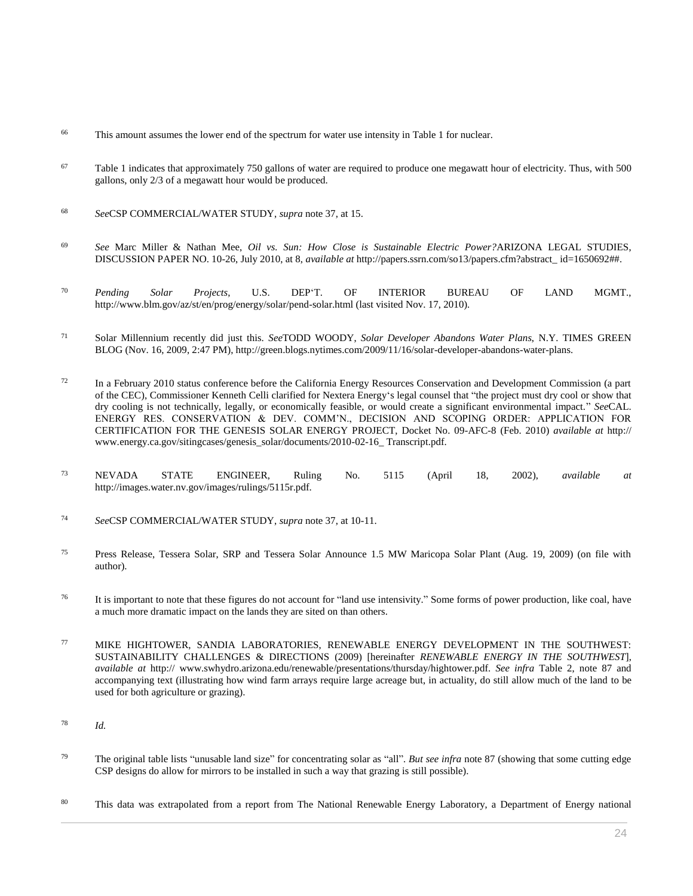- <sup>66</sup> This amount assumes the lower end of the spectrum for water use intensity in Table 1 for nuclear.
- <sup>67</sup> Table 1 indicates that approximately 750 gallons of water are required to produce one megawatt hour of electricity. Thus, with 500 gallons, only 2/3 of a megawatt hour would be produced.
- <sup>68</sup> *See*CSP COMMERCIAL/WATER STUDY, *supra* note 37, at 15.
- <sup>69</sup> *See* Marc Miller & Nathan Mee, *Oil vs. Sun: How Close is Sustainable Electric Power?*ARIZONA LEGAL STUDIES, DISCUSSION PAPER NO. 10-26, July 2010, at 8, *available at* http://papers.ssrn.com/so13/papers.cfm?abstract\_ id=1650692##.
- <sup>70</sup> *Pending Solar Projects*, U.S. DEP'T. OF INTERIOR BUREAU OF LAND MGMT., http://www.blm.gov/az/st/en/prog/energy/solar/pend-solar.html (last visited Nov. 17, 2010).
- <sup>71</sup> Solar Millennium recently did just this. *See*TODD WOODY, *Solar Developer Abandons Water Plans*, N.Y. TIMES GREEN BLOG (Nov. 16, 2009, 2:47 PM), http://green.blogs.nytimes.com/2009/11/16/solar-developer-abandons-water-plans.
- <sup>72</sup> In a February 2010 status conference before the California Energy Resources Conservation and Development Commission (a part of the CEC), Commissioner Kenneth Celli clarified for Nextera Energy's legal counsel that "the project must dry cool or show that dry cooling is not technically, legally, or economically feasible, or would create a significant environmental impact." *See*CAL. ENERGY RES. CONSERVATION & DEV. COMM'N., DECISION AND SCOPING ORDER: APPLICATION FOR CERTIFICATION FOR THE GENESIS SOLAR ENERGY PROJECT, Docket No. 09-AFC-8 (Feb. 2010) *available at* http:// www.energy.ca.gov/sitingcases/genesis\_solar/documents/2010-02-16\_ Transcript.pdf.
- <sup>73</sup> NEVADA STATE ENGINEER, Ruling No. 5115 (April 18, 2002), *available at* http://images.water.nv.gov/images/rulings/5115r.pdf.
- <sup>74</sup> *See*CSP COMMERCIAL/WATER STUDY, *supra* note 37, at 10-11.
- <sup>75</sup> Press Release, Tessera Solar, SRP and Tessera Solar Announce 1.5 MW Maricopa Solar Plant (Aug. 19, 2009) (on file with author).
- $76$  It is important to note that these figures do not account for "land use intensivity." Some forms of power production, like coal, have a much more dramatic impact on the lands they are sited on than others.
- <sup>77</sup> MIKE HIGHTOWER, SANDIA LABORATORIES, RENEWABLE ENERGY DEVELOPMENT IN THE SOUTHWEST: SUSTAINABILITY CHALLENGES & DIRECTIONS (2009) [hereinafter *RENEWABLE ENERGY IN THE SOUTHWEST*], *available at* http:// www.swhydro.arizona.edu/renewable/presentations/thursday/hightower.pdf. *See infra* Table 2, note 87 and accompanying text (illustrating how wind farm arrays require large acreage but, in actuality, do still allow much of the land to be used for both agriculture or grazing).
- <sup>78</sup> *Id.*
- <sup>79</sup> The original table lists "unusable land size" for concentrating solar as "all". *But see infra* note 87 (showing that some cutting edge CSP designs do allow for mirrors to be installed in such a way that grazing is still possible).
- <sup>80</sup> This data was extrapolated from a report from The National Renewable Energy Laboratory, a Department of Energy national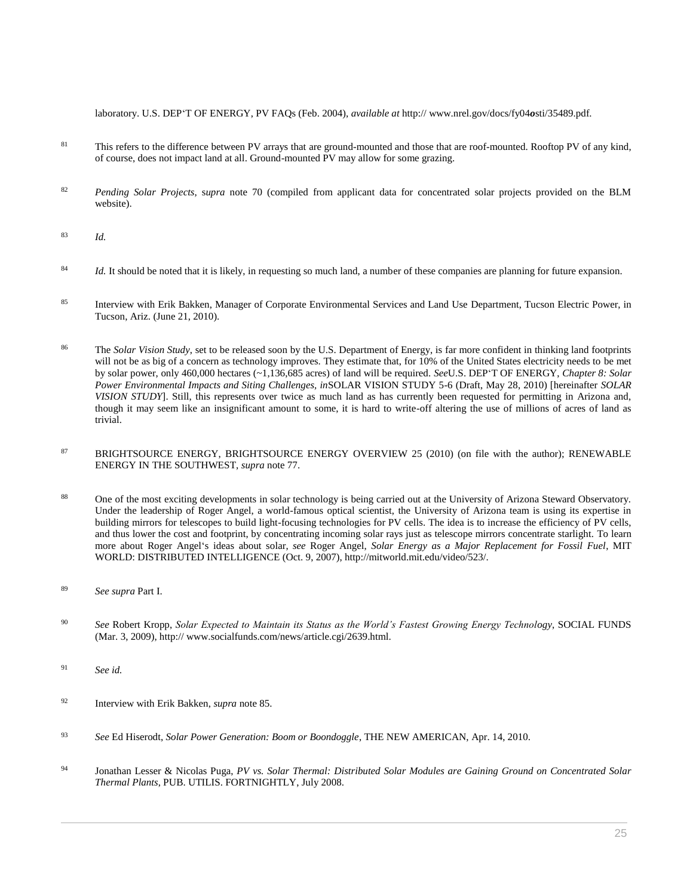laboratory. U.S. DEP'T OF ENERGY, PV FAQs (Feb. 2004), *available at* http:// www.nrel.gov/docs/fy04*o*sti/35489.pdf.

- <sup>81</sup> This refers to the difference between PV arrays that are ground-mounted and those that are roof-mounted. Rooftop PV of any kind, of course, does not impact land at all. Ground-mounted PV may allow for some grazing.
- <sup>82</sup> *Pending Solar Projects*, s*upra* note 70 (compiled from applicant data for concentrated solar projects provided on the BLM website).
- <sup>83</sup> *Id.*
- <sup>84</sup> *Id.* It should be noted that it is likely, in requesting so much land, a number of these companies are planning for future expansion.
- 85 Interview with Erik Bakken, Manager of Corporate Environmental Services and Land Use Department, Tucson Electric Power, in Tucson, Ariz. (June 21, 2010).
- <sup>86</sup> The *Solar Vision Study*, set to be released soon by the U.S. Department of Energy, is far more confident in thinking land footprints will not be as big of a concern as technology improves. They estimate that, for 10% of the United States electricity needs to be met by solar power, only 460,000 hectares (~1,136,685 acres) of land will be required. *See*U.S. DEP'T OF ENERGY, *Chapter 8: Solar Power Environmental Impacts and Siting Challenges, in*SOLAR VISION STUDY 5-6 (Draft, May 28, 2010) [hereinafter *[SOLAR](http://www.westlaw.com/Link/Document/FullText?findType=l&pubNum=0001037&cite=UUID(I8F28AC004B9211DFB5ABD6CB68EA7672)&originatingDoc=I0ecc829c2df011e18b05fdf15589d8e8&refType=CP&fi=co_pp_sp_1037_20377&originationContext=document&vr=3.0&rs=cblt1.0&transitionType=DocumentItem&contextData=(sc.Search)#co_pp_sp_1037_20377) VISION STUDY*]. Still, this represents over twice as much land as has currently been requested for permitting in Arizona and, though it may seem like an insignificant amount to some, it is hard to write-off altering the use of millions of acres of land as trivial.
- 87 BRIGHTSOURCE ENERGY, BRIGHTSOURCE ENERGY OVERVIEW 25 (2010) (on file with the author); RENEWABLE ENERGY IN THE SOUTHWEST, *supra* note 77.
- 88 One of the most exciting developments in solar technology is being carried out at the University of Arizona Steward Observatory. Under the leadership of Roger Angel, a world-famous optical scientist, the University of Arizona team is using its expertise in building mirrors for telescopes to build light-focusing technologies for PV cells. The idea is to increase the efficiency of PV cells, and thus lower the cost and footprint, by concentrating incoming solar rays just as telescope mirrors concentrate starlight. To learn more about Roger Angel's ideas about solar, *see* Roger Angel, *Solar Energy as a Major Replacement for Fossil Fuel*, MIT WORLD: DISTRIBUTED INTELLIGENCE (Oct. 9, 2007), http://mitworld.mit.edu/video/523/.
- <sup>89</sup> *See supra* Part I.
- <sup>90</sup> *See* Robert Kropp, *Solar Expected to Maintain its Status as the World's Fastest Growing Energy Technology*, SOCIAL FUNDS (Mar. 3, 2009), http:// www.socialfunds.com/news/article.cgi/2639.html.
- <sup>91</sup> *See id.*
- <sup>92</sup> Interview with Erik Bakken, *supra* note 85.
- <sup>93</sup> *See* Ed Hiserodt, *Solar Power Generation: Boom or Boondoggle*, THE NEW AMERICAN, Apr. 14, 2010.
- <sup>94</sup> Jonathan Lesser & Nicolas Puga, *PV vs. Solar Thermal: Distributed Solar Modules are Gaining Ground on Concentrated Solar Thermal Plants*, PUB. UTILIS. FORTNIGHTLY, July 2008.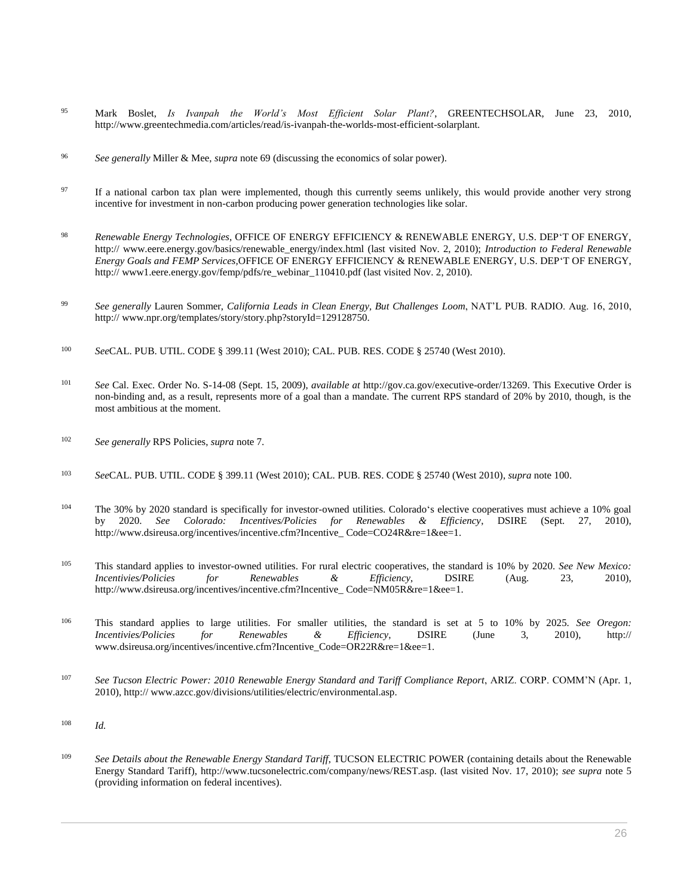- <sup>95</sup> Mark Boslet, *Is Ivanpah the World's Most Efficient Solar Plant?*, GREENTECHSOLAR, June 23, 2010, http://www.greentechmedia.com/articles/read/is-ivanpah-the-worlds-most-efficient-solarplant.
- <sup>96</sup> *See generally* Miller & Mee, *supra* note 69 (discussing the economics of solar power).
- <sup>97</sup> If a national carbon tax plan were implemented, though this currently seems unlikely, this would provide another very strong incentive for investment in non-carbon producing power generation technologies like solar.
- <sup>98</sup> *Renewable Energy Technologies*, OFFICE OF ENERGY EFFICIENCY & RENEWABLE ENERGY, U.S. DEP'T OF ENERGY, http:// www.eere.energy.gov/basics/renewable\_energy/index.html (last visited Nov. 2, 2010); *Introduction to Federal Renewable Energy Goals and FEMP Services,*OFFICE OF ENERGY EFFICIENCY & RENEWABLE ENERGY, U.S. DEP'T OF ENERGY, http:// www1.eere.energy.gov/femp/pdfs/re\_webinar\_110410.pdf (last visited Nov. 2, 2010).
- <sup>99</sup> *See generally* Lauren Sommer, *California Leads in Clean Energy, But Challenges Loom*, NAT'L PUB. RADIO. Aug. 16, 2010, http:// www.npr.org/templates/story/story.php?storyId=129128750.
- <sup>100</sup> *See*[CAL. PUB. UTIL. CODE § 399.11 \(West 2010\);](http://www.westlaw.com/Link/Document/FullText?findType=L&pubNum=1000221&cite=CAPUS399.11&originatingDoc=I0ecc829c2df011e18b05fdf15589d8e8&refType=LQ&originationContext=document&vr=3.0&rs=cblt1.0&transitionType=DocumentItem&contextData=(sc.Search)) [CAL. PUB. RES. CODE § 25740 \(West 2010\).](http://www.westlaw.com/Link/Document/FullText?findType=L&pubNum=1000220&cite=CAPHS25740&originatingDoc=I0ecc829c2df011e18b05fdf15589d8e8&refType=LQ&originationContext=document&vr=3.0&rs=cblt1.0&transitionType=DocumentItem&contextData=(sc.Search))
- <sup>101</sup> *See* Cal. Exec. Order No. S-14-08 (Sept. 15, 2009), *available at* http://gov.ca.gov/executive-order/13269. This Executive Order is non-binding and, as a result, represents more of a goal than a mandate. The current RPS standard of 20% by 2010, though, is the most ambitious at the moment.
- <sup>102</sup> *See generally* RPS Policies, *supra* note 7.
- <sup>103</sup> *See*[CAL. PUB. UTIL. CODE § 399.11 \(West 2010\);](http://www.westlaw.com/Link/Document/FullText?findType=L&pubNum=1000221&cite=CAPUS399.11&originatingDoc=I0ecc829c2df011e18b05fdf15589d8e8&refType=LQ&originationContext=document&vr=3.0&rs=cblt1.0&transitionType=DocumentItem&contextData=(sc.Search)) [CAL. PUB. RES. CODE § 25740 \(West 2010\),](http://www.westlaw.com/Link/Document/FullText?findType=L&pubNum=1000220&cite=CAPHS25740&originatingDoc=I0ecc829c2df011e18b05fdf15589d8e8&refType=LQ&originationContext=document&vr=3.0&rs=cblt1.0&transitionType=DocumentItem&contextData=(sc.Search)) *supra* note 100.
- <sup>104</sup> The 30% by 2020 standard is specifically for investor-owned utilities. Colorado's elective cooperatives must achieve a 10% goal by 2020. *See Colorado: Incentives/Policies for Renewables & Efficiency*, DSIRE (Sept. 27, 2010), http://www.dsireusa.org/incentives/incentive.cfm?Incentive\_ Code=CO24R&re=1&ee=1.
- <sup>105</sup> This standard applies to investor-owned utilities. For rural electric cooperatives, the standard is 10% by 2020. *See New Mexico: Incentivies/Policies for Renewables & Efficiency*, DSIRE (Aug. 23, 2010), http://www.dsireusa.org/incentives/incentive.cfm?Incentive\_ Code=NM05R&re=1&ee=1.
- <sup>106</sup> This standard applies to large utilities. For smaller utilities, the standard is set at 5 to 10% by 2025. *See Oregon: Incentivies/Policies for Renewables & Efficiency*, DSIRE (June 3, 2010), http:// www.dsireusa.org/incentives/incentive.cfm?Incentive\_Code=OR22R&re=1&ee=1.
- <sup>107</sup> *See [Tucson Electric Power: 2010](http://www.westlaw.com/Link/Document/FullText?findType=Y&pubNum=892&cite=POWER2010&originatingDoc=I0ecc829c2df011e18b05fdf15589d8e8&refType=RP&originationContext=document&vr=3.0&rs=cblt1.0&transitionType=DocumentItem&contextData=(sc.Search)) Renewable Energy Standard and Tariff Compliance Report*, ARIZ. CORP. COMM'N (Apr. 1, 2010), http:// www.azcc.gov/divisions/utilities/electric/environmental.asp.
- <sup>108</sup> *Id.*
- <sup>109</sup> *See Details about the Renewable Energy Standard Tariff*, TUCSON ELECTRIC POWER (containing details about the Renewable Energy Standard Tariff), http://www.tucsonelectric.com/company/news/REST.asp. (last visited Nov. 17, 2010); *see supra* note 5 (providing information on federal incentives).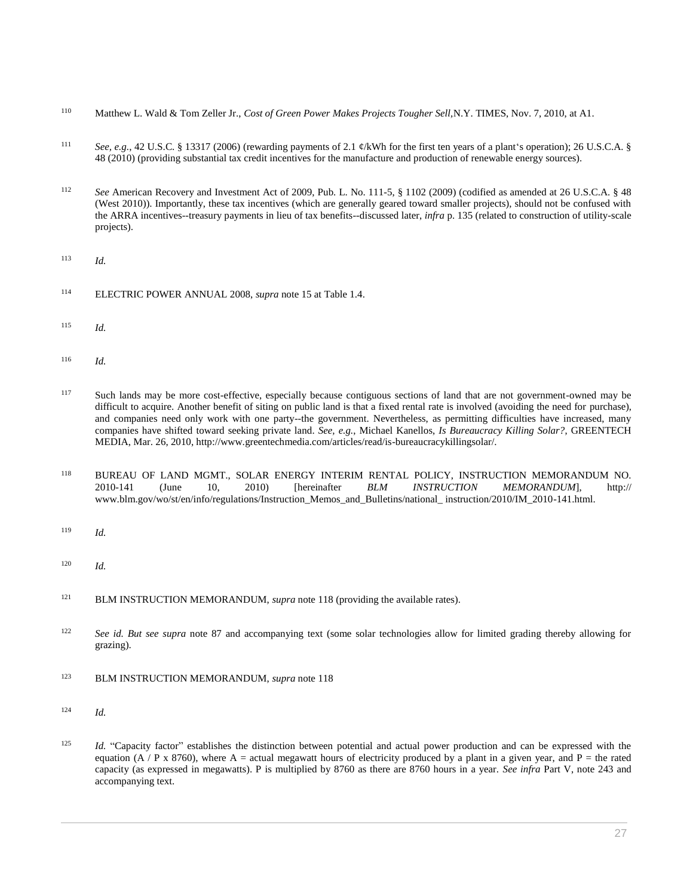- <sup>110</sup> Matthew L. Wald & Tom Zeller Jr., *Cost of Green Power Makes Projects Tougher Sell,*N.Y. TIMES, Nov. 7, 2010, at A1.
- <sup>111</sup> *See, e.g.*[, 42 U.S.C. § 13317 \(2006\)](http://www.westlaw.com/Link/Document/FullText?findType=L&pubNum=1000546&cite=42USCAS13317&originatingDoc=I0ecc829c2df011e18b05fdf15589d8e8&refType=LQ&originationContext=document&vr=3.0&rs=cblt1.0&transitionType=DocumentItem&contextData=(sc.Search)) (rewarding payments of 2.1 ¢/kWh for the first ten years of a plant's operation)[; 26 U.S.C.A. §](http://www.westlaw.com/Link/Document/FullText?findType=L&pubNum=1000546&cite=26USCAS48&originatingDoc=I0ecc829c2df011e18b05fdf15589d8e8&refType=LQ&originationContext=document&vr=3.0&rs=cblt1.0&transitionType=DocumentItem&contextData=(sc.Search))  [48 \(2010\)](http://www.westlaw.com/Link/Document/FullText?findType=L&pubNum=1000546&cite=26USCAS48&originatingDoc=I0ecc829c2df011e18b05fdf15589d8e8&refType=LQ&originationContext=document&vr=3.0&rs=cblt1.0&transitionType=DocumentItem&contextData=(sc.Search)) (providing substantial tax credit incentives for the manufacture and production of renewable energy sources).
- <sup>112</sup> *See* American Recovery and Investment Act of 2009[, Pub. L. No. 111-5,](http://www.westlaw.com/Link/Document/FullText?findType=l&pubNum=1077005&cite=UUID(I3A292700FE-C911DD9F1FD-B027D1AEBBC)&originatingDoc=I0ecc829c2df011e18b05fdf15589d8e8&refType=SL&originationContext=document&vr=3.0&rs=cblt1.0&transitionType=DocumentItem&contextData=(sc.Search)) § 1102 (2009) (codified as amended at [26 U.S.C.A. § 48](http://www.westlaw.com/Link/Document/FullText?findType=L&pubNum=1000546&cite=26USCAS48&originatingDoc=I0ecc829c2df011e18b05fdf15589d8e8&refType=LQ&originationContext=document&vr=3.0&rs=cblt1.0&transitionType=DocumentItem&contextData=(sc.Search))  [\(West 2010\)\)](http://www.westlaw.com/Link/Document/FullText?findType=L&pubNum=1000546&cite=26USCAS48&originatingDoc=I0ecc829c2df011e18b05fdf15589d8e8&refType=LQ&originationContext=document&vr=3.0&rs=cblt1.0&transitionType=DocumentItem&contextData=(sc.Search)). Importantly, these tax incentives (which are generally geared toward smaller projects), should not be confused with the ARRA incentives--treasury payments in lieu of tax benefits--discussed later, *infra* p. 135 (related to construction of utility-scale projects).
- <sup>113</sup> *Id.*
- <sup>114</sup> ELECTRIC POWER ANNUAL 2008, *supra* note 15 at Table 1.4.
- <sup>115</sup> *Id.*
- <sup>116</sup> *Id.*
- <sup>117</sup> Such lands may be more cost-effective, especially because contiguous sections of land that are not government-owned may be difficult to acquire. Another benefit of siting on public land is that a fixed rental rate is involved (avoiding the need for purchase), and companies need only work with one party--the government. Nevertheless, as permitting difficulties have increased, many companies have shifted toward seeking private land. *See, e.g.*, Michael Kanellos, *Is Bureaucracy Killing Solar?*, GREENTECH MEDIA, Mar. 26, 2010, http://www.greentechmedia.com/articles/read/is-bureaucracykillingsolar/.
- <sup>118</sup> BUREAU OF LAND MGMT., SOLAR ENERGY INTERIM RENTAL POLICY, INSTRUCTION MEMORANDUM NO.<br>2010-141 (June 10, 2010) [hereinafter *BLM INSTRUCTION MEMORANDUM*]. http:// 2010-141 (June 10, 2010) [hereinafter *BLM INSTRUCTION MEMORANDUM*], http:// www.blm.gov/wo/st/en/info/regulations/Instruction\_Memos\_and\_Bulletins/national\_instruction/2010/IM\_2010-141.html.
- <sup>119</sup> *Id.*
- <sup>120</sup> *Id.*
- <sup>121</sup> BLM INSTRUCTION MEMORANDUM, *supra* note 118 (providing the available rates).
- <sup>122</sup> *See id. But see supra* note 87 and accompanying text (some solar technologies allow for limited grading thereby allowing for grazing).
- <sup>123</sup> BLM INSTRUCTION MEMORANDUM, *supra* note 118
- <sup>124</sup> *Id.*
- <sup>125</sup> *Id.* "Capacity factor" establishes the distinction between potential and actual power production and can be expressed with the equation (A / P x 8760), where A = actual megawatt hours of electricity produced by a plant in a given year, and P = the rated capacity (as expressed in megawatts). P is multiplied by 8760 as there are 8760 hours in a year. *See infra* Part V, note 243 and accompanying text.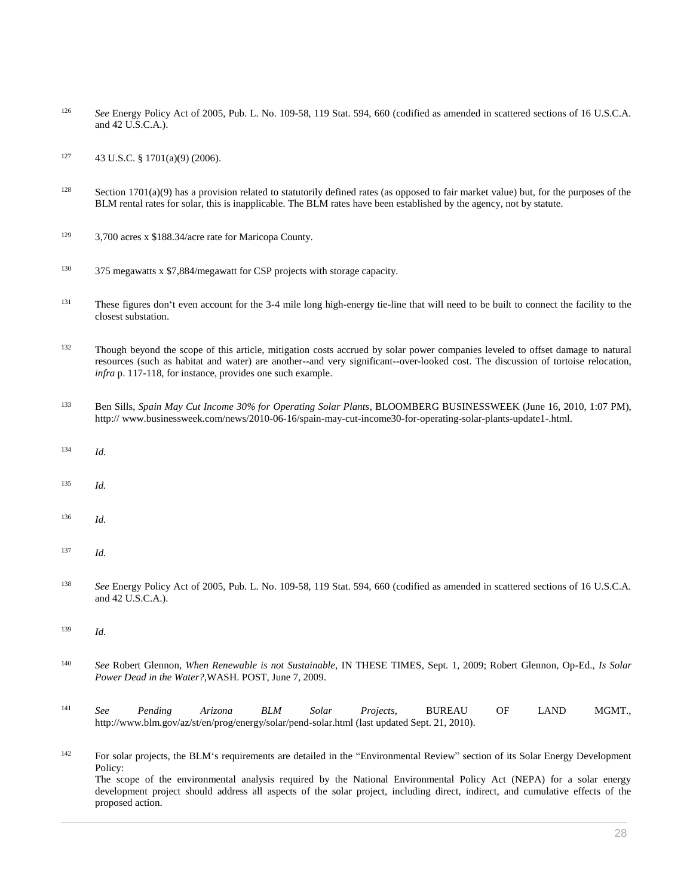- <sup>126</sup> *See* Energy Policy Act of 2005, [Pub. L. No. 109-58, 119 Stat. 594,](http://www.westlaw.com/Link/Document/FullText?findType=l&pubNum=1077005&cite=UUID(I84999FC01B-B211DA818BF-B0916599498)&originatingDoc=I0ecc829c2df011e18b05fdf15589d8e8&refType=SL&originationContext=document&vr=3.0&rs=cblt1.0&transitionType=DocumentItem&contextData=(sc.Search)) 660 (codified as amended in scattered sections of 16 U.S.C.A. and 42 U.S.C.A.).
- $127$  [43 U.S.C. § 1701\(a\)\(9\) \(2006\).](http://www.westlaw.com/Link/Document/FullText?findType=L&pubNum=1000546&cite=43USCAS1701&originatingDoc=I0ecc829c2df011e18b05fdf15589d8e8&refType=RB&originationContext=document&vr=3.0&rs=cblt1.0&transitionType=DocumentItem&contextData=(sc.Search)#co_pp_732f0000e3572)
- <sup>128</sup> [Section 1701\(a\)\(9\)](http://www.westlaw.com/Link/Document/FullText?findType=L&pubNum=1000546&cite=43USCAS1701&originatingDoc=I0ecc829c2df011e18b05fdf15589d8e8&refType=RB&originationContext=document&vr=3.0&rs=cblt1.0&transitionType=DocumentItem&contextData=(sc.Search)#co_pp_732f0000e3572) has a provision related to statutorily defined rates (as opposed to fair market value) but, for the purposes of the BLM rental rates for solar, this is inapplicable. The BLM rates have been established by the agency, not by statute.
- <sup>129</sup> 3,700 acres x \$188.34/acre rate for Maricopa County.
- <sup>130</sup> 375 megawatts x \$7,884/megawatt for CSP projects with storage capacity.
- <sup>131</sup> These figures don't even account for the 3-4 mile long high-energy tie-line that will need to be built to connect the facility to the closest substation.
- <sup>132</sup> Though beyond the scope of this article, mitigation costs accrued by solar power companies leveled to offset damage to natural resources (such as habitat and water) are another--and very significant--over-looked cost. The discussion of tortoise relocation, *infra* p. 117-118, for instance, provides one such example.
- <sup>133</sup> Ben Sills, *Spain May Cut Income 30% for Operating Solar Plants*, BLOOMBERG BUSINESSWEEK (June 16, 2010, 1:07 PM), http:// www.businessweek.com/news/2010-06-16/spain-may-cut-income30-for-operating-solar-plants-update1-.html.
- <sup>134</sup> *Id.*
- <sup>135</sup> *Id.*
- <sup>136</sup> *Id.*
- <sup>137</sup> *Id.*
- <sup>138</sup> *See* Energy Policy Act of 2005, [Pub. L. No. 109-58, 119 Stat. 594,](http://www.westlaw.com/Link/Document/FullText?findType=l&pubNum=1077005&cite=UUID(I84999FC01B-B211DA818BF-B0916599498)&originatingDoc=I0ecc829c2df011e18b05fdf15589d8e8&refType=SL&originationContext=document&vr=3.0&rs=cblt1.0&transitionType=DocumentItem&contextData=(sc.Search)) 660 (codified as amended in scattered sections of 16 U.S.C.A. and 42 U.S.C.A.).
- <sup>139</sup> *Id.*
- <sup>140</sup> *See* Robert Glennon, *When Renewable is not Sustainable*, IN THESE TIMES, Sept. 1, 2009; Robert Glennon, Op-Ed., *Is Solar Power Dead in the Water?,*WASH. POST, June 7, 2009.
- <sup>141</sup> *See Pending Arizona BLM Solar Projects*, BUREAU OF LAND MGMT., http://www.blm.gov/az/st/en/prog/energy/solar/pend-solar.html (last updated Sept. 21, 2010).
- <sup>142</sup> For solar projects, the BLM's requirements are detailed in the "Environmental Review" section of its Solar Energy Development Policy: The scope of the environmental analysis required by the National Environmental Policy Act (NEPA) for a solar energy development project should address all aspects of the solar project, including direct, indirect, and cumulative effects of the proposed action.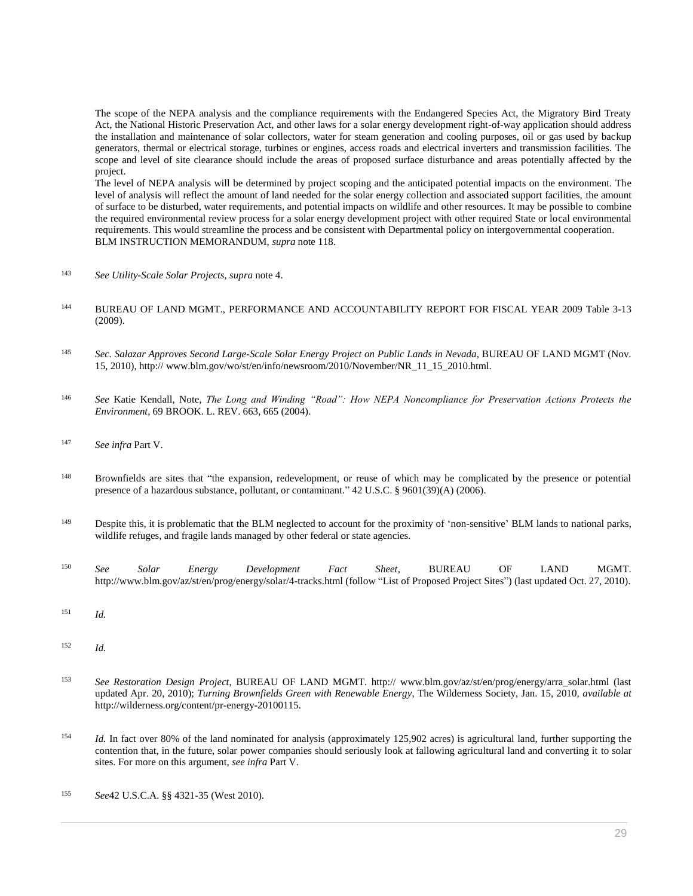The scope of the NEPA analysis and the compliance requirements with the Endangered Species Act, the Migratory Bird Treaty Act, the National Historic Preservation Act, and other laws for a solar energy development right-of-way application should address the installation and maintenance of solar collectors, water for steam generation and cooling purposes, oil or gas used by backup generators, thermal or electrical storage, turbines or engines, access roads and electrical inverters and transmission facilities. The scope and level of site clearance should include the areas of proposed surface disturbance and areas potentially affected by the project.

The level of NEPA analysis will be determined by project scoping and the anticipated potential impacts on the environment. The level of analysis will reflect the amount of land needed for the solar energy collection and associated support facilities, the amount of surface to be disturbed, water requirements, and potential impacts on wildlife and other resources. It may be possible to combine the required environmental review process for a solar energy development project with other required State or local environmental requirements. This would streamline the process and be consistent with Departmental policy on intergovernmental cooperation. BLM INSTRUCTION MEMORANDUM, *supra* note 118.

- <sup>143</sup> *See Utility-Scale Solar Projects*, *supra* note 4.
- <sup>144</sup> BUREAU OF LAND MGMT., PERFORMANCE AND ACCOUNTABILITY REPORT FOR FISCAL YEAR 2009 Table 3-13 (2009).
- <sup>145</sup> *Sec. Salazar Approves Second Large-Scale Solar Energy Project on Public Lands in Nevada*, BUREAU OF LAND MGMT (Nov. 15, 2010), http:// www.blm.gov/wo/st/en/info/newsroom/2010/November/NR\_11\_15\_2010.html.
- <sup>146</sup> *See* Katie Kendall, Note, *[The Long and Winding "Road": How NEPA Noncompliance for Preservation Actions Protects the](http://www.westlaw.com/Link/Document/FullText?findType=Y&serNum=0300518652&pubNum=0003033&originatingDoc=I0ecc829c2df011e18b05fdf15589d8e8&refType=LR&fi=co_pp_sp_3033_665&originationContext=document&vr=3.0&rs=cblt1.0&transitionType=DocumentItem&contextData=(sc.Search)#co_pp_sp_3033_665)  Environment*[, 69 BROOK. L. REV. 663, 665 \(2004\).](http://www.westlaw.com/Link/Document/FullText?findType=Y&serNum=0300518652&pubNum=0003033&originatingDoc=I0ecc829c2df011e18b05fdf15589d8e8&refType=LR&fi=co_pp_sp_3033_665&originationContext=document&vr=3.0&rs=cblt1.0&transitionType=DocumentItem&contextData=(sc.Search)#co_pp_sp_3033_665)
- <sup>147</sup> *See infra* Part V.
- <sup>148</sup> Brownfields are sites that "the expansion, redevelopment, or reuse of which may be complicated by the presence or potential presence of a hazardous substance, pollutant, or contaminant." [42 U.S.C. § 9601\(39\)\(A\) \(2006\).](http://www.westlaw.com/Link/Document/FullText?findType=L&pubNum=1000546&cite=42USCAS9601&originatingDoc=I0ecc829c2df011e18b05fdf15589d8e8&refType=RB&originationContext=document&vr=3.0&rs=cblt1.0&transitionType=DocumentItem&contextData=(sc.Search)#co_pp_3b9d00009c4e2)
- <sup>149</sup> Despite this, it is problematic that the BLM neglected to account for the proximity of 'non-sensitive' BLM lands to national parks, wildlife refuges, and fragile lands managed by other federal or state agencies.
- <sup>150</sup> *See Solar Energy Development Fact Sheet*, BUREAU OF LAND MGMT. http://www.blm.gov/az/st/en/prog/energy/solar/4-tracks.html (follow "List of Proposed Project Sites") (last updated Oct. 27, 2010).
- <sup>151</sup> *Id.*
- <sup>152</sup> *Id.*
- <sup>153</sup> *See Restoration Design Project*, BUREAU OF LAND MGMT. http:// www.blm.gov/az/st/en/prog/energy/arra\_solar.html (last updated Apr. 20, 2010); *Turning Brownfields Green with Renewable Energy*, The Wilderness Society, Jan. 15, 2010, *available at* http://wilderness.org/content/pr-energy-20100115.
- <sup>154</sup> *Id.* In fact over 80% of the land nominated for analysis (approximately 125,902 acres) is agricultural land, further supporting the contention that, in the future, solar power companies should seriously look at fallowing agricultural land and converting it to solar sites. For more on this argument, *see infra* Part V.
- <sup>155</sup> *See*[42 U.S.C.A. §§ 4321-](http://www.westlaw.com/Link/Document/FullText?findType=L&pubNum=1000546&cite=42USCAS4321&originatingDoc=I0ecc829c2df011e18b05fdf15589d8e8&refType=LQ&originationContext=document&vr=3.0&rs=cblt1.0&transitionType=DocumentItem&contextData=(sc.Search))35 (West 2010).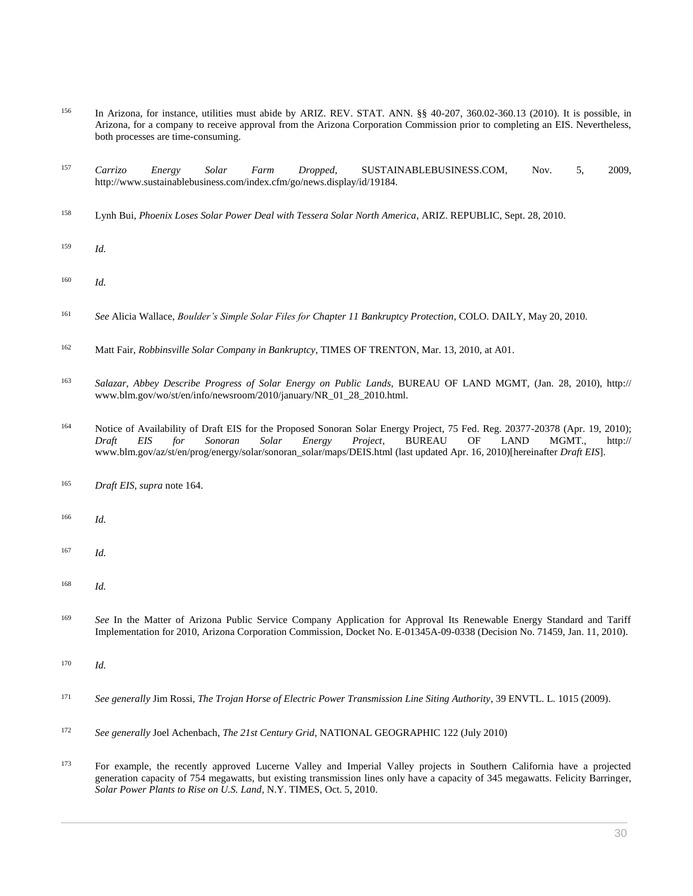- In Arizona, for instance, utilities must abide by [ARIZ. REV. STAT. ANN. §§ 40-207,](http://www.westlaw.com/Link/Document/FullText?findType=L&pubNum=1000251&cite=AZSTS40-207&originatingDoc=I0ecc829c2df011e18b05fdf15589d8e8&refType=LQ&originationContext=document&vr=3.0&rs=cblt1.0&transitionType=DocumentItem&contextData=(sc.Search)) 360.02-360.13 (2010). It is possible, in Arizona, for a company to receive approval from the Arizona Corporation Commission prior to completing an EIS. Nevertheless, both processes are time-consuming.
- *Carrizo Energy Solar Farm Dropped*, SUSTAINABLEBUSINESS.COM, Nov. 5, 2009, http://www.sustainablebusiness.com/index.cfm/go/news.display/id/19184.
- Lynh Bui, *Phoenix Loses Solar Power Deal with Tessera Solar North America*, ARIZ. REPUBLIC, Sept. 28, 2010.
- *Id.*
- *Id.*
- *See* Alicia Wallace, *Boulder's Simple Solar Files for Chapter 11 Bankruptcy Protection*, COLO. DAILY, May 20, 2010.
- Matt Fair, *Robbinsville Solar Company in Bankruptcy*, TIMES OF TRENTON, Mar. 13, 2010, at A01.
- *Salazar, Abbey Describe Progress of Solar Energy on Public Lands*, BUREAU OF LAND MGMT, (Jan. 28, 2010), http:// www.blm.gov/wo/st/en/info/newsroom/2010/january/NR\_01\_28\_2010.html.
- [Notice of Availability of Draft EIS for the Proposed Sonoran Solar Energy Project, 75 Fed. Reg. 20377-20378 \(Apr. 19, 2010\);](http://www.westlaw.com/Link/Document/FullText?findType=l&pubNum=0001037&cite=UUID(I8F28AC004B9211DFB5ABD6CB68EA7672)&originatingDoc=I0ecc829c2df011e18b05fdf15589d8e8&refType=CP&fi=co_pp_sp_1037_20377&originationContext=document&vr=3.0&rs=cblt1.0&transitionType=DocumentItem&contextData=(sc.Search)#co_pp_sp_1037_20377) *Draft EIS for Sonoran Solar Energy Project*, BUREAU OF LAND MGMT., http:// www.blm.gov/az/st/en/prog/energy/solar/sonoran\_solar/maps/DEIS.html (last updated Apr. 16, 2010)[hereinafter *[Draft EIS](http://www.westlaw.com/Link/Document/FullText?findType=l&pubNum=0001037&cite=UUID(I8F28AC004B9211DFB5ABD6CB68EA7672)&originatingDoc=I0ecc829c2df011e18b05fdf15589d8e8&refType=CP&fi=co_pp_sp_1037_20377&originationContext=document&vr=3.0&rs=cblt1.0&transitionType=DocumentItem&contextData=(sc.Search)#co_pp_sp_1037_20377)*].
- *[Draft EIS](http://www.westlaw.com/Link/Document/FullText?findType=l&pubNum=0001037&cite=UUID(I8F28AC004B9211DFB5ABD6CB68EA7672)&originatingDoc=I0ecc829c2df011e18b05fdf15589d8e8&refType=CP&fi=co_pp_sp_1037_20377&originationContext=document&vr=3.0&rs=cblt1.0&transitionType=DocumentItem&contextData=(sc.Search)#co_pp_sp_1037_20377)*, *supra* note 164.
- *Id.*
- *Id.*
- *Id.*
- *See* In the Matter of Arizona Public Service Company Application for Approval Its Renewable Energy Standard and Tariff Implementation for 2010, Arizona Corporation Commission, Docket No. E-01345A-09-0338 (Decision No. 71459, Jan. 11, 2010).
- *Id.*
- *See generally* Jim Rossi, *[The Trojan Horse of Electric Power Transmission Line Siting Authority](http://www.westlaw.com/Link/Document/FullText?findType=Y&serNum=0349969493&pubNum=0003094&originatingDoc=I0ecc829c2df011e18b05fdf15589d8e8&refType=LR&originationContext=document&vr=3.0&rs=cblt1.0&transitionType=DocumentItem&contextData=(sc.Search))*, 39 ENVTL. L. 1015 (2009).
- *See generally* Joel Achenbach, *The 21st Century Grid*, NATIONAL GEOGRAPHIC 122 (July 2010)
- <sup>173</sup> For example, the recently approved Lucerne Valley and Imperial Valley projects in Southern California have a projected generation capacity of 754 megawatts, but existing transmission lines only have a capacity of 345 megawatts. Felicity Barringer, *Solar Power Plants to Rise on U.S. Land*, N.Y. TIMES, Oct. 5, 2010.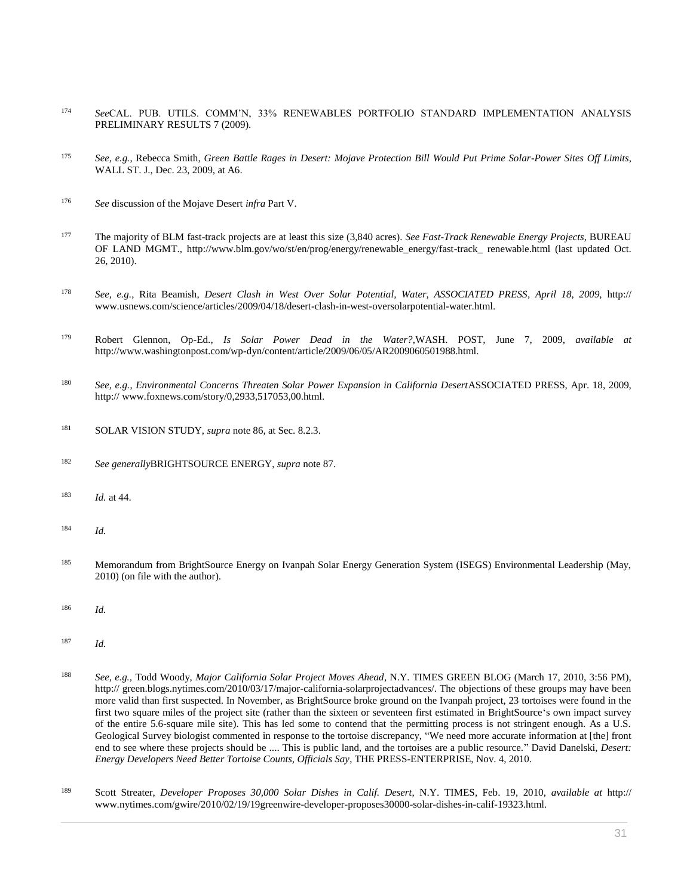- <sup>174</sup> *See*CAL. PUB. UTILS. COMM'N, 33% RENEWABLES PORTFOLIO STANDARD IMPLEMENTATION ANALYSIS PRELIMINARY RESULTS 7 (2009).
- <sup>175</sup> *See, e.g.*, Rebecca Smith, *Green Battle Rages in Desert: Mojave Protection Bill Would Put Prime Solar-Power Sites Off Limits*, WALL ST. J., Dec. 23, 2009, at A6.
- <sup>176</sup> *See* discussion of the Mojave Desert *infra* Part V.
- <sup>177</sup> The majority of BLM fast-track projects are at least this size (3,840 acres). *See Fast-Track Renewable Energy Projects*, BUREAU OF LAND MGMT., http://www.blm.gov/wo/st/en/prog/energy/renewable\_energy/fast-track\_ renewable.html (last updated Oct. 26, 2010).
- <sup>178</sup> *See, e.g.*, Rita Beamish, *Desert Clash in West Over Solar Potential, Water, ASSOCIATED PRESS*, *April 18, 2009,* http:// www.usnews.com/science/articles/2009/04/18/desert-clash-in-west-oversolarpotential-water.html.
- <sup>179</sup> Robert Glennon, Op-Ed., *Is Solar Power Dead in the Water?,*WASH. POST, June 7, 2009, *available at* http://www.washingtonpost.com/wp-dyn/content/article/2009/06/05/AR2009060501988.html.
- <sup>180</sup> *See, e.g.*, *Environmental Concerns Threaten Solar Power Expansion in California Desert*ASSOCIATED PRESS, Apr. 18, 2009, http:// www.foxnews.com/story/0,2933,517053,00.html.
- <sup>181</sup> SOLAR VISION STUDY, *supra* note 86, at Sec. 8.2.3.
- <sup>182</sup> *See generally*BRIGHTSOURCE ENERGY, *supra* note 87.
- <sup>183</sup> *Id.* at 44.
- $184$  *Id.*
- 185 Memorandum from BrightSource Energy on Ivanpah Solar Energy Generation System (ISEGS) Environmental Leadership (May, 2010) (on file with the author).
- <sup>186</sup> *Id.*
- <sup>187</sup> *Id.*
- <sup>188</sup> *See, e.g.,* Todd Woody, *Major California Solar Project Moves Ahead*, N.Y. TIMES GREEN BLOG (March 17, 2010, 3:56 PM), http:// green.blogs.nytimes.com/2010/03/17/major-california-solarprojectadvances/. The objections of these groups may have been more valid than first suspected. In November, as BrightSource broke ground on the Ivanpah project, 23 tortoises were found in the first two square miles of the project site (rather than the sixteen or seventeen first estimated in BrightSource's own impact survey of the entire 5.6-square mile site). This has led some to contend that the permitting process is not stringent enough. As a U.S. Geological Survey biologist commented in response to the tortoise discrepancy, "We need more accurate information at [the] front end to see where these projects should be .... This is public land, and the tortoises are a public resource." David Danelski, *Desert: Energy Developers Need Better Tortoise Counts, Officials Say*, THE PRESS-ENTERPRISE, Nov. 4, 2010.
- <sup>189</sup> Scott Streater, *Developer Proposes 30,000 Solar Dishes in Calif. Desert*, N.Y. TIMES, Feb. 19, 2010, *available at* http:// www.nytimes.com/gwire/2010/02/19/19greenwire-developer-proposes30000-solar-dishes-in-calif-19323.html.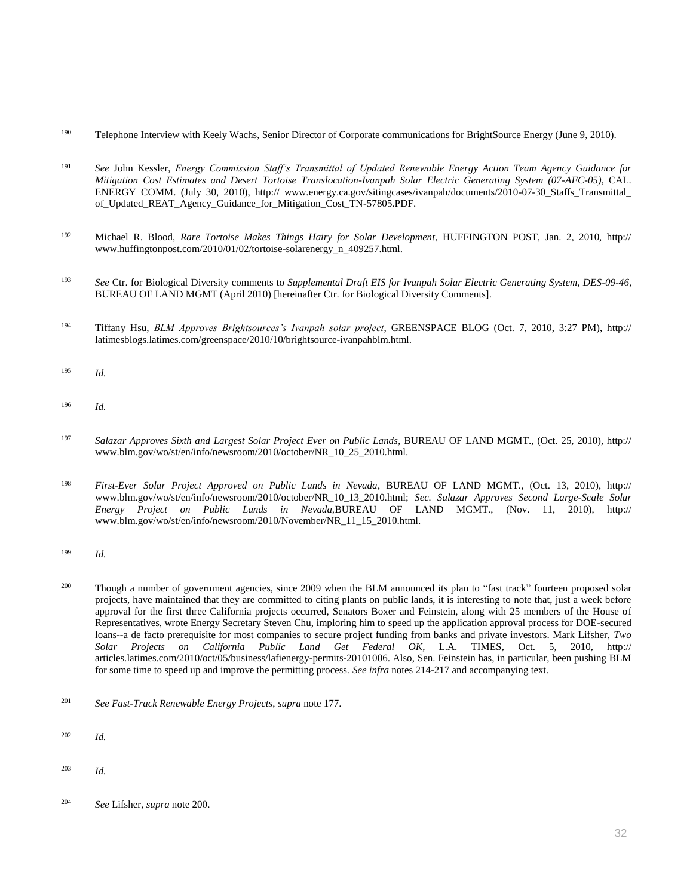- <sup>190</sup> Telephone Interview with Keely Wachs, Senior Director of Corporate communications for BrightSource Energy (June 9, 2010).
- <sup>191</sup> *See* John Kessler, *Energy Commission Staff's Transmittal of Updated Renewable Energy Action Team Agency Guidance for Mitigation Cost Estimates and Desert Tortoise Translocation-Ivanpah Solar Electric Generating System (07-AFC-05)*, CAL. ENERGY COMM. (July 30, 2010), http:// www.energy.ca.gov/sitingcases/ivanpah/documents/2010-07-30 Staffs Transmittal of\_Updated\_REAT\_Agency\_Guidance\_for\_Mitigation\_Cost\_TN-57805.PDF.
- <sup>192</sup> Michael R. Blood, *Rare Tortoise Makes Things Hairy for Solar Development*, HUFFINGTON POST, Jan. 2, 2010, http:// www.huffingtonpost.com/2010/01/02/tortoise-solarenergy\_n\_409257.html.
- <sup>193</sup> *See* Ctr. for Biological Diversity comments to *Supplemental Draft EIS for Ivanpah Solar Electric Generating System, DES-09-46*, BUREAU OF LAND MGMT (April 2010) [hereinafter Ctr. for Biological Diversity Comments].
- <sup>194</sup> Tiffany Hsu, *BLM Approves Brightsources's Ivanpah solar project*, GREENSPACE BLOG (Oct. 7, 2010, 3:27 PM), http:// latimesblogs.latimes.com/greenspace/2010/10/brightsource-ivanpahblm.html.
- <sup>195</sup> *Id.*
- <sup>196</sup> *Id.*
- <sup>197</sup> *Salazar Approves Sixth and Largest Solar Project Ever on Public Lands*, BUREAU OF LAND MGMT., (Oct. 25, 2010), http:// www.blm.gov/wo/st/en/info/newsroom/2010/october/NR\_10\_25\_2010.html.
- <sup>198</sup> *First-Ever Solar Project Approved on Public Lands in Nevada*, BUREAU OF LAND MGMT., (Oct. 13, 2010), http:// www.blm.gov/wo/st/en/info/newsroom/2010/october/NR\_10\_13\_2010.html; *Sec. Salazar Approves Second Large-Scale Solar Energy Project on Public Lands in Nevada,*BUREAU OF LAND MGMT., (Nov. 11, 2010), http:// www.blm.gov/wo/st/en/info/newsroom/2010/November/NR\_11\_15\_2010.html.
- <sup>199</sup> *Id.*
- <sup>200</sup> Though a number of government agencies, since 2009 when the BLM announced its plan to "fast track" fourteen proposed solar projects, have maintained that they are committed to citing plants on public lands, it is interesting to note that, just a week before approval for the first three California projects occurred, Senators Boxer and Feinstein, along with 25 members of the House of Representatives, wrote Energy Secretary Steven Chu, imploring him to speed up the application approval process for DOE-secured loans--a de facto prerequisite for most companies to secure project funding from banks and private investors. Mark Lifsher, *Two Solar Projects on California Public Land Get Federal OK*, L.A. TIMES, Oct. 5, 2010, http:// articles.latimes.com/2010/oct/05/business/lafienergy-permits-20101006. Also, Sen. Feinstein has, in particular, been pushing BLM for some time to speed up and improve the permitting process. *See infra* notes 214-217 and accompanying text.
- <sup>201</sup> *See Fast-Track Renewable Energy Projects*, *supra* note 177.
- <sup>202</sup> *Id.*
- <sup>203</sup> *Id.*
- <sup>204</sup> *See* Lifsher, *supra* note 200.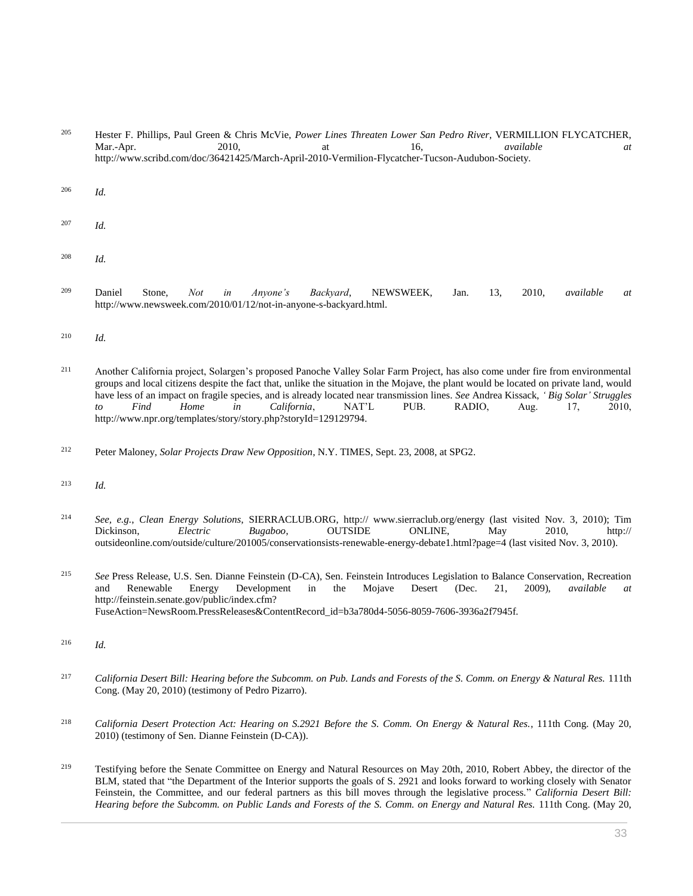- <sup>205</sup> Hester F. Phillips, Paul Green & Chris McVie, *Power Lines Threaten Lower San Pedro River*, VERMILLION FLYCATCHER, Mar.-Apr. 2010, at 16, *available at at* 16, *available at* http://www.scribd.com/doc/36421425/March-April-2010-Vermilion-Flycatcher-Tucson-Audubon-Society.
- <sup>206</sup> *Id.*
- <sup>207</sup> *Id.*
- <sup>208</sup> *Id.*
- <sup>209</sup> Daniel Stone, *Not in Anyone's Backyard*, NEWSWEEK, Jan. 13, 2010, *available at* http://www.newsweek.com/2010/01/12/not-in-anyone-s-backyard.html.
- <sup>210</sup> *Id.*
- 211 Another California project, Solargen's proposed Panoche Valley Solar Farm Project, has also come under fire from environmental groups and local citizens despite the fact that, unlike the situation in the Mojave, the plant would be located on private land, would have less of an impact on fragile species, and is already located near transmission lines. *See* Andrea Kissack, *' Big Solar' Struggles to Find Home in California*, NAT'L PUB. RADIO, Aug. 17, 2010, http://www.npr.org/templates/story/story.php?storyId=129129794.
- <sup>212</sup> Peter Maloney, *Solar Projects Draw New Opposition*, N.Y. TIMES, Sept. 23, 2008, at SPG2.
- <sup>213</sup> *Id.*
- <sup>214</sup> *See, e.g.*, *Clean Energy Solutions*, SIERRACLUB.ORG, http:// www.sierraclub.org/energy (last visited Nov. 3, 2010); Tim Dickinson, *Electric Bugaboo*, OUTSIDE ONLINE, May 2010, http:// outsideonline.com/outside/culture/201005/conservationsists-renewable-energy-debate1.html?page=4 (last visited Nov. 3, 2010).
- <sup>215</sup> *See* Press Release, U.S. Sen. Dianne Feinstein (D-CA), Sen. Feinstein Introduces Legislation to Balance Conservation, Recreation and Renewable Energy Development in the Mojave Desert (Dec. 21, 2009), *available at* http://feinstein.senate.gov/public/index.cfm? FuseAction=NewsRoom.PressReleases&ContentRecord\_id=b3a780d4-5056-8059-7606-3936a2f7945f.
- <sup>216</sup> *Id.*
- <sup>217</sup> *California Desert Bill: Hearing before the Subcomm. on Pub. Lands and Forests of the S. Comm. on Energy & Natural Res.* 111th Cong. (May 20, 2010) (testimony of Pedro Pizarro).
- <sup>218</sup> *California Desert Protection Act: Hearing on S.2921 Before the S. Comm. On Energy & Natural Res.*, 111th Cong. (May 20, 2010) (testimony of Sen. Dianne Feinstein (D-CA)).
- <sup>219</sup> Testifying before the Senate Committee on Energy and Natural Resources on May 20th, 2010, Robert Abbey, the director of the BLM, stated that "the Department of the Interior supports the goals of S. 2921 and looks forward to working closely with Senator Feinstein, the Committee, and our federal partners as this bill moves through the legislative process." *California Desert Bill: Hearing before the Subcomm. on Public Lands and Forests of the S. Comm. on Energy and Natural Res.* 111th Cong. (May 20,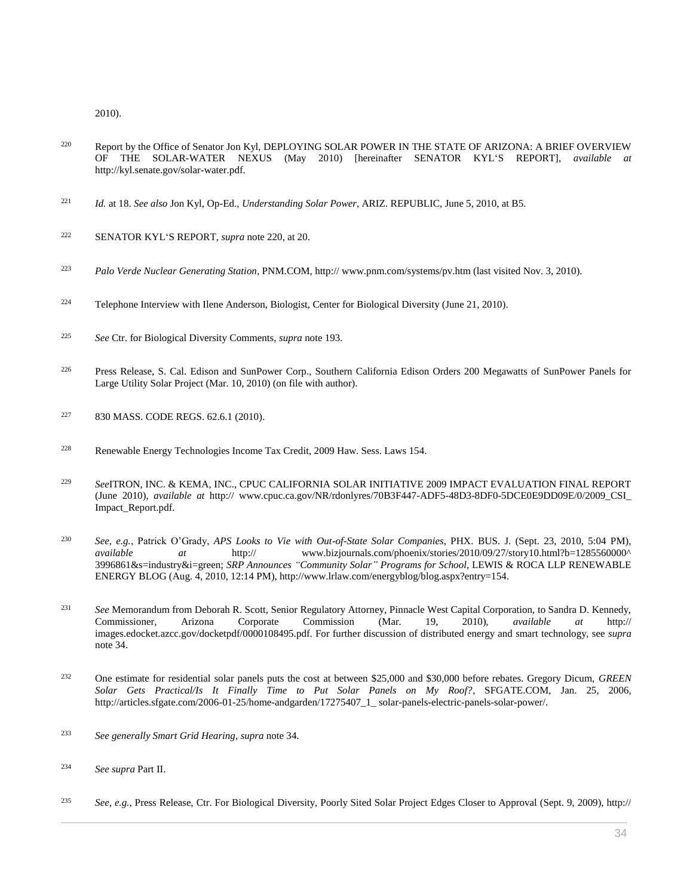2010).

- <sup>220</sup> Report by the Office of Senator Jon Kyl, DEPLOYING SOLAR POWER IN THE STATE OF ARIZONA: A BRIEF OVERVIEW OF THE SOLAR-WATER NEXUS (May 2010) [hereinafter SENATOR KYL'S REPORT], *available at* http://kyl.senate.gov/solar-water.pdf.
- <sup>221</sup> *Id.* at 18. *See also* Jon Kyl, Op-Ed., *Understanding Solar Power*, ARIZ. REPUBLIC, June 5, 2010, at B5.
- <sup>222</sup> SENATOR KYL'S REPORT, *supra* note 220, at 20.
- <sup>223</sup> *Palo Verde Nuclear Generating Station*, PNM.COM, http:// www.pnm.com/systems/pv.htm (last visited Nov. 3, 2010).
- <sup>224</sup> Telephone Interview with Ilene Anderson, Biologist, Center for Biological Diversity (June 21, 2010).
- <sup>225</sup> *See* Ctr. for Biological Diversity Comments, *supra* note 193.
- <sup>226</sup> Press Release, S. Cal. Edison and SunPower Corp., Southern California Edison Orders 200 Megawatts of SunPower Panels for Large Utility Solar Project (Mar. 10, 2010) (on file with author).
- <sup>227</sup> [830 MASS. CODE REGS. 62.6.1 \(2010\).](http://www.westlaw.com/Link/Document/FullText?findType=L&pubNum=1012167&cite=830MADC62.6.1&originatingDoc=I0ecc829c2df011e18b05fdf15589d8e8&refType=LQ&originationContext=document&vr=3.0&rs=cblt1.0&transitionType=DocumentItem&contextData=(sc.Search))
- <sup>228</sup> Renewable Energy Technologies Income Tax Credit, 2009 Haw. Sess. Laws 154.
- <sup>229</sup> *See*ITRON, INC. & KEMA, INC., CPUC CALIFORNIA SOLAR INITIATIVE 2009 IMPACT EVALUATION FINAL REPORT (June 2010), *available at* http:// www.cpuc.ca.gov/NR/rdonlyres/70B3F447-ADF5-48D3-8DF0-5DCE0E9DD09E/0/2009\_CSI\_ Impact\_Report.pdf.
- <sup>230</sup> *See, e.g.*, Patrick O'Grady, *APS Looks to Vie with Out-of-State Solar Companies*, PHX. BUS. J. (Sept. 23, 2010, 5:04 PM), *available at* http:// www.bizjournals.com/phoenix/stories/2010/09/27/story10.html?b=1285560000^ 3996861&s=industry&i=green; *SRP Announces "Community Solar" Programs for School*, LEWIS & ROCA LLP RENEWABLE ENERGY BLOG (Aug. 4, 2010, 12:14 PM), http://www.lrlaw.com/energyblog/blog.aspx?entry=154.
- <sup>231</sup> *See* Memorandum from Deborah R. Scott, Senior Regulatory Attorney, Pinnacle West Capital Corporation, to Sandra D. Kennedy, Commissioner, Arizona Corporate Commission (Mar. 19, 2010), *available at* http:// images.edocket.azcc.gov/docketpdf/0000108495.pdf. For further discussion of distributed energy and smart technology, see *supra* note 34.
- <sup>232</sup> One estimate for residential solar panels puts the cost at between \$25,000 and \$30,000 before rebates. Gregory Dicum, *GREEN Solar Gets Practical/Is It Finally Time to Put Solar Panels on My Roof?*, SFGATE.COM, Jan. 25, 2006, http://articles.sfgate.com/2006-01-25/home-andgarden/17275407\_1\_ solar-panels-electric-panels-solar-power/.
- <sup>233</sup> *See generally Smart Grid Hearing*, *supra* note 34.
- <sup>234</sup> *See supra* Part II.
- <sup>235</sup> *See, e.g.*, Press Release, Ctr. For Biological Diversity, Poorly Sited Solar Project Edges Closer to Approval (Sept. 9, 2009), http://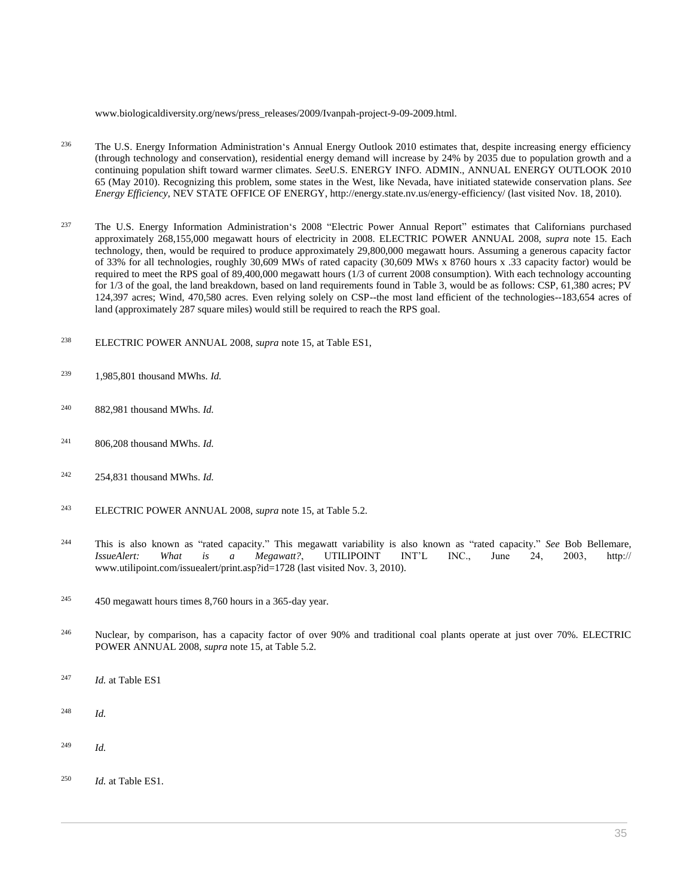www.biologicaldiversity.org/news/press\_releases/2009/Ivanpah-project-9-09-2009.html.

- <sup>236</sup> The U.S. Energy Information Administration's Annual Energy Outlook 2010 estimates that, despite increasing energy efficiency (through technology and conservation), residential energy demand will increase by 24% by 2035 due to population growth and a continuing population shift toward warmer climates. *See*U.S. ENERGY INFO. ADMIN., ANNUAL ENERGY OUTLOOK 2010 65 (May 2010). Recognizing this problem, some states in the West, like Nevada, have initiated statewide conservation plans. *See [Energy](http://www.westlaw.com/Link/Document/FullText?findType=l&pubNum=0001037&cite=UUID(I8F28AC004B9211DFB5ABD6CB68EA7672)&originatingDoc=I0ecc829c2df011e18b05fdf15589d8e8&refType=CP&fi=co_pp_sp_1037_20377&originationContext=document&vr=3.0&rs=cblt1.0&transitionType=DocumentItem&contextData=(sc.Search)#co_pp_sp_1037_20377) Efficiency*, NEV STATE OFFICE OF ENERGY, http://energy.state.nv.us/energy-efficiency/ (last visited Nov. 18, 2010).
- <sup>237</sup> The U.S. Energy Information Administration's 2008 "Electric Power Annual Report" estimates that Californians purchased approximately 268,155,000 megawatt hours of electricity in 2008. ELECTRIC POWER ANNUAL 2008, *supra* note 15. Each technology, then, would be required to produce approximately 29,800,000 megawatt hours. Assuming a generous capacity factor of 33% for all technologies, roughly 30,609 MWs of rated capacity (30,609 MWs x 8760 hours x .33 capacity factor) would be required to meet the RPS goal of 89,400,000 megawatt hours (1/3 of current 2008 consumption). With each technology accounting for 1/3 of the goal, the land breakdown, based on land requirements found in Table 3, would be as follows: CSP, 61,380 acres; PV 124,397 acres; Wind, 470,580 acres. Even relying solely on CSP--the most land efficient of the technologies--183,654 acres of land (approximately 287 square miles) would still be required to reach the RPS goal.
- <sup>238</sup> ELECTRIC POWER ANNUAL 2008, *supra* note 15, at Table ES1,
- <sup>239</sup> 1,985,801 thousand MWhs. *Id.*
- <sup>240</sup> 882,981 thousand MWhs. *Id.*
- <sup>241</sup> 806,208 thousand MWhs. *Id.*
- <sup>242</sup> 254,831 thousand MWhs. *Id.*
- <sup>243</sup> ELECTRIC POWER ANNUAL 2008, *supra* note 15, at Table 5.2.
- <sup>244</sup> This is also known as "rated capacity." This megawatt variability is also known as "rated capacity." *See* Bob Bellemare, *IssueAlert: What is a Megawatt?*, UTILIPOINT INT'L INC., June 24, 2003, http:// www.utilipoint.com/issuealert/print.asp?id=1728 (last visited Nov. 3, 2010).
- <sup>245</sup> 450 megawatt hours times 8,760 hours in a 365-day year.
- <sup>246</sup> Nuclear, by comparison, has a capacity factor of over 90% and traditional coal plants operate at just over 70%. ELECTRIC POWER ANNUAL 2008, *supra* note 15, at Table 5.2.
- <sup>247</sup> *Id.* at Table ES1
- <sup>248</sup> *Id.*
- <sup>249</sup> *Id.*
- <sup>250</sup> *Id.* at Table ES1.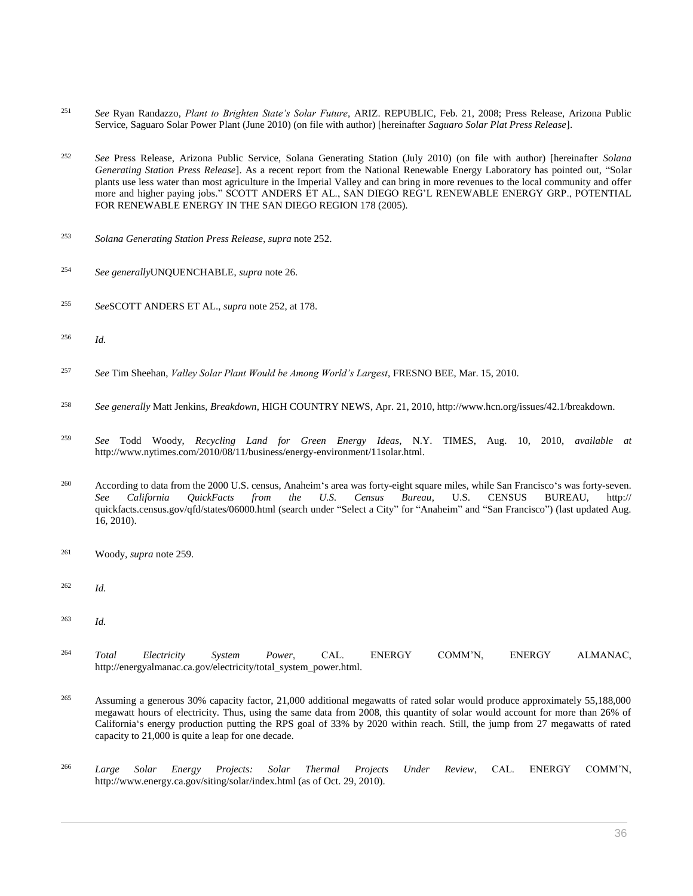- <sup>251</sup> *See* Ryan Randazzo, *Plant to Brighten State's Solar Future*, ARIZ. REPUBLIC, Feb. 21, 2008; Press Release, Arizona Public Service, Saguaro Solar Power Plant (June 2010) (on file with author) [hereinafter *Saguaro Solar Plat Press Release*].
- <sup>252</sup> *See* Press Release, Arizona Public Service, Solana Generating Station (July 2010) (on file with author) [hereinafter *Solana Generating Station Press Release*]. As a recent report from the National Renewable Energy Laboratory has pointed out, "Solar plants use less water than most agriculture in the Imperial Valley and can bring in more revenues to the local community and offer more and higher paying jobs." SCOTT ANDERS ET AL., SAN DIEGO REG'L RENEWABLE ENERGY GRP., POTENTIAL FOR RENEWABLE ENERGY IN THE SAN DIEGO REGION 178 (2005).
- <sup>253</sup> *Solana Generating Station Press Release*, *supra* note 252.
- <sup>254</sup> *See generally*UNQUENCHABLE, *supra* note 26.
- <sup>255</sup> *See*SCOTT ANDERS ET AL., *supra* note 252, at 178.
- <sup>256</sup> *Id.*
- <sup>257</sup> *See* Tim Sheehan, *Valley Solar Plant Would be Among World's Largest*, FRESNO BEE, Mar. 15, 2010.
- <sup>258</sup> *See generally* Matt Jenkins, *Breakdown*, HIGH COUNTRY NEWS, Apr. 21, 2010, http://www.hcn.org/issues/42.1/breakdown.
- <sup>259</sup> *See* Todd Woody, *Recycling Land for Green Energy Ideas*, N.Y. TIMES, Aug. 10, 2010, *available at* http://www.nytimes.com/2010/08/11/business/energy-environment/11solar.html.
- <sup>260</sup> According to data from the 2000 U.S. census, Anaheim's area was forty-eight square miles, while San Francisco's was forty-seven. *See California QuickFacts from the U.S. Census Bureau*, U.S. CENSUS BUREAU, http:// quickfacts.census.gov/qfd/states/06000.html (search under "Select a City" for "Anaheim" and "San Francisco") (last updated Aug. 16, 2010).
- <sup>261</sup> Woody, *supra* note 259.
- <sup>262</sup> *Id.*
- <sup>263</sup> *Id.*
- <sup>264</sup> *Total Electricity System Power*, CAL. ENERGY COMM'N, ENERGY ALMANAC, http://energyalmanac.ca.gov/electricity/total\_system\_power.html.
- <sup>265</sup> Assuming a generous 30% capacity factor, 21,000 additional megawatts of rated solar would produce approximately 55,188,000 megawatt hours of electricity. Thus, using the same data from 2008, this quantity of solar would account for more than 26% of California's energy production putting the RPS goal of 33% by 2020 within reach. Still, the jump from 27 megawatts of rated capacity to 21,000 is quite a leap for one decade.
- <sup>266</sup> *Large Solar Energy Projects: Solar Thermal Projects Under Review*, CAL. ENERGY COMM'N, http://www.energy.ca.gov/siting/solar/index.html (as of Oct. 29, 2010).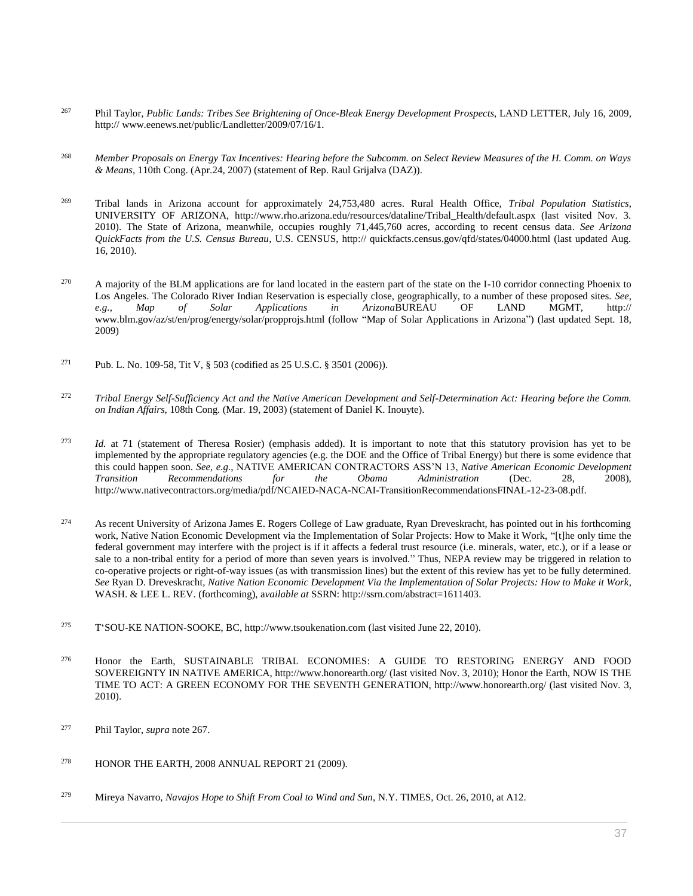- <sup>267</sup> Phil Taylor, *Public Lands: Tribes See Brightening of Once-Bleak Energy Development Prospects*, LAND LETTER, July 16, 2009, http:// www.eenews.net/public/Landletter/2009/07/16/1.
- <sup>268</sup> *Member Proposals on Energy Tax Incentives: Hearing before the Subcomm. on Select Review Measures of the H. Comm. on Ways & Means*, 110th Cong. (Apr.24, 2007) (statement of Rep. Raul Grijalva (DAZ)).
- <sup>269</sup> Tribal lands in Arizona account for approximately 24,753,480 acres. Rural Health Office, *Tribal Population Statistics*, UNIVERSITY OF ARIZONA, http://www.rho.arizona.edu/resources/dataline/Tribal\_Health/default.aspx (last visited Nov. 3. 2010). The State of Arizona, meanwhile, occupies roughly 71,445,760 acres, according to recent census data*. See Arizona QuickFacts from the U.S. Census Bureau*, U.S. CENSUS, http:// quickfacts.census.gov/qfd/states/04000.html (last updated Aug. 16, 2010).
- <sup>270</sup> A majority of the BLM applications are for land located in the eastern part of the state on the I-10 corridor connecting Phoenix to Los Angeles. The Colorado River Indian Reservation is especially close, geographically, to a number of these proposed sites. *See, e.g.*, *Map of Solar Applications in Arizona*BUREAU OF LAND MGMT, http:// www.blm.gov/az/st/en/prog/energy/solar/propprojs.html (follow "Map of Solar Applications in Arizona") (last updated Sept. 18, 2009)
- <sup>271</sup> [Pub. L. No. 109-58,](http://www.westlaw.com/Link/Document/FullText?findType=l&pubNum=1077005&cite=UUID(I84999FC01B-B211DA818BF-B0916599498)&originatingDoc=I0ecc829c2df011e18b05fdf15589d8e8&refType=SL&originationContext=document&vr=3.0&rs=cblt1.0&transitionType=DocumentItem&contextData=(sc.Search)) Tit V, § 503 (codified a[s 25 U.S.C. § 3501 \(2006\)\)](http://www.westlaw.com/Link/Document/FullText?findType=L&pubNum=1000546&cite=25USCAS3501&originatingDoc=I0ecc829c2df011e18b05fdf15589d8e8&refType=LQ&originationContext=document&vr=3.0&rs=cblt1.0&transitionType=DocumentItem&contextData=(sc.Search)).
- <sup>272</sup> *Tribal Energy Self-Sufficiency Act and the Native American Development and Self-Determination Act: Hearing before the Comm. on Indian Affairs*, 108th Cong. (Mar. 19, 2003) (statement of Daniel K. Inouyte).
- <sup>273</sup> *Id.* at 71 (statement of Theresa Rosier) (emphasis added). It is important to note that this statutory provision has yet to be implemented by the appropriate regulatory agencies (e.g. the DOE and the Office of Tribal Energy) but there is some evidence that this could happen soon. *See, e.g.*, NATIVE AMERICAN CONTRACTORS ASS'N 13, *Native American Economic Development Transition Recommendations for the Obama Administration* (Dec. 28, 2008), http://www.nativecontractors.org/media/pdf/NCAIED-NACA-NCAI-TransitionRecommendationsFINAL-12-23-08.pdf.
- <sup>274</sup> As recent University of Arizona James E. Rogers College of Law graduate, Ryan Dreveskracht, has pointed out in his forthcoming work, Native Nation Economic Development via the Implementation of Solar Projects: How to Make it Work, "[t]he only time the federal government may interfere with the project is if it affects a federal trust resource (i.e. minerals, water, etc.), or if a lease or sale to a non-tribal entity for a period of more than seven years is involved." Thus, NEPA review may be triggered in relation to co-operative projects or right-of-way issues (as with transmission lines) but the extent of this review has yet to be fully determined. *See* Ryan D. Dreveskracht, *Native Nation Economic Development Via the Implementation of Solar Projects: How to Make it Work*, WASH. & LEE L. REV. (forthcoming), a*vailable at* SSRN: http://ssrn.com/abstract=1611403.
- <sup>275</sup> T'SOU-KE NATION-SOOKE, BC, http://www.tsoukenation.com (last visited June 22, 2010).
- <sup>276</sup> Honor the Earth, SUSTAINABLE TRIBAL ECONOMIES: A GUIDE TO RESTORING ENERGY AND FOOD SOVEREIGNTY IN NATIVE AMERICA, http://www.honorearth.org/ (last visited Nov. 3, 2010); Honor the Earth, NOW IS THE TIME TO ACT: A GREEN ECONOMY FOR THE SEVENTH GENERATION, http://www.honorearth.org/ (last visited Nov. 3, 2010).
- <sup>277</sup> Phil Taylor, *supra* note 267.
- <sup>278</sup> HONOR THE EARTH, 2008 ANNUAL REPORT 21 (2009).
- <sup>279</sup> Mireya Navarro, *Navajos Hope to Shift From Coal to Wind and Sun*, N.Y. TIMES, Oct. 26, 2010, at A12.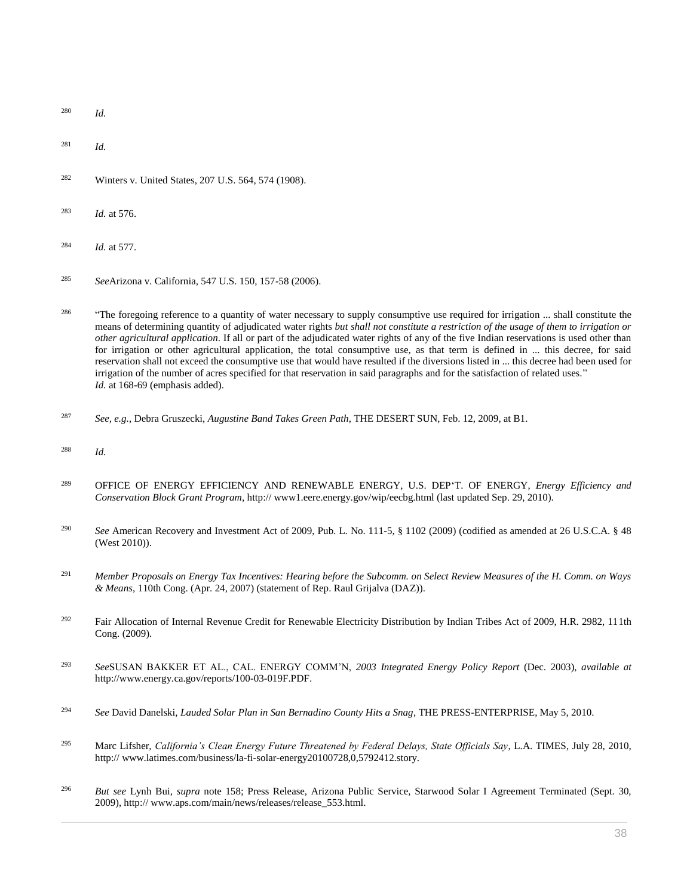- <sup>280</sup> *Id.*
- <sup>281</sup> *Id.*
- <sup>282</sup> [Winters v. United States, 207 U.S. 564, 574 \(1908\).](http://www.westlaw.com/Link/Document/FullText?findType=Y&serNum=1908100233&pubNum=0000780&originatingDoc=I0ecc829c2df011e18b05fdf15589d8e8&refType=RP&fi=co_pp_sp_780_574&originationContext=document&vr=3.0&rs=cblt1.0&transitionType=DocumentItem&contextData=(sc.Search)#co_pp_sp_780_574)
- <sup>283</sup> *Id.* [at 576.](http://www.westlaw.com/Link/Document/FullText?findType=Y&serNum=1908100233&originatingDoc=I0ecc829c2df011e18b05fdf15589d8e8&refType=RP&originationContext=document&vr=3.0&rs=cblt1.0&transitionType=DocumentItem&contextData=(sc.Search))
- <sup>284</sup> *Id.* [at 577.](http://www.westlaw.com/Link/Document/FullText?findType=Y&serNum=1908100233&originatingDoc=I0ecc829c2df011e18b05fdf15589d8e8&refType=RP&originationContext=document&vr=3.0&rs=cblt1.0&transitionType=DocumentItem&contextData=(sc.Search))
- <sup>285</sup> *See*[Arizona v. California, 547 U.S. 150, 157-58 \(2006\).](http://www.westlaw.com/Link/Document/FullText?findType=Y&serNum=2008777729&pubNum=0000780&originatingDoc=I0ecc829c2df011e18b05fdf15589d8e8&refType=RP&fi=co_pp_sp_780_157&originationContext=document&vr=3.0&rs=cblt1.0&transitionType=DocumentItem&contextData=(sc.Search)#co_pp_sp_780_157)
- 286 "The foregoing reference to a quantity of water necessary to supply consumptive use required for irrigation ... shall constitute the means of determining quantity of adjudicated water rights *but shall not constitute a restriction of the usage of them to irrigation or other agricultural application*. If all or part of the adjudicated water rights of any of the five Indian reservations is used other than for irrigation or other agricultural application, the total consumptive use, as that term is defined in ... this decree, for said reservation shall not exceed the consumptive use that would have resulted if the diversions listed in ... this decree had been used for irrigation of the number of acres specified for that reservation in said paragraphs and for the satisfaction of related uses." *Id.* [at 168-69](http://www.westlaw.com/Link/Document/FullText?findType=Y&serNum=2008777729&pubNum=0000780&originatingDoc=I0ecc829c2df011e18b05fdf15589d8e8&refType=RP&fi=co_pp_sp_780_168&originationContext=document&vr=3.0&rs=cblt1.0&transitionType=DocumentItem&contextData=(sc.Search)#co_pp_sp_780_168) (emphasis added).
- <sup>287</sup> *See, e.g.*, Debra Gruszecki, *Augustine Band Takes Green Path*, THE DESERT SUN, Feb. 12, 2009, at B1.
- <sup>288</sup> *Id.*
- <sup>289</sup> OFFICE OF ENERGY EFFICIENCY AND RENEWABLE ENERGY, U.S. DEP'T. OF ENERGY, *Energy Efficiency and Conservation Block Grant Program*, http:// www1.eere.energy.gov/wip/eecbg.html (last updated Sep. 29, 2010).
- <sup>290</sup> *See* American Recovery and Investment Act of 2009[, Pub. L. No. 111-5,](http://www.westlaw.com/Link/Document/FullText?findType=l&pubNum=1077005&cite=UUID(I3A292700FE-C911DD9F1FD-B027D1AEBBC)&originatingDoc=I0ecc829c2df011e18b05fdf15589d8e8&refType=SL&originationContext=document&vr=3.0&rs=cblt1.0&transitionType=DocumentItem&contextData=(sc.Search)) § 1102 (2009) (codified as amended at [26 U.S.C.A. § 48](http://www.westlaw.com/Link/Document/FullText?findType=L&pubNum=1000546&cite=26USCAS48&originatingDoc=I0ecc829c2df011e18b05fdf15589d8e8&refType=LQ&originationContext=document&vr=3.0&rs=cblt1.0&transitionType=DocumentItem&contextData=(sc.Search))  [\(West 2010\)\)](http://www.westlaw.com/Link/Document/FullText?findType=L&pubNum=1000546&cite=26USCAS48&originatingDoc=I0ecc829c2df011e18b05fdf15589d8e8&refType=LQ&originationContext=document&vr=3.0&rs=cblt1.0&transitionType=DocumentItem&contextData=(sc.Search)).
- <sup>291</sup> *Member Proposals on Energy Tax Incentives: Hearing before the Subcomm. on Select Review Measures of the H. Comm. on Ways & Means*, 110th Cong. (Apr. 24, 2007) (statement of Rep. Raul Grijalva (DAZ)).
- <sup>292</sup> Fair Allocation of Internal Revenue Credit for Renewable Electricity Distribution by Indian Tribes Act of 2009, H.R. 2982, 111th Cong. (2009).
- <sup>293</sup> *See*SUSAN BAKKER ET AL., CAL. ENERGY COMM'N, *2003 Integrated Energy Policy Report* (Dec. 2003), *available at* http://www.energy.ca.gov/reports/100-03-019F.PDF.
- <sup>294</sup> *See* David Danelski, *Lauded Solar Plan in San Bernadino County Hits a Snag*, THE PRESS-ENTERPRISE, May 5, 2010.
- <sup>295</sup> Marc Lifsher, *California's Clean Energy Future Threatened by Federal Delays, State Officials Say*, L.A. TIMES, July 28, 2010, http:// www.latimes.com/business/la-fi-solar-energy20100728,0,5792412.story.
- <sup>296</sup> *But see* Lynh Bui, *supra* note 158; Press Release, Arizona Public Service, Starwood Solar I Agreement Terminated (Sept. 30, 2009), http:// www.aps.com/main/news/releases/release\_553.html.